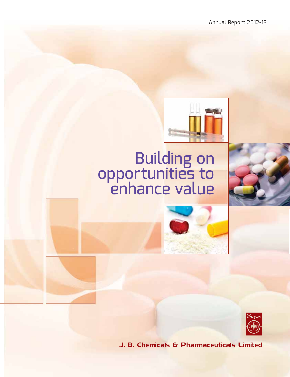

# Building on<br>opportunities to enhance value





J. B. Chemicals & Pharmaceuticals Limited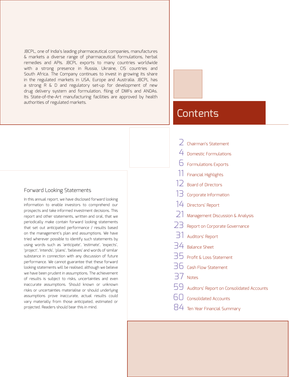JBCPL, one of India's leading pharmaceutical companies, manufactures & markets a diverse range of pharmaceutical formulations, herbal remedies and APIs. JBCPL exports to many countries worldwide with a strong presence in Russia, Ukraine, CIS countries and South Africa. The Company continues to invest in growing its share in the regulated markets in USA, Europe and Australia. JBCPL has a strong R & D and regulatory set-up for development of new drug delivery system and formulation, filing of DMFs and ANDAs. Its State-of-the-Art manufacturing facilities are approved by health authorities of regulated markets.

### Forward Looking Statements

In this annual report, we have disclosed forward looking information to enable investors to comprehend our prospects and take informed investment decisions. This report and other statements, written and oral, that we periodically make contain forward looking statements that set out anticipated performance / results based on the management's plan and assumptions. We have tried wherever possible to identify such statements by using words such as 'anticipate', 'estimate', 'expects', 'project', 'intends', 'plans', 'believes' and words of similar substance in connection with any discussion of future performance. We cannot guarantee that these forward looking statements will be realised, although we believe we have been prudent in assumptions. The achievement of results is subject to risks, uncertainties and even inaccurate assumptions. Should known or unknown risks or uncertainties materialise or should underlying assumptions prove inaccurate, actual results could vary materially from those anticipated, estimated or projected. Readers should bear this in mind.

# **Contents**

|    | $\angle$ Chairman's Statement                    |
|----|--------------------------------------------------|
|    | $4$ Domestic Formulations                        |
|    | $6$ Formulations Exports                         |
|    | 11 Financial Highlights                          |
|    | 12 Board of Directors                            |
| 13 | Corporate Information                            |
|    | 14 Directors' Report                             |
|    | $21$ Management Discussion & Analysis            |
|    | $23$ Report on Corporate Governance              |
|    | 31 Auditors' Report                              |
|    | 34 Balance Sheet                                 |
|    | $35$ Profit & Loss Statement                     |
|    | $36$ Cash Flow Statement                         |
|    | 37 Notes                                         |
|    | $59\,$ Auditors' Report on Consolidated Accounts |
|    | <b>Consolidated Accounts</b>                     |
|    | $84\,$ Ten Year Financial Summary                |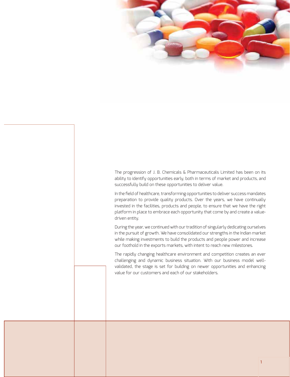

The progression of J. B. Chemicals & Pharmaceuticals Limited has been on its ability to identify opportunities early, both in terms of market and products, and successfully build on these opportunities to deliver value.

In the field of healthcare, transforming opportunities to deliver success mandates preparation to provide quality products. Over the years, we have continually invested in the facilities, products and people, to ensure that we have the right platform in place to embrace each opportunity that come by and create a valuedriven entity.

During the year, we continued with our tradition of singularly dedicating ourselves in the pursuit of growth. We have consolidated our strengths in the Indian market while making investments to build the products and people power and increase our foothold in the exports markets, with intent to reach new milestones.

The rapidly changing healthcare environment and competition creates an ever challenging and dynamic business situation. With our business model wellvalidated, the stage is set for building on newer opportunities and enhancing value for our customers and each of our stakeholders.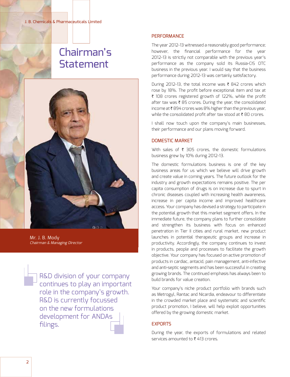# Chairman's **Statement**



Mr. J. B. Mody Chairman & Managing Director

R&D division of your company continues to play an important role in the company's growth. R&D is currently focussed on the new formulations development for ANDAs filings.

### **PERFORMANCE**

The year 2012-13 witnessed a reasonably good performance; however, the financial performance for the year 2012-13 is strictly not comparable with the previous year's performance as the company sold its Russia-CIS OTC business in the previous year. I would say that the business performance during 2012-13 was certainly satisfactory.

During 2012-13, the total income was  $\bar{\tau}$  842 crores which rose by 18%. The profit before exceptional item and tax at ₹ 108 crores registered growth of 122%, while the profit after tax was  $\bar{\tau}$  85 crores. During the year, the consolidated income at  $\bar{\tau}$  894 crores was 8% higher than the previous year, while the consolidated profit after tax stood at  $\bar{\tau}$  80 crores.

I shall now touch upon the company's main businesses, their performance and our plans moving forward.

### DOMESTIC MARKET

With sales of  $\bar{\tau}$  305 crores, the domestic formulations business grew by 10% during 2012-13.

The domestic formulations business is one of the key business areas for us which we believe will drive growth and create value in coming years. The future outlook for the industry and growth expectations remains positive. The per capita consumption of drugs is on increase due to spurt in chronic diseases coupled with increasing health awareness, increase in per capita income and improved healthcare access. Your company has devised a strategy to participate in the potential growth that this market segment offers. In the immediate future, the company plans to further consolidate and strengthen its business with focus on enhanced penetration in Tier II cities and rural market, new product launches in potential therapeutic groups and increase in productivity. Accordingly, the company continues to invest in products, people and processes to facilitate the growth objective. Your company has focused on active promotion of products in cardiac, antacid, pain management, anti-infective and anti-septic segments and has been successful in creating growing brands. The continued emphasis has always been to build brands for value creation.

Your company's niche product portfolio with brands such as Metrogyl, Rantac and Nicardia, endeavour to differentiate in the crowded market place and systematic and scientific product promotion, I believe, will help exploit opportunities offered by the growing domestic market.

### **EXPORTS**

During the year, the exports of formulations and related services amounted to  $\bar{\tau}$  413 crores.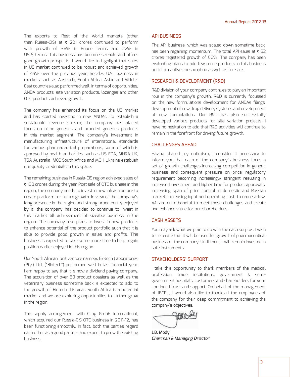The exports to Rest of the World markets (other than Russia-CIS) at  $\bar{\tau}$  221 crores continued to perform with growth of 36% in Rupee terms and 22% in US \$ terms. This business has become sizeable and offers good growth prospects. I would like to highlight that sales in US market continued to be robust and achieved growth of 44% over the previous year. Besides U.S., business in markets such as Australia, South Africa, Asian and Middle-East countries also performed well. In terms of opportunities, ANDA products, site variation products, lozenges and other OTC products achieved growth.

The company has enhanced its focus on the US market and has started investing in new ANDAs. To establish a sustainable revenue stream, the company has placed focus on niche generics and branded generics products in this market segment. The company's investment in manufacturing infrastructure of international standards for various pharmaceutical preparations, some of which is approved by health authorities such as US FDA, MHRA UK, TGA Australia, MCC South Africa and MOH Ukraine establish our quality credentials in this space.

The remaining business in Russia-CIS region achieved sales of ₹ 100 crores during the year. Post sale of OTC business in this region, the company needs to invest in new infrastructure to create platform for future growth. In view of the company's long presence in the region and strong brand equity enjoyed by it, the company has decided to continue to invest in this market till achievement of sizeable business in the region. The company also plans to invest in new products to enhance potential of the product portfolio such that it is able to provide good growth in sales and profits. This business is expected to take some more time to help regain position earlier enjoyed in this region.

Our South African joint venture namely, Biotech Laboratories (Pty.) Ltd. ("Biotech") performed well in last financial year. I am happy to say that it is now a dividend paying company. The acquisition of over 50 product dossiers as well as the veterinary business sometime back is expected to add to the growth of Biotech this year. South Africa is a potential market and we are exploring opportunities to further grow in the region.

The supply arrangement with Cilag GmbH International, which acquired our Russia-CIS OTC business in 2011-12, has been functioning smoothly. In fact, both the parties regard each other as a good partner and expect to grow the existing business.

### API BUSINESS

The API business, which was scaled down sometime back, has been regaining momentum. The total API sales at  $\bar{\tau}$  62 crores registered growth of 56%. The company has been evaluating plans to add few more products in this business both for captive consumption as well as for sale.

### RESEARCH & DEVELOPMENT (R&D)

R&D division of your company continues to play an important role in the company's growth. R&D is currently focussed on the new formulations development for ANDAs filings, development of new drug delivery systems and development of new formulations. Our R&D has also successfully developed various products for site variation projects. I have no hesitation to add that R&D activities will continue to remain in the forefront for driving future growth.

### CHALLENGES AHEAD

Having shared my optimism, I consider it necessary to inform you that each of the company's business faces a set of growth challenges-increasing competition in generic business and consequent pressure on price, regulatory requirement becoming increasingly stringent resulting in increased investment and higher time for product approvals, increasing span of price control in domestic and Russian market, increasing input and operating cost, to name a few. We are quite hopeful to meet these challenges and create and enhance value for our shareholders.

### CASH ASSETS

You may ask what we plan to do with the cash surplus. I wish to reiterate that it will be used for growth of pharmaceutical business of the company. Until then, it will remain invested in safe instruments.

### STAKEHOLDERS' SUPPORT

I take this opportunity to thank members of the medical profession, trade, institutions, government & semigovernment hospitals, customers and shareholders for your continued trust and support. On behalf of the management of JBCPL, I would also like to thank all the employees of the company for their deep commitment to achieving the company's objectives.

grado

J.B. Mody Chairman & Managing Director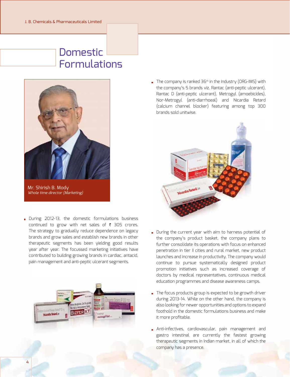# Domestic Formulations



Mr. Shirish B. Mody Whole time director (Marketing)

During 2012-13, the domestic formulations business continued to grow with net sales of  $\bar{\tau}$  305 crores. The strategy to gradually reduce dependence on legacy brands and grow sales and establish new brands in other therapeutic segments has been yielding good results year after year. The focussed marketing initiatives have contributed to building growing brands in cardiac, antacid, pain management and anti-peptic ulcerant segments.



 $\blacksquare$  The company is ranked 36<sup>th</sup> in the Industry (ORG-IMS) with the company's 5 brands viz. Rantac (anti-peptic ulcerant), Rantac D (anti-peptic ulcerant), Metrogyl (amoebicides), Nor-Metrogyl (anti-diarrhoeal) and Nicardia Retard (calcium channel blocker) featuring among top 300 brands sold unitwise.



- During the current year with aim to harness potential of the company's product basket, the company plans to further consolidate its operations with focus on enhanced penetration in tier II cities and rural market, new product launches and increase in productivity. The company would continue to pursue systematically designed product promotion initiatives such as increased coverage of doctors by medical representatives, continuous medical education programmes and disease awareness camps.
- The focus products group is expected to be growth driver during 2013-14. While on the other hand, the company is also looking for newer opportunities and options to expand foothold in the domestic formulations business and make it more profitable.
- Anti-infectives, cardiovascular, pain management and gastro intestinal are currently the fastest growing therapeutic segments in Indian market, in all of which the company has a presence.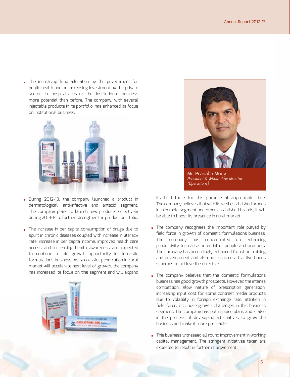The increasing fund allocation by the government for public health and an increasing investment by the private sector in hospitals make the institutional business more potential than before. The company, with several injectable products in its portfolio, has enhanced its focus on institutional business.



- During 2012-13, the company launched a product in dermatological, anti-infective and antacid segment. The company plans to launch new products selectively during 2013-14 to further strengthen the product portfolio.
- The increase in per capita consumption of drugs due to spurt in chronic diseases coupled with increase in literacy rate, increase in per capita income, improved health care access and increasing health awareness are expected to continue to aid growth opportunity in domestic formulations business. As successful penetration in rural market will accelerate next level of growth, the company has increased its focus on this segment and will expand





Mr. Pranabh Mody President & Whole time director (Operations)

its field force for this purpose at appropriate time. The company believes that with its well established brands in injectable segment and other established brands, it will be able to boost its presence in rural market.

- The company recognises the important role played by field force in growth of domestic formulations business. The company has concentrated on enhancing productivity to realise potential of people and products. The company has accordingly enhanced thrust on training and development and also put in place attractive bonus schemes to achieve the objective.
- The company believes that the domestic formulations business has good growth prospects. However, the intense competition, slow nature of prescription generation, increasing input cost for some contrast media products due to volatility in foreign exchange rate, attrition in field force, etc. pose growth challenges in this business segment. The company has put in place plans and is also in the process of developing alternatives to grow the business and make it more profitable.
- This business witnessed all round improvement in working capital management. The stringent initiatives taken are expected to result in further improvement.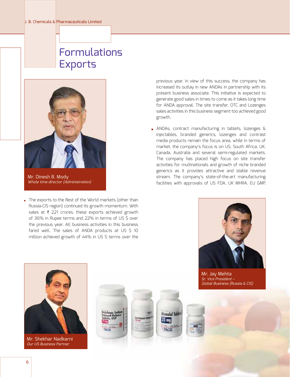# Formulations **Exports**



Mr. Dinesh B. Mody Whole time director (Administration)

The exports to the Rest of the World markets (other than Russia-CIS region) continued its growth momentum. With sales at  $\bar{\tau}$  221 crores, these exports achieved growth of 36% in Rupee terms and 22% in terms of US \$ over the previous year. All business activities in this business fared well. The sales of ANDA products at US \$ 10 million achieved growth of 44% in US \$ terms over the

previous year. In view of this success, the company has increased its outlay in new ANDAs in partnership with its present business associate. This initiative is expected to generate good sales in times to come as it takes long time for ANDA approval. The site transfer, OTC and Lozenges sales activities in this business segment too achieved good growth.

ANDAs, contract manufacturing in tablets, lozenges & injectables, branded generics, lozenges and contrast media products remain the focus area, while in terms of market, the company's focus is on US, South Africa, UK, Canada, Australia and several semi-regulated markets. The company has placed high focus on site transfer activities for multinationals and growth of niche branded generics as it provides attractive and stable revenue stream. The company's state-of-the-art manufacturing facilities with approvals of US FDA, UK MHRA, EU GMP,



Mr. Jay Mehta M Sr. Vice President – Sr Global Business (Russia & CIS) Gl



Mr. Shekhar Nadkarni Our US Business Partner





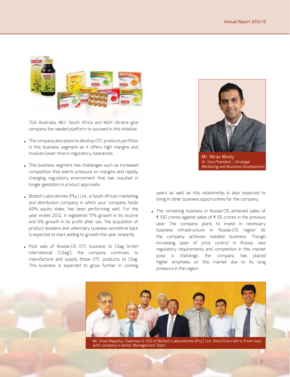

TGA Australia, MCC South Africa and MOH Ukraine give company the needed platform to succeed in this initiative.

- The company also plans to develop OTC products portfolio in this business segment as it offers high margins and involves lower time in regulatory clearances.
- This business segment has challenges such as increased competition that exerts pressure on margins and rapidly changing regulatory environment that has resulted in longer gestation in product approvals.
- Biotech Laboratories (Pty.) Ltd., a South African marketing and distribution company in which your company holds 49% equity stake, has been performing well. For the year ended 2012, it registered 17% growth in its income and 5% growth in its profit after tax. The acquisition of product dossiers and veterinary business sometime back is expected to start adding to growth this year onwards.
- **Post sale of Russia-CIS OTC business to Cilag GmbH** international ('Cilag'), the company continues to manufacture and supply those OTC products to Cilag. This business is expected to grow further in coming



Mr. Nirav Mody Sr. Vice President – Strategic Marketing and Business Development

years as well as this relationship is also expected to bring in other business opportunities for the company.

The remaining business in Russia-CIS achieved sales of ₹ 100 crores against sales of ₹ 55 crores in the previous year. The company plans to invest in necessary business infrastructure in Russia-CIS region till the company achieves sizeable business. Though increasing span of price control in Russia, new regulatory requirements and competition in this market pose a challenge, the company has placed higher emphasis on this market due to its long presence in the region.



Mr. Shad Mapetla, Chairman & CEO of Biotech Laboratories (Pty.) Ltd. (third from left in front row) with company's Senior Management Team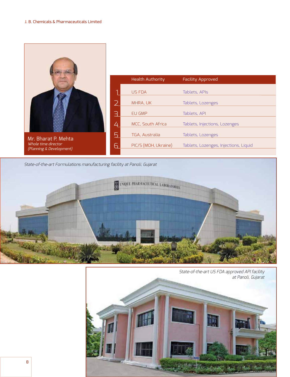|                                                                        |           | <b>Health Authority</b> | <b>Facility Approved</b>              |
|------------------------------------------------------------------------|-----------|-------------------------|---------------------------------------|
|                                                                        |           | <b>US FDA</b>           | Tablets, APIs                         |
|                                                                        |           | MHRA, UK                | Tablets, Lozenges                     |
|                                                                        | $\exists$ | EU GMP                  | Tablets, API                          |
|                                                                        | 4         | MCC, South Africa       | Tablets, Injections, Lozenges         |
|                                                                        | 5         | TGA, Australia          | Tablets, Lozenges                     |
| Mr. Bharat P. Mehta<br>Whole time director<br>(Planning & Development) | 6         | PIC/S (MOH, Ukraine)    | Tablets, Lozenges, Injections, Liquid |
|                                                                        |           |                         |                                       |

State-of-the-art Formulations manufacturing facility at Panoli, Gujarat



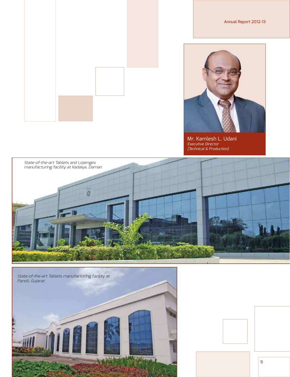

Mr. Kamlesh L. Udani<br><sub>Executive Director</sub> (Technical & Production)







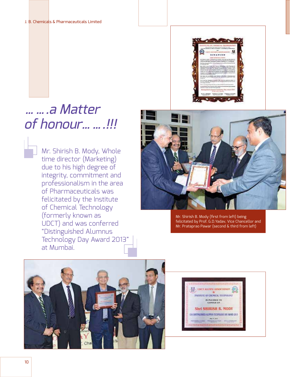

# …….a Matter of honour…….!!!

Mr. Shirish B. Mody, Whole time director (Marketing) due to his high degree of integrity, commitment and professionalism in the area of Pharmaceuticals was felicitated by the Institute of Chemical Technology (formerly known as UDCT) and was conferred "Distinguished Alumnus Technology Day Award 2013" at Mumbai.



Mr. Shirish B. Mody (first from left) being felicitated by Prof. G.D.Yadav, Vice Chancellor and Mr. Prataprao Pawar (second & third from left)



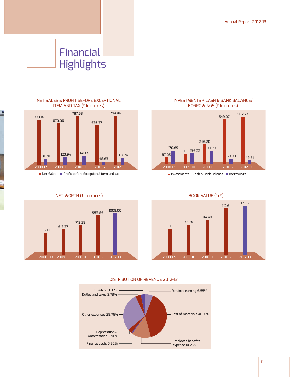# Financial **Highlights**

NET SALES & PROFIT BEFORE EXCEPTIONAL

г



 $\blacksquare$  Net Sales  $\blacksquare$  Profit before Exceptional item and tax



INVESTMENTS + CASH & BANK BALANCE/ BORROWINGS  $($  $\bar{z}$  in crores)



 $\blacksquare$  Investments + Cash & Bank Balance  $\blacksquare$  Borrowings



### DISTRIBUTION OF REVENUE 2012-13



11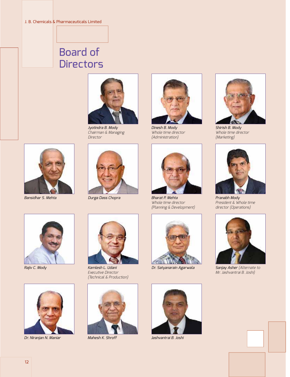# Board of **Directors**



Jyotindra B. Mody Chairman & Managing Director



Bansidhar S. Mehta Durga Dass Chopra



Dinesh B. Mody Whole time director (Administration)



Bharat P. Mehta Whole time director (Planning & Development)





Shirish B. Mody Whole time director (Marketing)



Pranabh Mody President & Whole time director (Operations)



Rajiv C. Mody



Dr. Niranjan N. Maniar Mahesh K. Shroff Jashvantrai B. Joshi



Executive Director (Technical & Production)













Sanjay Asher (Alternate to Mr. Jashvantrai B. Joshi)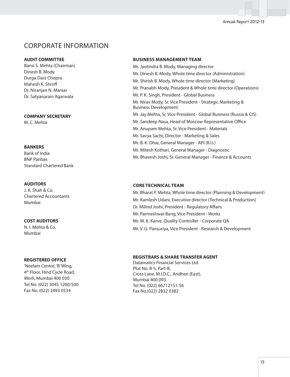### Annual Report 2012-13

### CORPORATE INFORMATION

### **AUDIT COMMITTEE**

Bansi S. Mehta (Chairman) Dinesh B. Mody Durga Dass Chopra Mahesh K. Shroff Dr. Niranjan N. Maniar Dr. Satyanarain Agarwala

### **COMPANY SECRETARY**

M. C. Mehta

### **BANKERS**

Bank of India BNP Paribas Standard Chartered Bank

### **AUDITORS**

J. K. Shah & Co. Chartered Accountants Mumbai

### **COST AUDITORS**

N. I. Mehta & Co. Mumbai

### **REGISTERED OFFICE**

'Neelam Centre', 'B' Wing, 4th Floor, Hind Cycle Road, Worli, Mumbai 400 030. Tel No. (022) 3045 1200/500 Fax No. (022) 2493 0534

### **BUSINESS MANAGEMENT TEAM**

Mr. Jyotindra B. Mody, Managing director Mr. Dinesh B. Mody, Whole time director (Administration) Mr. Shirish B. Mody, Whole time director (Marketing) Mr. Pranabh Mody, President & Whole time director (Operations) Mr. P. K. Singh, President - Global Business Mr. Nirav Mody, Sr. Vice President - Strategic Marketing & Business Development Mr. Jay Mehta, Sr. Vice President - Global Business (Russia & CIS) Mr. Sandeep Nasa, Head of Moscow Representative Office Mr. Anupam Mehta, Sr. Vice President - Materials Mr. Savya Sachi, Director - Marketing & Sales Mr. B. K. Dhar, General Manager - API (B.U.) Mr. Mitesh Kothari, General Manager - Diagnostic Mr. Bhavesh Joshi, Sr. General Manager - Finance & Accounts

### **CORE TECHNICAL TEAM**

Mr. Bharat P. Mehta, Whole time director (Planning & Development) Mr. Kamlesh Udani, Executive director (Technical & Production) Dr. Milind Joshi, President - Regulatory Affairs Mr. Parmeshwar Bang, Vice President - Works Mr. M. K. Karve, Quality Controller - Corporate QA Mr. V. G. Pansuriya, Vice President - Research & Development

### **REGISTRARS & SHARE TRANSFER AGENT**

Datamatics Financial Services Ltd. Plot No. B-5, Part-B, Cross Lane, M.I.D.C., Andheri (East), Mumbai 400 093. Tel No. (022) 66712151-56 Fax No.(022) 2832 0382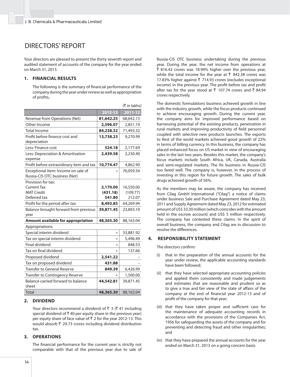### DIRECTORS' REPORT

Your directors are pleased to present the thirty seventh report and audited statement of accounts of the company for the year ended on March 31, 2013.

### **1. FINANCIAL RESULTS**

The following is the summary of financial performance of the company during the year under review as well as appropriation of profits.

|                                              |           | (₹ in lakhs) |
|----------------------------------------------|-----------|--------------|
|                                              | 2012-13   | 2011-12      |
| Revenue from Operations (Net)                | 81,642.25 | 68,642.13    |
| Other Income                                 | 2,596.07  | 2,851.19     |
| <b>Total Income</b>                          | 84,238.32 | 71,493.32    |
| Profit before finance cost and               | 13,738.23 | 9,270.99     |
| depreciation                                 |           |              |
| Less: Finance cost                           | 524.18    | 2,177.69     |
| Less: Depreciation & Amortisation<br>expense | 2,439.58  | 2,230.40     |
| Profit before extraordinary item and tax     | 10,774.47 | 4,862.90     |
| Exceptional Item: Income on sale of          |           | 76,059.34    |
| Russia-CIS OTC business (Net)                |           |              |
| Provision for tax:                           |           |              |
| <b>Current Tax</b>                           | 2,170.00  | 16,550.00    |
| <b>MAT Credit</b>                            | (431.18)  | (109.77)     |
| Deferred tax                                 | 541.80    | 212.07       |
| Profit for the period after tax              | 8,493.85  | 64,269.94    |
| Balance brought forward from previous        | 39,871.45 | 23,893.10    |
| year                                         |           |              |
| Amount available for appropriation           | 48,365.30 | 88,163.04    |
| Appropriations:                              |           |              |
| Special interim dividend                     |           | 33,881.92    |
| Tax on special interim dividend              |           | 5,496.49     |
| <b>Final dividend</b>                        |           | 848.53       |
| Tax on final dividend                        |           | 137.66       |
| Proposed dividend                            | 2,541.22  |              |
| Tax on proposed dividend                     | 431.88    |              |
| <b>Transfer to General Reserve</b>           | 849.39    | 6,426.99     |
| Transfer to Contingency Reserve              |           | 1,500.00     |
| Balance carried forward to balance<br>sheet  | 44,542.81 | 39,871.45    |
| <b>Total</b>                                 | 48,365.30 | 88,163.04    |

### **2. DIVIDEND**

Your directors recommend a dividend of  $\bar{\tau}$  3 ( $\bar{\tau}$  41 including special dividend of  $\bar{x}$  40 per equity share in the previous year) per equity share of face value of  $\bar{\tau}$  2 for the year 2012-13. This would absorb  $\bar{\tau}$  29.73 crores including dividend distribution tax.

### **3. OPERATIONS**

The financial performance for the current year is strictly not comparable with that of the previous year due to sale of Russia-CIS OTC business undertaking during the previous year. During the year, the net income from operations at  $\bar{\tau}$  816.42 crores was 18.94% higher over the previous year, while the total income for the year at  $\bar{\tau}$  842.38 crores was 17.83% higher against  $\bar{\tau}$  714.93 crores (excludes exceptional income) in the previous year. The profit before tax and profit after tax for the year stood at  $\bar{\tau}$  107.74 crores and  $\bar{\tau}$  84.94 crores respectively.

 The domestic formulations business achieved growth in line with the industry growth, while the focus products continued to achieve encouraging growth. During the current year, the company aims for improved performance based on harnessing potential of the existing products, penetration in rural markets and improving productivity of field personnel coupled with selective new products launches. The exports to Rest of the world markets achieved good growth of 22% in terms of billing currency. In this business, the company has placed enhanced focus on US market in view of encouraging sales in the last two years. Besides this market, the company's focus markets include South Africa, UK, Canada, Australia and semi-regulated markets. The Rx business in Russia-CIS too fared well. The company is, however, in the process of investing in this region for future growth. The sales of bulk drugs achieved growth of 56%.

 As the members may be aware, the company has received from Cilag GmbH International ("Cilag") a notice of claims under business Sale and Purchase Agreement dated May 23, 2011 and Supply Agreement dated May 23, 2012 for estimated amount of US\$ 33.30 million (which coincides with the amount held in the escrow account) and US\$ 5 million respectively. The company has contested these claims. In the spirit of overall business, the company and Cilag are in discussion to resolve the differences.

### **4. RESPONSIBILITY STATEMENT**

The directors confirm:

- (i) that in the preparation of the annual accounts for the year under review, the applicable accounting standards have been followed;
- (ii) that they have selected appropriate accounting policies and applied them consistently and made judgements and estimates that are reasonable and prudent so as to give a true and fair view of the state of affairs of the company at the end of financial year 2012-13 and of profit of the company for that year;
- (iii) that they have taken proper and sufficient care for the maintenance of adequate accounting records in accordance with the provisions of the Companies Act, 1956 for safeguarding the assets of the company and for preventing and detecting fraud and other irregularities; and
- (iv) that they have prepared the annual accounts for the year ended on March 31, 2013 on a going concern basis.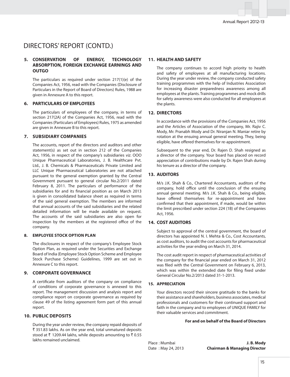### DIRECTORS' REPORT (CONTD.)

### **5. CONSERVATION OF ENERGY, TECHNOLOGY ABSORPTION, FOREIGN EXCHANGE EARNINGS AND OUTGO**

 The particulars as required under section 217(1)(e) of the Companies Act, 1956, read with the Companies (Disclosure of Particulars in the Report of Board of Directors) Rules, 1988 are given in Annexure A to this report.

### **6. PARTICULARS OF EMPLOYEES**

 The particulars of employees of the company, in terms of section 217(2A) of the Companies Act, 1956, read with the Companies (Particulars of Employees) Rules, 1975 as amended are given in Annexure B to this report.

### **7. SUBSIDIARY COMPANIES**

 The accounts, report of the directors and auditors and other statement(s) as set out in section 212 of the Companies Act, 1956, in respect of the company's subsidiaries viz. OOO Unique Pharmaceutical Laboratories, J. B. Healthcare Pvt. Ltd., J. B. Chemicals & Pharmaceuticals Private Limited and LLC Unique Pharmaceutical Laboratories are not attached pursuant to the general exemption granted by the Central Government pursuant to general circular No.2/2011 dated February 8, 2011. The particulars of performance of the subsidiaries for and its financial position as on March 2013 is given in consolidated balance sheet as required in terms of the said general exemption. The members are informed that annual accounts of the said subsidiaries and the related detailed information will be made available on request. The accounts of the said subsidiaries are also open for inspection by the members at the registered office of the company.

#### **8. EMPLOYEE STOCK OPTION PLAN**

 The disclosures in respect of the company's Employee Stock Option Plan, as required under the Securities and Exchange Board of India (Employee Stock Option Scheme and Employee Stock Purchase Scheme) Guidelines, 1999 are set out in Annexure C to this report.

### **9. CORPORATE GOVERNANCE**

A certificate from auditors of the company on compliance of conditions of corporate governance is annexed to this report. The management discussion and analysis report and compliance report on corporate governance as required by clause 49 of the listing agreement form part of this annual report.

### **10. PUBLIC DEPOSITS**

 During the year under review, the company repaid deposits of ₹ 351.83 lakhs. As on the year end, total unmatured deposits stood at  $\bar{\tau}$  1209.44 lakhs, while deposits amounting to  $\bar{\tau}$  0.55 lakhs remained unclaimed.

### **11. HEALTH AND SAFETY**

 The company continues to accord high priority to health and safety of employees at all manufacturing locations. During the year under review, the company conducted safety training programmes with the help of Industries Association for increasing disaster preparedness awareness among all employees at the plants. Training programmes and mock drills for safety awareness were also conducted for all employees at the plants.

### **12. DIRECTORS**

 In accordance with the provisions of the Companies Act, 1956 and the Articles of Association of the company, Mr. Rajiv C. Mody, Mr. Pranabh Mody and Dr. Niranjan N. Maniar retire by rotation at the ensuing annual general meeting. They, being eligible, have offered themselves for re-appointment.

 Subsequent to the year end, Dr. Rajen D. Shah resigned as a director of the company. Your board has placed on record appreciation of contributions made by Dr. Rajen Shah during his tenure as a director of the company.

### **13. AUDITORS**

 M/s J.K. Shah & Co., Chartered Accountants, auditors of the company, hold office until the conclusion of the ensuing annual general meeting. M/s J.K. Shah & Co., being eligible, have offered themselves for re-appointment and have confirmed that their appointment, if made, would be within the limit prescribed under section 224 (1B) of the Companies Act, 1956.

#### **14. COST AUDITORS**

 Subject to approval of the central government, the board of directors has appointed N. I. Mehta & Co., Cost Accountants, as cost auditors, to audit the cost accounts for pharmaceutical activities for the year ending on March 31, 2014.

 The cost audit report in respect of pharmaceutical activities of the company for the financial year ended on March 31, 2012 was filed with the Central Government on February 6, 2013, which was within the extended date for filing fixed under General Circular No.2/2013 dated 31-1-2013.

### **15. APPRECIATION**

 Your directors record their sincere gratitude to the banks for their assistance and shareholders, business associates, medical professionals and customers for their continued support and faith in the company and to employees of UNIQUE FAMILY for their valuable services and commitment.

### **For and on behalf of the Board of Directors**

Place : Mumbai **J. B. Mody** Date : May 24, 2013 **Chairman & Managing Director**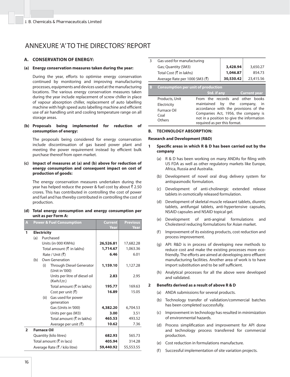### ANNEXURE 'A' TO THE DIRECTORS' REPORT

### **A. CONSERVATION OF ENERGY:**

### **(a) Energy conservation measures taken during the year:**

During the year, efforts to optimise energy conservation continued by monitoring and improving manufacturing processes, equipments and devices used at the manufacturing locations. The various energy conservation measures taken during the year include replacement of screw chiller in place of vapour absorption chiller, replacement of auto labelling machine with high speed auto labelling machine and efficient use of air handling unit and cooling temperature range on all storage areas.

#### **(b) Proposals being implemented for reduction of consumption of energy:**

 The proposals being considered for energy conservation include discontinuation of gas based power plant and meeting the power requirement instead by efficient bulk purchase thereof from open market.

### **(c) Impact of measures at (a) and (b) above for reduction of energy consumption and consequent impact on cost of production of goods:**

 The energy conservation measures undertaken during the year has helped reduce the power & fuel cost by about  $\bar{z}$  2.50 crores. This has contributed in controlling the cost of power and fuel and has thereby contributed in controlling the cost of production.

### **(d) Total energy consumption and energy consumption per unit as per Form A:**

| A              |     |                    | <b>Power &amp; Fuel Consumption</b>                | Current<br>Year | <b>Previous</b><br>Year |
|----------------|-----|--------------------|----------------------------------------------------|-----------------|-------------------------|
| 1              |     | <b>Electricity</b> |                                                    |                 |                         |
|                | (a) |                    | Purchased                                          |                 |                         |
|                |     |                    | Units (in 000 KWHs)                                | 26,526.81       | 17,682.28               |
|                |     |                    | Total amount $(\bar{\tau})$ in lakhs)              | 1,714.67        | 1,063.36                |
|                |     |                    | Rate / Unit (रै)                                   | 6.46            | 6.01                    |
|                | (b) |                    | Own Generation                                     |                 |                         |
|                |     | (i)                | Through Diesel Generator<br>(Unit in '000)         | 1,159.10        | 1,127.28                |
|                |     |                    | Units per litre of diesel oil<br>(Kwh/Ltr.)        | 2.83            | 2.95                    |
|                |     |                    | Total amount $(\overline{\mathfrak{X}})$ in lakhs) | 195.77          | 169.63                  |
|                |     |                    | Cost per unit $(\overline{\tau})$                  | 16.89           | 15.05                   |
|                |     | (ii)               | Gas used for power<br>generation                   |                 |                         |
|                |     |                    | Gas (Units in '000)                                | 4,382.20        | 6,704.53                |
|                |     |                    | Units per gas (M3)                                 | 3.00            | 3.51                    |
|                |     |                    | Total amount $(\overline{\mathfrak{X}})$ in lakhs) | 465.53          | 493.52                  |
|                |     |                    | Average per unit $(\bar{\bar{\zeta}})$             | 10.62           | 7.36                    |
| $\overline{2}$ |     | <b>Furnace Oil</b> |                                                    |                 |                         |
|                |     |                    | Quantity (kilo litres)                             | 682.93          | 565.73                  |
|                |     |                    | Total amount ( $\bar{\tau}$ in lacs)               | 405.94          | 314.28                  |
|                |     |                    | Average Rate (₹ / kilo litre)                      | 59,440.92       | 55,553.55               |

| 3 | Gas used for manufacturing                |                                           |           |                     |
|---|-------------------------------------------|-------------------------------------------|-----------|---------------------|
|   | Gas; Quantity (SM3)                       |                                           | 3,428.94  | 3,650.27            |
|   | Total Cost (₹ in lakhs)                   |                                           | 1,046.87  | 854.73              |
|   | Average Rate per 1000 SM3 (₹)             |                                           | 30,530.42 | 23,415.56           |
|   |                                           |                                           |           |                     |
|   | <b>Consumption per unit of production</b> |                                           |           |                     |
|   |                                           | Std. if any                               |           | <b>Current year</b> |
|   | Products, Unit                            | From the records and other books          |           |                     |
|   | Electricity                               | maintained                                | by the    | company,<br>in      |
|   | Furnace Oil                               | accordance with the provisions of the     |           |                     |
|   | Coal                                      | Companies Act, 1956, the company is       |           |                     |
|   |                                           |                                           |           |                     |
|   | Others                                    | not in a position to give the information |           |                     |

### **B. TECHNOLOGY ABSORPTION:**

#### **Research and Development (R&D)**

- **1** Specific areas in which R & D has been carried out by the **company**
	- (a)  $R & D$  has been working on many ANDAs for filing with US FDA as well as other regulatory markets like Europe, Africa, Russia and Australia.

required as per this format.

- (b) Development of novel oral drug delivery system for antispasmodic formulation.
- (c) Development of anti-cholinergic extended release tablets in osmotically released formulation.
- (d) Development of skeletal muscle relaxant tablets, diuretic tablets, antifungal tablets, anti-hypertensive capsules, NSAID capsules and NSAID topical gel.
- (e) Development of anti-anginal formulations and Cholesterol reducing formulations for Asian market.
- (f) Improvement of its existing products, cost reduction and process improvement.
- (g) API: R&D is in process of developing new methods to reduce cost and make the existing processes more ecofriendly. The efforts are aimed at developing zero effluent manufacturing facilities. Another area of work is to have import substitution and to be self sufficient.
- (h) Analytical processes for all the above were developed and validated.

#### **2** Benefits derived as a result of above R & D

- (a) ANDA submissions for several products.
- (b) Technology transfer of validation/commercial batches has been completed successfully.
- (c) Improvement in technology has resulted in minimization of environmental hazards.
- (d) Process simplification and improvement for API done and technology process transferred for commercial production.
- (e) Cost reduction in formulations manufacture.
- (f) Successful implementation of site variation projects.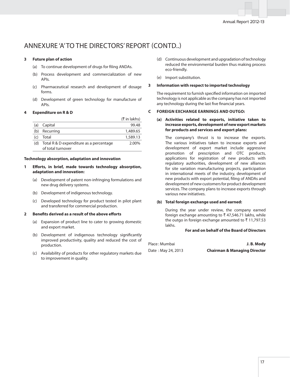### ANNEXURE 'A' TO THE DIRECTORS' REPORT (CONTD..)

### **3 Future plan of action**

- (a) To continue development of drugs for filing ANDAs.
- (b) Process development and commercialization of new APIs.
- (c) Pharmaceutical research and development of dosage forms.
- (d) Development of green technology for manufacture of APIs.

### **4 Expenditure on R & D**

|     |                                                              | (₹ in lakhs) |
|-----|--------------------------------------------------------------|--------------|
| (a) | Capital                                                      | 99.48        |
| (b) | Recurring                                                    | 1,489.65     |
| (C) | Total                                                        | 1,589.13     |
| (d) | Total R & D expenditure as a percentage<br>of total turnover | 2.00%        |

#### **Technology absorption, adaptation and innovation**

- **1 Eff orts, in brief, made towards technology absorption, adaptation and innovation:**
	- (a) Development of patent non-infringing formulations and new drug delivery systems.
	- (b) Development of indigenous technology.
	- (c) Developed technology for product tested in pilot plant and transferred for commercial production.

### **2** Benefits derived as a result of the above efforts

- (a) Expansion of product line to cater to growing domestic and export market.
- (b) Development of indigenous technology significantly improved productivity, quality and reduced the cost of production.
- (c) Availability of products for other regulatory markets due to improvement in quality.
- (d) Continuous development and upgradation of technology reduced the environmental burden thus making process eco-friendly.
- (e) Import substitution.

### **3 Information with respect to imported technology**

The requirement to furnish specified information on imported technology is not applicable as the company has not imported any technology during the last five financial years.

### **C FOREIGN EXCHANGE EARNINGS AND OUTGO:**

### **(a) Activities related to exports, initiative taken to increase exports, development of new export markets for products and services and export plans:**

 The company's thrust is to increase the exports. The various initiatives taken to increase exports and development of export market include aggressive promotion of prescription and OTC products, applications for registration of new products with regulatory authorities, development of new alliances for site variation manufacturing projects, participation in international meets of the industry, development of new products with export potential, filing of ANDAs and development of new customers for product development services. The company plans to increase exports through various new initiatives.

### **(b) Total foreign exchange used and earned:**

 During the year under review, the company earned foreign exchange amounting to  $\bar{\tau}$  47,546.71 lakhs, while the outgo in foreign exchange amounted to  $\bar{\tau}$  11,797.53 lakhs.

### **For and on behalf of the Board of Directors**

| Place : Mumbai     | J.B. Mody                               |
|--------------------|-----------------------------------------|
| Date: May 24, 2013 | <b>Chairman &amp; Managing Director</b> |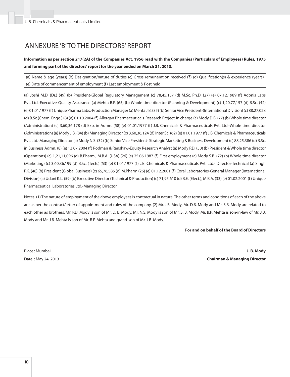### ANNEXURE 'B' TO THE DIRECTORS' REPORT

**Information as per section 217(2A) of the Companies Act, 1956 read with the Companies (Particulars of Employees) Rules, 1975 and forming part of the directors' report for the year ended on March 31, 2013.**

(a) Name & age (years) (b) Designation/nature of duties (c) Gross remuneration received  $(\bar{x})$  (d) Qualification(s) & experience (years) (e) Date of commencement of employment (f) Last employment & Post held

(a) Joshi M.D. (Dr.) (49) (b) President-Global Regulatory Management (c) 78,45,157 (d) M.Sc. Ph.D. (27) (e) 07.12.1989 (f) Adonis Labs Pvt. Ltd.-Executive-Quality Assurance (a) Mehta B.P. (65) (b) Whole time director (Planning & Development) (c) 1,20,77,157 (d) B.Sc. (42) (e) 01.01.1977 (f) Unique Pharma Labs.-Production Manager (a) Mehta J.B. (35) (b) Senior Vice President-(International Division) (c) 88,27,028 (d) B.Sc.(Chem. Engg.) (8) (e) 01.10.2004 (f) Allergan Pharmaceuticals-Research Project-In charge (a) Mody D.B. (77) (b) Whole time director (Administration) (c) 3,60,36,178 (d) Exp. in Admn. (58) (e) 01.01.1977 (f) J.B. Chemicals & Pharmaceuticals Pvt. Ltd.-Whole time director (Administration) (a) Mody J.B. (84) (b) Managing Director (c) 3,60,36,124 (d) Inter Sc. (62) (e) 01.01.1977 (f) J.B. Chemicals & Pharmaceuticals Pvt. Ltd.-Managing Director (a) Mody N.S. (32) (b) Senior Vice President- Strategic Marketing & Business Development (c) 88,25,386 (d) B.Sc. in Business Admn. (8) (e) 13.07.2004 (f) Rodman & Renshaw**-**Equity Research Analyst (a) Mody P.D. (50) (b) President & Whole time director (Operations) (c) 1,21,11,096 (d) B.Pharm., M.B.A. (USA) (26) (e) 25.06.1987 (f) First employment (a) Mody S.B. (72) (b) Whole time director (Marketing) (c) 3,60,36,199 (d) B.Sc. (Tech.) (53) (e) 01.01.1977 (f) J.B. Chemicals & Pharmaceuticals Pvt. Ltd.- Director-Technical (a) Singh P.K. (48) (b) President (Global Business) (c) 65,76,585 (d) M.Pharm (26) (e) 01.12.2001 (f) Coral Laboratories-General Manager (International Division) (a) Udani K.L. (59) (b) Executive Director (Technical & Production) (c) 71,95,610 (d) B.E. (Elect.), M.B.A. (33) (e) 01.02.2001 (f) Unique Pharmaceutical Laboratories Ltd.-Managing Director

Notes: (1) The nature of employment of the above employees is contractual in nature. The other terms and conditions of each of the above are as per the contract/letter of appointment and rules of the company. (2) Mr. J.B. Mody, Mr. D.B. Mody and Mr. S.B. Mody are related to each other as brothers. Mr. P.D. Mody is son of Mr. D. B. Mody. Mr. N.S. Mody is son of Mr. S. B. Mody. Mr. B.P. Mehta is son-in-law of Mr. J.B. Mody and Mr. J.B. Mehta is son of Mr. B.P. Mehta and grand-son of Mr. J.B. Mody.

### **For and on behalf of the Board of Directors**

Place : Mumbai **J. B. Mody** Date : May 24, 2013 **Chairman & Managing Director**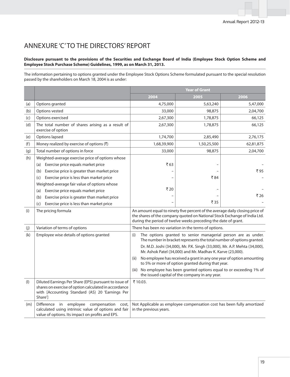### ANNEXURE 'C' TO THE DIRECTORS' REPORT

### **Disclosure pursuant to the provisions of the Securities and Exchange Board of India (Employee Stock Option Scheme and Employee Stock Purchase Scheme) Guidelines, 1999, as on March 31, 2013.**

The information pertaining to options granted under the Employee Stock Options Scheme formulated pursuant to the special resolution passed by the shareholders on March 18, 2004 is as under:

|           |                                                                                                                                                                              | <b>Year of Grant</b>                                                                                                                                                                                                        |                                                                                                                                          |           |  |
|-----------|------------------------------------------------------------------------------------------------------------------------------------------------------------------------------|-----------------------------------------------------------------------------------------------------------------------------------------------------------------------------------------------------------------------------|------------------------------------------------------------------------------------------------------------------------------------------|-----------|--|
|           |                                                                                                                                                                              | 2004                                                                                                                                                                                                                        | 2005                                                                                                                                     | 2006      |  |
| (a)       | Options granted                                                                                                                                                              | 4,75,000                                                                                                                                                                                                                    | 5,63,240                                                                                                                                 | 5,47,000  |  |
| (b)       | Options vested                                                                                                                                                               | 33,000                                                                                                                                                                                                                      | 98,875                                                                                                                                   | 2,04,700  |  |
| (c)       | Options exercised                                                                                                                                                            | 2,67,300                                                                                                                                                                                                                    | 1,78,875                                                                                                                                 | 66,125    |  |
| (d)       | The total number of shares arising as a result of<br>exercise of option                                                                                                      | 2,67,300                                                                                                                                                                                                                    | 1,78,875                                                                                                                                 | 66,125    |  |
| (e)       | Options lapsed                                                                                                                                                               | 1,74,700                                                                                                                                                                                                                    | 2,85,490                                                                                                                                 | 2,76,175  |  |
| (f)       | Money realized by exercise of options (₹)                                                                                                                                    | 1,68,39,900                                                                                                                                                                                                                 | 1,50,25,500                                                                                                                              | 62,81,875 |  |
| (g)       | Total number of options in force                                                                                                                                             | 33,000                                                                                                                                                                                                                      | 98,875                                                                                                                                   | 2,04,700  |  |
| (h)       | Weighted-average exercise price of options whose                                                                                                                             |                                                                                                                                                                                                                             |                                                                                                                                          |           |  |
|           | Exercise price equals market price<br>(a)                                                                                                                                    | ₹63                                                                                                                                                                                                                         |                                                                                                                                          |           |  |
|           | Exercise price is greater than market price<br>(b)                                                                                                                           |                                                                                                                                                                                                                             |                                                                                                                                          | ₹ 95      |  |
|           | Exercise price is less than market price<br>(c)                                                                                                                              |                                                                                                                                                                                                                             | ₹84                                                                                                                                      |           |  |
|           | Weighted-average fair value of options whose                                                                                                                                 |                                                                                                                                                                                                                             |                                                                                                                                          |           |  |
|           | Exercise price equals market price<br>(a)                                                                                                                                    | ₹20                                                                                                                                                                                                                         |                                                                                                                                          |           |  |
|           | Exercise price is greater than market price<br>(b)                                                                                                                           |                                                                                                                                                                                                                             |                                                                                                                                          | ₹26       |  |
|           | Exercise price is less than market price<br>(c)                                                                                                                              |                                                                                                                                                                                                                             | ₹35                                                                                                                                      |           |  |
| (i)       | The pricing formula                                                                                                                                                          | An amount equal to ninety five percent of the average daily closing price of<br>the shares of the company quoted on National Stock Exchange of India Ltd.<br>during the period of twelve weeks preceding the date of grant. |                                                                                                                                          |           |  |
| (j)       | Variation of terms of options                                                                                                                                                |                                                                                                                                                                                                                             | There has been no variation in the terms of options.                                                                                     |           |  |
| (k)       | Employee wise details of options granted                                                                                                                                     | (i)                                                                                                                                                                                                                         | The options granted to senior managerial person are as under.<br>The number in bracket represents the total number of options granted.   |           |  |
|           |                                                                                                                                                                              |                                                                                                                                                                                                                             | Dr. M.D. Joshi (34,000), Mr. P.K. Singh (33,000), Mr. A.P. Mehta (34,000),<br>Mr. Ashok Patel (34,000) and Mr. Madhav K. Karve (23,000). |           |  |
|           |                                                                                                                                                                              | (ii)                                                                                                                                                                                                                        | No employee has received a grant in any one year of option amounting<br>to 5% or more of option granted during that year.                |           |  |
|           |                                                                                                                                                                              | (iii)                                                                                                                                                                                                                       | No employee has been granted options equal to or exceeding 1% of<br>the issued capital of the company in any year.                       |           |  |
| $($ l $)$ | Diluted Earnings Per Share (EPS) pursuant to issue of<br>shares on exercise of option calculated in accordance<br>with [Accounting Standard (AS) 20 'Earnings Per<br>Share'] | ₹10.03.                                                                                                                                                                                                                     |                                                                                                                                          |           |  |
| (m)       | Difference in<br>employee<br>compensation<br>cost,<br>calculated using intrinsic value of options and fair<br>value of options. Its impact on profits and EPS.               | in the previous years.                                                                                                                                                                                                      | Not Applicable as employee compensation cost has been fully amortized                                                                    |           |  |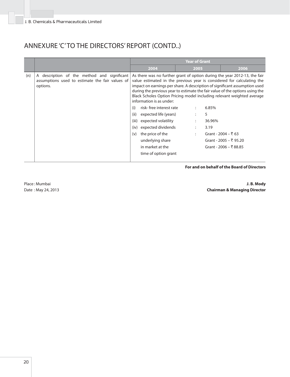### ANNEXURE 'C' TO THE DIRECTORS' REPORT (CONTD..)

|     |                                                                                                            | <b>Year of Grant</b>                                                                                                                                                                                                                                 |                                                                                                                                                                                                                                                                                                                                                                                                                             |                                                                        |
|-----|------------------------------------------------------------------------------------------------------------|------------------------------------------------------------------------------------------------------------------------------------------------------------------------------------------------------------------------------------------------------|-----------------------------------------------------------------------------------------------------------------------------------------------------------------------------------------------------------------------------------------------------------------------------------------------------------------------------------------------------------------------------------------------------------------------------|------------------------------------------------------------------------|
|     |                                                                                                            | 2004                                                                                                                                                                                                                                                 | 2005                                                                                                                                                                                                                                                                                                                                                                                                                        | 2006                                                                   |
| (n) | A description of the method and significant<br>assumptions used to estimate the fair values of<br>options. | information is as under:<br>risk-free interest rate<br>(i)<br>(ii)<br>expected life (years)<br>(iii)<br>expected volatility<br>expected dividends<br>(iv)<br>the price of the<br>(v)<br>underlying share<br>in market at the<br>time of option grant | As there was no further grant of option during the year 2012-13, the fair<br>value estimated in the previous year is considered for calculating the<br>impact on earnings per share. A description of significant assumption used<br>during the previous year to estimate the fair value of the options using the<br>Black Scholes Option Pricing model including relevant weighted average<br>6.85%<br>5<br>36.96%<br>3.19 | Grant - 2004 – ₹ 63<br>Grant - 2005 – ₹ 95.20<br>Grant - 2006 – ₹88.85 |

### **For and on behalf of the Board of Directors**

Place : Mumbai **J. B. Mody** Date : May 24, 2013 **Chairman & Managing Director**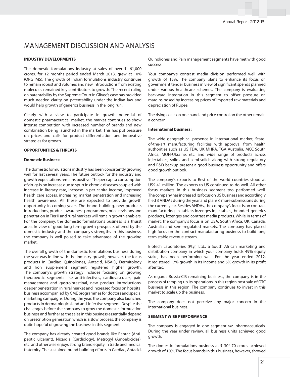### MANAGEMENT DISCUSSION AND ANALYSIS

### **INDUSTRY DEVELOPMENTS**

The domestic formulations industry at sales of over  $\bar{\tau}$  61,000 crores, for 12 months period ended March 2013, grew at 10% (ORG IMS). The growth of Indian formulations industry continues to remain robust and volumes and new introductions from existing molecules remained key contributors to growth. The recent ruling on patentability by the Supreme Court in Glivec's case has provided much needed clarity on patentability under the Indian law and would help growth of generics business in the long run.

Clearly with a view to participate in growth potential of domestic pharmaceutical market, the market continues to show intense competition with increased number of brands and new combination being launched in the market. This has put pressure on prices and calls for product differentiation and innovative strategies for growth.

### **OPPORTUNITIES & THREATS**

#### **Domestic Business:**

The domestic formulations industry has been consistently growing well for last several years. The future outlook for the industry and growth expectations remains positive. The per capita consumption of drugs is on increase due to spurt in chronic diseases coupled with increase in literacy rate, increase in per capita income, improved health care access, increasing market penetration and increasing health awareness. All these are expected to provide growth opportunity in coming years. The brand building, new products introductions, product awareness programmes, price revisions and penetration in Tier II and rural markets will remain growth enablers. For the company, the domestic formulations business is a thurst area. In view of good long term growth prospects offered by the domestic industry and the company's strengths in this business, the company is well poised to take advantage of the growing market.

The overall growth of the domestic formulations business during the year was in line with the industry growth, however, the focus products in Cardiac, Quinoliones, Antacid, NSAID, Dermitology and Iron supplement segment registered higher growth. The company's growth strategy includes focusing on growing therapeutic segments like anti-infectives, cardiovasculars, pain management and gastrointestinal, new product introductions, deeper penetration in rural market and increased focus on hospital business accompanied by CME programmes for doctors and special marketing campaigns. During the year, the company also launched products in dermatological and anti-infective segment. Despite the challenges before the company to grow the domestic formulation business and further as the sales in this business essentially depend on prescription generation which is a slow process, the company is quite hopeful of growing the business in this segment.

The company has already created good brands like Rantac (Antipeptic ulcerant), Nicardia (Cardiology), Metrogyl (Amoebicides), etc. and otherwise enjoys strong brand equity in trade and medical fraternity. The sustained brand building efforts in Cardiac, Antacid, Quinoliones and Pain management segments have met with good success.

Your company's contrast media division performed well with growth of 15%. The company plans to enhance its focus on government tender business in view of significant spends planned under various healthcare schemes. The company is evaluating backward integration in this segment to offset pressure on margins posed by increasing prices of imported raw materials and depreciation of Rupee.

The rising costs on one hand and price control on the other remain a concern.

#### **International business:**

The wide geographical presence in international market, Stateof-the-art manufacturing facilities with approval from health authorities such as US FDA, UK MHRA, TGA Australia, MCC South Africa, MOH-Ukraine, etc. and wide range of products across injectables, solids and semi-solids along with strong regulatory and R&D backup present a good business opportunity and offers good growth outlook.

The company's exports to Rest of the world countries stood at US\$ 41 million. The exports to US continued to do well. All other focus markets in this business segment too performed well. The company has increased its focus on US business and accordingly filed 3 ANDAs during the year and plans 6 more submissions during the current year. Besides ANDAs, the company's focus is on contract manufacturing in tablets-lozenges-injectables, branded generics products, lozenges and contrast media products. While in terms of market, the company's focus is on USA, South Africa, UK, Canada, Australia and semi-regulated markets. The company has placed high focus on the contract manufacturing business to build long term stable revenue stream.

Biotech Laboratories (Pty.) Ltd., a South African marketing and distribution company in which your company holds 49% equity stake, has been performing well. For the year ended 2012, it registered 17% growth in its income and 5% growth in its profit after tax.

As regards Russia-CIS remaining business, the company is in the process of ramping up its operations in this region post sale of OTC business in this region. The company continues to invest in this market to scale up the business.

The company does not perceive any major concern in the international business.

### **SEGMENT WISE PERFORMANCE**

The company is engaged in one segment viz. pharmaceuticals. During the year under review, all business units achieved good growth.

The domestic formulations business at  $\bar{\tau}$  304.70 crores achieved growth of 10%. The focus brands in this business, however, showed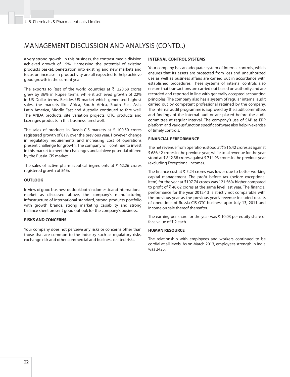### MANAGEMENT DISCUSSION AND ANALYSIS (CONTD..)

a very strong growth. In this business, the contrast media division achieved growth of 15%. Harnessing the potential of existing products basket, penetration into existing and new markets and focus on increase in productivity are all expected to help achieve good growth in the current year.

The exports to Rest of the world countries at  $\bar{\tau}$  220.68 crores grew by 36% in Rupee terms, while it achieved growth of 22% in US Dollar terms. Besides US market which generated highest sales, the markets like Africa, South Africa, South East Asia, Latin America, Middle East and Australia continued to fare well. The ANDA products, site variation projects, OTC products and Lozenges products in this business fared well.

The sales of products in Russia-CIS markets at  $\bar{\tau}$  100.50 crores registered growth of 81% over the previous year. However, change in regulatory requirements and increasing cost of operations present challenge for growth. The company will continue to invest in this market to meet the challenges and achieve potential offered by the Russia-CIS market.

The sales of active pharmaceutical ingredients at  $\bar{\tau}$  62.26 crores registered growth of 56%.

#### **OUTLOOK**

In view of good business outlook both in domestic and international market as discussed above, the company's manufacturing infrastructure of international standard, strong products portfolio with growth brands, strong marketing capability and strong balance sheet present good outlook for the company's business.

#### **RISKS AND CONCERNS**

Your company does not perceive any risks or concerns other than those that are common to the industry such as regulatory risks, exchange risk and other commercial and business related risks.

#### **INTERNAL CONTROL SYSTEMS**

Your company has an adequate system of internal controls, which ensures that its assets are protected from loss and unauthorized use as well as business affairs are carried out in accordance with established procedures. These systems of internal controls also ensure that transactions are carried out based on authority and are recorded and reported in line with generally accepted accounting principles. The company also has a system of regular internal audit carried out by competent professional retained by the company. The internal audit programme is approved by the audit committee, and findings of the internal auditor are placed before the audit committee at regular interval. The company's use of SAP as ERP platform and various function specific software also help in exercise of timely controls.

### **FINANCIAL PERFORMANCE**

The net revenue from operations stood at  $\bar{\tau}$  816.42 crores as against ₹686.42 crores in the previous year, while total revenue for the year stood at  $\bar{\tau}$  842.38 crores against  $\bar{\tau}$  714.93 crores in the previous year (excluding Exceptional income).

The finance cost at  $\bar{\tau}$  5.24 crores was lower due to better working capital management. The profit before tax (before exceptional item) for the year at  $\overline{5}107.74$  crores was 121.56% higher compared to profit of  $\bar{\tau}$  48.62 crores at the same level last year. The financial performance for the year 2012-13 is strictly not comparable with the previous year as the previous year's revenue included results of operations of Russia-CIS OTC business upto July 13, 2011 and income on sale thereof thereafter.

The earning per share for the year was  $\bar{\tau}$  10.03 per equity share of face value of  $\bar{z}$  2 each.

#### **HUMAN RESOURCE**

The relationship with employees and workers continued to be cordial at all levels. As on March 2013, employees strength in India was 2425.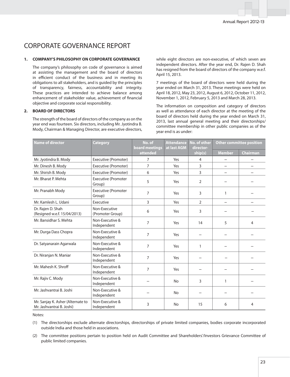### CORPORATE GOVERNANCE REPORT

#### **1. COMPANY'S PHILOSOPHY ON CORPORATE GOVERNANCE**

 The company's philosophy on code of governance is aimed at assisting the management and the board of directors in efficient conduct of the business and in meeting its obligations to all stakeholders, and is guided by the principles of transparency, fairness, accountability and integrity. These practices are intended to achieve balance among enhancement of stakeholder value, achievement of financial objective and corporate social responsibility.

### **2. BOARD OF DIRECTORS**

 The strength of the board of directors of the company as on the year end was fourteen. Six directors, including Mr. Jyotindra B. Mody, Chairman & Managing Director, are executive directors, while eight directors are non-executive, of which seven are independent directors. After the year end, Dr. Rajen D. Shah has resigned from the board of directors of the company w.e.f. April 15, 2013.

 7 meetings of the board of directors were held during the year ended on March 31, 2013. These meetings were held on April 18, 2012, May 23, 2012, August 6, 2012, October 11, 2012, November 1, 2012, February 5, 2013 and March 28, 2013.

 The information on composition and category of directors as well as attendance of each director at the meeting of the board of directors held during the year ended on March 31, 2013, last annual general meeting and their directorships/ committee membership in other public companies as of the year end is as under:

| <b>Name of director</b>                                        | <b>Category</b>                      | No. of<br>board meetings | <b>Attendance</b><br>at last AGM | No. of other<br>director- | <b>Other committee position</b> |                          |
|----------------------------------------------------------------|--------------------------------------|--------------------------|----------------------------------|---------------------------|---------------------------------|--------------------------|
|                                                                |                                      | attended                 |                                  | ship(s)                   | <b>Member</b>                   | <b>Chairman</b>          |
| Mr. Jyotindra B. Mody                                          | Executive (Promoter)                 | 7                        | Yes                              | 4                         |                                 |                          |
| Mr. Dinesh B. Mody                                             | Executive (Promoter)                 | $\overline{7}$           | Yes                              | 3                         |                                 |                          |
| Mr. Shirish B. Mody                                            | Executive (Promoter)                 | 6                        | Yes                              | 3                         | $\overline{\phantom{a}}$        | $\rightarrow$            |
| Mr. Bharat P. Mehta                                            | <b>Executive (Promoter</b><br>Group) | 5                        | Yes                              | 2                         |                                 |                          |
| Mr. Pranabh Mody                                               | <b>Executive (Promoter</b><br>Group) | $\overline{7}$           | Yes                              | 3                         | $\mathbf{1}$                    |                          |
| Mr. Kamlesh L. Udani                                           | Executive                            | 3                        | Yes                              | $\overline{2}$            | $\overline{\phantom{0}}$        | $\overline{\phantom{a}}$ |
| Dr. Rajen D. Shah<br>(Resigned w.e.f. 15/04/2013)              | Non-Executive<br>(Promoter Group)    | 6                        | Yes                              | 3                         |                                 |                          |
| Mr. Bansidhar S. Mehta                                         | Non-Executive &<br>Independent       | 7                        | Yes                              | 14                        | 5                               | $\overline{4}$           |
| Mr. Durga Dass Chopra                                          | Non-Executive &<br>Independent       | $\overline{7}$           | Yes                              |                           |                                 |                          |
| Dr. Satyanarain Agarwala                                       | Non-Executive &<br>Independent       | $\overline{7}$           | Yes                              | 1                         |                                 |                          |
| Dr. Niranjan N. Maniar                                         | Non-Executive &<br>Independent       | 7                        | Yes                              |                           |                                 |                          |
| Mr. Mahesh K. Shroff                                           | Non-Executive &<br>Independent       | 7                        | Yes                              |                           |                                 |                          |
| Mr. Rajiv C. Mody                                              | Non-Executive &<br>Independent       |                          | <b>No</b>                        | 3                         | 1                               |                          |
| Mr. Jashvantrai B. Joshi                                       | Non-Executive &<br>Independent       |                          | No                               |                           |                                 |                          |
| Mr. Sanjay K. Asher (Alternate to<br>Mr. Jashvantrai B. Joshi) | Non-Executive &<br>Independent       | 3                        | No                               | 15                        | 6                               | 4                        |

Notes:

(1) The directorships exclude alternate directorships, directorships of private limited companies, bodies corporate incorporated outside India and those held in associations.

(2) The committee positions pertain to position held on Audit Committee and Shareholders'/Investors Grievance Committee of public limited companies.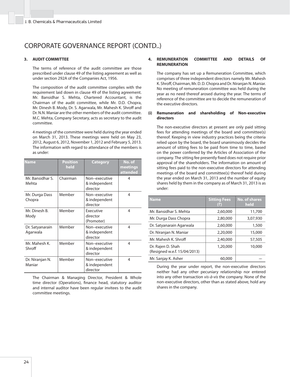### **3. AUDIT COMMITTEE**

 The terms of reference of the audit committee are those prescribed under clause 49 of the listing agreement as well as under section 292A of the Companies Act, 1956.

 The composition of the audit committee complies with the requirement laid down in clause 49 of the listing agreement. Mr. Bansidhar S. Mehta, Chartered Accountant, is the Chairman of the audit committee, while Mr. D.D. Chopra, Mr. Dinesh B. Mody, Dr. S. Agarwala, Mr. Mahesh K. Shroff and Dr. N.N. Maniar are the other members of the audit committee. M.C. Mehta, Company Secretary, acts as secretary to the audit committee.

 4 meetings of the committee were held during the year ended on March 31, 2013. These meetings were held on May 23, 2012, August 6, 2012, November 1, 2012 and February 5, 2013. The information with regard to attendance of the members is as under:

| <b>Name</b>                 | <b>Position</b><br>held | <b>Category</b>                            | No. of<br>meetings<br>attended |
|-----------------------------|-------------------------|--------------------------------------------|--------------------------------|
| Mr. Bansidhar S.<br>Mehta   | Chairman                | Non-executive<br>& independent<br>director | 4                              |
| Mr. Durga Dass<br>Chopra    | Member                  | Non-executive<br>& independent<br>director | 4                              |
| Mr. Dinesh B.<br>Mody       | Member                  | Executive<br>director<br>(Promoter)        | 4                              |
| Dr. Satyanarain<br>Agarwala | Member                  | Non-executive<br>& independent<br>director | 4                              |
| Mr. Mahesh K.<br>Shroff     | Member                  | Non-executive<br>& independent<br>director | 4                              |
| Dr. Niranjan N.<br>Maniar   | Member                  | Non-executive<br>& independent<br>director | 4                              |

 The Chairman & Managing Director, President & Whole time director (Operations), finance head, statutory auditor and internal auditor have been regular invitees to the audit committee meetings.

### **4. REMUNERATION COMMITTEE AND DETAILS OF REMUNERATION**

 The company has set up a Remuneration Committee, which comprises of three independent directors namely Mr. Mahesh K. Shroff, Chairman, Mr. D. D. Chopra and Dr. Niranjan N. Maniar. No meeting of remuneration committee was held during the year as no need thereof arosed during the year. The terms of reference of the committee are to decide the remuneration of the executive directors.

### **(i) Remuneration and shareholding of Non-executive directors**

 The non-executive directors at present are only paid sitting fees for attending meetings of the board and committee(s) thereof. Keeping in view industry practices being the criteria relied upon by the board, the board unanimously decides the amount of sitting fees to be paid from time to time, based on the power conferred by the Articles of Association of the company. The sitting fee presently fixed does not require prior approval of the shareholders. The information on amount of sitting fees paid to the non-executive directors for attending meetings of the board and committee(s) thereof held during the year ended on March 31, 2013 and the number of equity shares held by them in the company as of March 31, 2013 is as under:

| <b>Name</b>                                       | <b>Sitting Fees</b><br>(3) | <b>No. of shares</b><br>held |
|---------------------------------------------------|----------------------------|------------------------------|
| Mr. Bansidhar S. Mehta                            | 2,60,000                   | 11,700                       |
| Mr. Durga Dass Chopra                             | 2,80,000                   | 3,07,930                     |
| Dr. Satyanarain Agarwala                          | 2,60,000                   | 1,500                        |
| Dr. Niranjan N. Maniar                            | 2,20,000                   | 15,000                       |
| Mr. Mahesh K. Shroff                              | 2,40,000                   | 57,505                       |
| Dr. Rajen D. Shah<br>(Resigned w.e.f. 15/04/2013) | 1,20,000                   | 10,000                       |
| Mr. Sanjay K. Asher                               | 60,000                     |                              |

 During the year under report, the non-executive directors neither had any other pecuniary relationship nor entered into any other transaction vis-à-vis the company. None of the non-executive directors, other than as stated above, hold any shares in the company.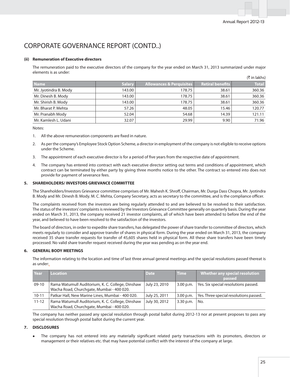### **(ii) Remuneration of Executive directors**

The remuneration paid to the executive directors of the company for the year ended on March 31, 2013 summarized under major elements is as under:  $(F$  in lakhel

|                       |               |                                     |                  | \\!!!!!!!!!!! |
|-----------------------|---------------|-------------------------------------|------------------|---------------|
| <b>Name</b>           | <b>Salary</b> | <b>Allowances &amp; Perquisites</b> | Retiral benefits | <b>Total</b>  |
| Mr. Jyotindra B. Mody | 143.00        | 178.75                              | 38.61            | 360.36        |
| Mr. Dinesh B. Mody    | 143.00        | 178.75                              | 38.61            | 360.36        |
| Mr. Shirish B. Mody   | 143.00        | 178.75                              | 38.61            | 360.36        |
| Mr. Bharat P. Mehta   | 57.26         | 48.05                               | 15.46            | 120.77        |
| Mr. Pranabh Mody      | 52.04         | 54.68                               | 14.39            | 121.11        |
| Mr. Kamlesh L. Udani  | 32.07         | 29.99                               | 9.90             | 71.96         |

Notes:

- 1. All the above remuneration components are fixed in nature.
- 2. As per the company's Employee Stock Option Scheme, a director in employment of the company is not eligible to receive options under the Scheme.
- 3. The appointment of each executive director is for a period of five years from the respective date of appointment.
- 4. The company has entered into contract with each executive director setting out terms and conditions of appointment, which contract can be terminated by either party by giving three months notice to the other. The contract so entered into does not provide for payment of severance fees.

### **5. SHAREHOLDERS/ INVESTORS GRIEVANCE COMMITTEE**

The Shareholders/Investors Grievance committee comprises of Mr. Mahesh K. Shroff, Chairman, Mr. Durga Dass Chopra, Mr. Jyotindra B. Mody and Mr. Dinesh B. Mody. M. C. Mehta, Company Secretary, acts as secretary to the committee, and is the compliance officer.

 The complaints received from the investors are being regularly attended to and are believed to be resolved to their satisfaction. The status of the investors' complaints is reviewed by the Investors Grievance Committee generally on quarterly basis. During the year ended on March 31, 2013, the company received 21 investor complaints, all of which have been attended to before the end of the year, and believed to have been resolved to the satisfaction of the investors.

 The board of directors, in order to expedite share transfers, has delegated the power of share transfer to committee of directors, which meets regularly to consider and approve transfer of shares in physical form. During the year ended on March 31, 2013, the company received 35 share transfer requests for transfer of 45,605 shares held in physical form. All these share transfers have been timely processed. No valid share transfer request received during the year was pending as on the year end.

### **6. GENERAL BODY MEETINGS**

 The information relating to the location and time of last three annual general meetings and the special resolutions passed thereat is as under:

| Year      | Location                                         | <b>Date</b>   | <b>Time</b> | <b>Whether any special resolution</b>  |
|-----------|--------------------------------------------------|---------------|-------------|----------------------------------------|
|           |                                                  |               |             | passed                                 |
| $09-10$   | Rama Watumull Auditorium, K. C. College, Dinshaw | July 23, 2010 | $3.00$ p.m. | Yes. Six special resolutions passed.   |
|           | Wacha Road, Churchgate, Mumbai - 400 020.        |               |             |                                        |
| $10 - 11$ | Patkar Hall, New Marine Lines, Mumbai - 400 020. | July 25, 2011 | $3.00$ p.m. | Yes. Three special resolutions passed. |
| $11 - 12$ | Rama Watumull Auditorium, K. C. College, Dinshaw | July 30, 2012 | 3.30 p.m.   | No.                                    |
|           | Wacha Road, Churchgate, Mumbai - 400 020.        |               |             |                                        |

 The company has neither passed any special resolution through postal ballot during 2012-13 nor at present proposes to pass any special resolution through postal ballot during the current year.

### **7. DISCLOSURES**

The company has not entered into any materially significant related party transactions with its promoters, directors or management or their relatives etc. that may have potential conflict with the interest of the company at large.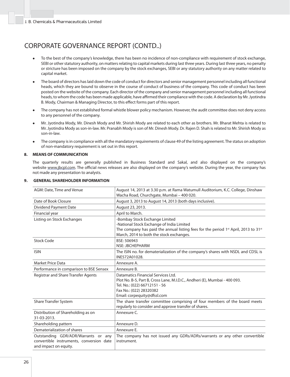- To the best of the company's knowledge, there has been no incidence of non-compliance with requirement of stock exchange, SEBI or other statutory authority, on matters relating to capital markets during last three years. During last three years, no penalty or stricture has been imposed on the company by the stock exchanges, SEBI or any statutory authority on any matter related to capital market.
- The board of directors has laid down the code of conduct for directors and senior management personnel including all functional heads, which they are bound to observe in the course of conduct of business of the company. This code of conduct has been posted on the website of the company. Each director of the company and senior management personnel including all functional heads, to whom the code has been made applicable, have affirmed their compliance with the code. A declaration by Mr. Jyotindra B. Mody, Chairman & Managing Director, to this effect forms part of this report.
- The company has not established formal whistle blower policy mechanism. However, the audit committee does not deny access to any personnel of the company.
- <sup>z</sup> Mr. Jyotindra Mody, Mr. Dinesh Mody and Mr. Shirish Mody are related to each other as brothers. Mr. Bharat Mehta is related to Mr. Jyotindra Mody as son-in-law. Mr. Pranabh Mody is son of Mr. Dinesh Mody. Dr. Rajen D. Shah is related to Mr. Shirish Mody as son-in-law.
- The company is in compliance with all the mandatory requirements of clause 49 of the listing agreement. The status on adoption of non-mandatory requirement is set out in this report.

### **8. MEANS OF COMMUNICATION**

 The quarterly results are generally published in Business Standard and Sakal, and also displayed on the company's website www.jbcpl.com. The official news releases are also displayed on the company's website. During the year, the company has not made any presentation to analysts.

| AGM: Date, Time and Venue                                                                                | August 14, 2013 at 3.30 p.m. at Rama Watumull Auditorium, K.C. College, Dinshaw<br>Wacha Road, Churchgate, Mumbai - 400 020.                                                                                                 |
|----------------------------------------------------------------------------------------------------------|------------------------------------------------------------------------------------------------------------------------------------------------------------------------------------------------------------------------------|
| Date of Book Closure                                                                                     | August 3, 2013 to August 14, 2013 (both days inclusive).                                                                                                                                                                     |
| Dividend Payment Date                                                                                    | August 23, 2013.                                                                                                                                                                                                             |
| Financial year                                                                                           | April to March.                                                                                                                                                                                                              |
| Listing on Stock Exchanges                                                                               | -Bombay Stock Exchange Limited<br>-National Stock Exchange of India Limited<br>The company has paid the annual listing fees for the period $1st$ April, 2013 to 31 <sup>st</sup><br>March, 2014 to both the stock exchanges. |
| <b>Stock Code</b>                                                                                        | BSE: 506943<br><b>NSF: JRCHFPHARM</b>                                                                                                                                                                                        |
| <b>ISIN</b>                                                                                              | The ISIN no. for dematerialization of the company's shares with NSDL and CDSL is<br>INE572A01028.                                                                                                                            |
| <b>Market Price Data</b>                                                                                 | Annexure A.                                                                                                                                                                                                                  |
| Performance in comparison to BSE Sensex                                                                  | Annexure B.                                                                                                                                                                                                                  |
| Registrar and Share Transfer Agents                                                                      | Datamatics Financial Services Ltd.<br>Plot No. B-5, Part B, Cross Lane, M.I.D.C., Andheri (E), Mumbai - 400 093.<br>Tel. No.: (022) 66712151 - 56<br>Fax No.: (022) 28320382<br>Email: corpequity@dfssl.com                  |
| <b>Share Transfer System</b>                                                                             | The share transfer committee comprising of four members of the board meets<br>regularly to consider and approve transfer of shares.                                                                                          |
| Distribution of Shareholding as on<br>31-03-2013.                                                        | Annexure C.                                                                                                                                                                                                                  |
| Shareholding pattern                                                                                     | Annexure D.                                                                                                                                                                                                                  |
| Dematerialization of shares                                                                              | Annexure E.                                                                                                                                                                                                                  |
| Outstanding GDR/ADR/Warrants or any<br>convertible instruments, conversion date<br>and impact on equity. | The company has not issued any GDRs/ADRs/warrants or any other convertible<br>instrument.                                                                                                                                    |

### **9. GENERAL SHAREHOLDER INFORMATION**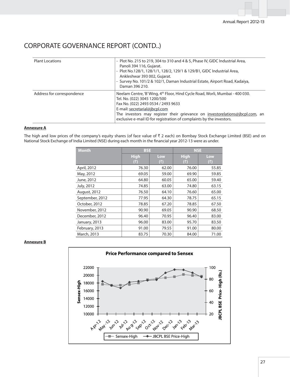| <b>Plant Locations</b>     | - Plot No. 215 to 219, 304 to 310 and 4 & 5, Phase IV, GIDC Industrial Area,<br>Panoli 394 116, Gujarat.<br>- Plot No.128/1, 128/1/1, 128/2, 129/1 & 129/B1, GIDC Industrial Area,<br>Ankleshwar 393 002, Gujarat.<br>- Survey No. 101/2 & 102/1, Daman Industrial Estate, Airport Road, Kadaiya,<br>Daman 396 210.                                       |
|----------------------------|-----------------------------------------------------------------------------------------------------------------------------------------------------------------------------------------------------------------------------------------------------------------------------------------------------------------------------------------------------------|
| Address for correspondence | Neelam Centre, 'B' Wing, 4 <sup>th</sup> Floor, Hind Cycle Road, Worli, Mumbai - 400 030.<br>Tel. No. (022) 3045 1200/500<br>Fax No. (022) 2493 0534 / 2493 9633<br>E-mail: secretarial@jbcpl.com<br>The investors may register their grievance on investorelations@jbcpl.com, an<br>exclusive e-mail ID for registration of complaints by the investors. |

### **Annexure A**

The high and low prices of the company's equity shares (of face value of  $\bar{\tau}$  2 each) on Bombay Stock Exchange Limited (BSE) and on National Stock Exchange of India Limited (NSE) during each month in the financial year 2012-13 were as under.

| <b>Month</b>        | <b>BSE</b>        |            | <b>NSE</b>         |            |  |  |
|---------------------|-------------------|------------|--------------------|------------|--|--|
|                     | <b>High</b><br>₹) | Low<br>(₹) | <b>High</b><br>(₹) | Low<br>(5) |  |  |
| April, 2012         | 76.30             | 62.00      | 76.00              | 55.85      |  |  |
| May, 2012           | 69.05             | 59.00      | 69.90              | 59.85      |  |  |
| June, 2012          | 64.80             | 60.05      | 65.00              | 59.40      |  |  |
| July, 2012          | 74.85             | 63.00      | 74.80              | 63.15      |  |  |
| <b>August, 2012</b> | 76.50             | 64.10      | 76.60              | 65.00      |  |  |
| September, 2012     | 77.95             | 64.30      | 78.75              | 65.15      |  |  |
| October, 2012       | 78.85             | 67.20      | 78.85              | 67.50      |  |  |
| November, 2012      | 90.90             | 69.05      | 90.90              | 68.50      |  |  |
| December, 2012      | 96.40             | 70.95      | 96.40              | 83.00      |  |  |
| January, 2013       | 96.00             | 83.00      | 95.70              | 83.50      |  |  |
| February, 2013      | 91.00             | 79.55      | 91.00              | 80.00      |  |  |
| March, 2013         | 83.75             | 70.30      | 84.00              | 71.00      |  |  |

### **Annexure B**

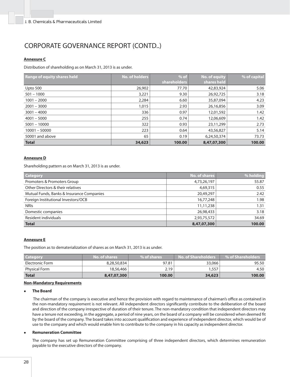### **Annexure C**

Distribution of shareholding as on March 31, 2013 is as under.

| <b>Range of equity shares held</b> | No. of holders | $%$ of       | No. of equity | % of capital |
|------------------------------------|----------------|--------------|---------------|--------------|
|                                    |                | shareholders | shares held   |              |
| Upto 500                           | 26,902         | 77.70        | 42,83,924     | 5.06         |
| $501 - 1000$                       | 3,221          | 9.30         | 26,92,725     | 3.18         |
| $1001 - 2000$                      | 2,284          | 6.60         | 35,87,094     | 4.23         |
| $2001 - 3000$                      | 1,015          | 2.93         | 26,16,856     | 3.09         |
| $3001 - 4000$                      | 336            | 0.97         | 12,01,592     | 1.42         |
| $4001 - 5000$                      | 255            | 0.74         | 12,06,609     | 1.42         |
| $5001 - 10000$                     | 322            | 0.93         | 23,11,299     | 2.73         |
| $10001 - 50000$                    | 223            | 0.64         | 43,56,827     | 5.14         |
| 50001 and above                    | 65             | 0.19         | 6,24,50,374   | 73.73        |
| <b>Total</b>                       | 34,623         | 100.00       | 8,47,07,300   | 100.00       |

### **Annexure D**

Shareholding pattern as on March 31, 2013 is as under.

| <b>Category</b>                           | <b>No. of shares</b> | % holding |
|-------------------------------------------|----------------------|-----------|
| Promoters & Promoters Group               | 4,73,26,197          | 55.87     |
| Other Directors & their relatives         | 4,69,315             | 0.55      |
| Mutual Funds, Banks & Insurance Companies | 20,49,297            | 2.42      |
| Foreign Institutional Investors/OCB       | 16,77,248            | 1.98      |
| <b>NRIS</b>                               | 11,11,238            | 1.31      |
| Domestic companies                        | 26,98,433            | 3.18      |
| Resident individuals                      | 2,93,75,572          | 34.69     |
| <b>Total</b>                              | 8,47,07,300          | 100.00    |

### **Annexure E**

The position as to dematerialization of shares as on March 31, 2013 is as under.

| <b>Category</b>      | No. of shares | % of shares | No. of Shareholders | ∣% of Shareholders |
|----------------------|---------------|-------------|---------------------|--------------------|
| Electronic Form      | 8,28,50,834   | 97.81       | 33,066              | 95.50              |
| <b>Physical Form</b> | 18,56,466     | 2.19        | 1,557               | 4.50               |
| <b>Total</b>         | 8,47,07,300   | 100.00      | 34,623              | 100.00             |

### **Non-Mandatory Requirements**

#### <sup>z</sup> **The Board**

The chairman of the company is executive and hence the provision with regard to maintenance of chairman's office as contained in the non-mandatory requirement is not relevant. All independent directors significantly contribute to the deliberation of the board and direction of the company irrespective of duration of their tenure. The non-mandatory condition that independent directors may have a tenure not exceeding, in the aggregate, a period of nine years, on the board of a company will be considered when deemed fit by the board of the company. The board takes into account qualification and experience of independent director, which would be of use to the company and which would enable him to contribute to the company in his capacity as independent director.

### <sup>z</sup> **Remuneration Committee**

 The company has set up Remuneration Committee comprising of three independent directors, which determines remuneration payable to the executive directors of the company.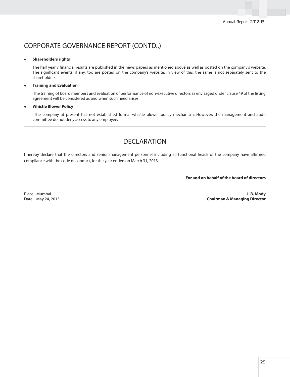### **Shareholders rights**

The half yearly financial results are published in the news papers as mentioned above as well as posted on the company's website. The significant events, if any, too are posted on the company's website. In view of this, the same is not separately sent to the shareholders.

### **Training and Evaluation**

 The training of board members and evaluation of performance of non-executive directors as envisaged under clause 49 of the listing agreement will be considered as and when such need arises.

### **Whistle Blower Policy**

 The company at present has not established formal whistle blower policy mechanism. However, the management and audit committee do not deny access to any employee.

### DECLARATION

I hereby declare that the directors and senior management personnel including all functional heads of the company have affirmed compliance with the code of conduct, for the year ended on March 31, 2013.

**For and on behalf of the board of directors**

Place : Mumbai **J. B. Mody** Date : May 24, 2013 **Chairman & Managing Director**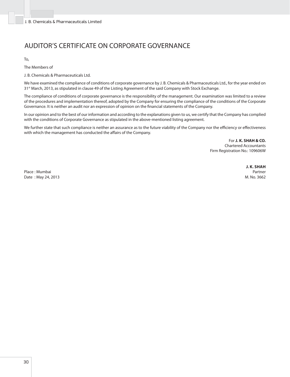### AUDITOR'S CERTIFICATE ON CORPORATE GOVERNANCE

To,

The Members of

J. B. Chemicals & Pharmaceuticals Ltd.

We have examined the compliance of conditions of corporate governance by J. B. Chemicals & Pharmaceuticals Ltd., for the year ended on 31st March, 2013, as stipulated in clause 49 of the Listing Agreement of the said Company with Stock Exchange.

The compliance of conditions of corporate governance is the responsibility of the management. Our examination was limited to a review of the procedures and implementation thereof, adopted by the Company for ensuring the compliance of the conditions of the Corporate Governance. It is neither an audit nor an expression of opinion on the financial statements of the Company.

In our opinion and to the best of our information and according to the explanations given to us, we certify that the Company has complied with the conditions of Corporate Governance as stipulated in the above-mentioned listing agreement.

We further state that such compliance is neither an assurance as to the future viability of the Company nor the efficiency or effectiveness with which the management has conducted the affairs of the Company.

> For **J. K. SHAH & CO.** Chartered Accountants Firm Registration No.: 109606W

Place : Mumbai Partner Date : May 24, 2013 M. No. 3662

**J. K. SHAH**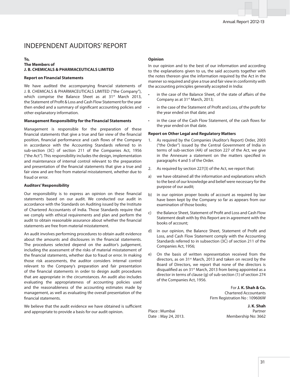### INDEPENDENT AUDITORS' REPORT

### **To, The Members of J. B. CHEMICALS & PHARMACEUTICALS LIMITED**

#### **Report on Financial Statements**

We have audited the accompanying financial statements of J. B. CHEMICALS & PHARMACEUTICALS LIMITED ("the Company"), which comprise the Balance Sheet as at 31<sup>st</sup> March 2013, the Statement of Profit & Loss and Cash Flow Statement for the year then ended and a summary of significant accounting policies and other explanatory information.

### **Management Responsibility for the Financial Statements**

Management is responsible for the preparation of these financial statements that give a true and fair view of the financial position, financial performance and cash flows of the Company in accordance with the Accounting Standards referred to in sub-section (3C) of section 211 of the Companies Act, 1956 ("the Act"). This responsibility includes the design, implementation and maintenance of internal control relevant to the preparation and presentation of the financial statements that give a true and fair view and are free from material misstatement, whether due to fraud or error.

#### **Auditors' Responsibility**

Our responsibility is to express an opinion on these financial statements based on our audit. We conducted our audit in accordance with the Standards on Auditing issued by the Institute of Chartered Accountants of India. Those Standards require that we comply with ethical requirements and plan and perform the audit to obtain reasonable assurance about whether the financial statements are free from material misstatement.

An audit involves performing procedures to obtain audit evidence about the amounts and disclosures in the financial statements. The procedures selected depend on the auditor's judgement, including the assessment of the risks of material misstatement of the financial statements, whether due to fraud or error. In making those risk assessments, the auditor considers internal control relevant to the Company's preparation and fair presentation of the financial statements in order to design audit procedures that are appropriate in the circumstances. An audit also includes evaluating the appropriateness of accounting policies used and the reasonableness of the accounting estimates made by management, as well as evaluating the overall presentation of the financial statements.

We believe that the audit evidence we have obtained is sufficient and appropriate to provide a basis for our audit opinion.

### **Opinion**

In our opinion and to the best of our information and according to the explanations given to us, the said accounts together with the notes thereon give the information required by the Act in the manner so required and give a true and fair view in conformity with the accounting principles generally accepted in India:

- in the case of the Balance Sheet, of the state of affairs of the Company as at 31<sup>st</sup> March, 2013;
- in the case of the Statement of Profit and Loss, of the profit for the year ended on that date; and
- in the case of the Cash Flow Statement, of the cash flows for the year ended on that date.

### **Report on Other Legal and Regulatory Matters**

- 1. As required by the Companies (Auditor's Report) Order, 2003 ("the Order") issued by the Central Government of India in terms of sub-section (4A) of section 227 of the Act, we give in the Annexure a statement on the matters specified in paragraphs 4 and 5 of the Order.
- 2. As required by section 227(3) of the Act, we report that:
- a) we have obtained all the information and explanations which to the best of our knowledge and belief were necessary for the purpose of our audit;
- b) in our opinion proper books of account as required by law have been kept by the Company so far as appears from our examination of those books;
- c) the Balance Sheet, Statement of Profit and Loss and Cash Flow Statement dealt with by this Report are in agreement with the books of account;
- d) in our opinion, the Balance Sheet, Statement of Profit and Loss, and Cash Flow Statement comply with the Accounting Standards referred to in subsection (3C) of section 211 of the Companies Act, 1956;
- e) On the basis of written representation received from the directors, as on 31<sup>st</sup> March, 2013 and taken on record by the Board of Directors, we report that none of the directors is disqualified as on 31<sup>st</sup> March, 2013 from being appointed as a director in terms of clause (g) of sub-section (1) of section 274 of the Companies Act, 1956.

For **J. K. Shah & Co.** Chartered Accountants Firm Registration No : 109606W

 **J. K. Shah** Place : Mumbai **Partner** Date : May 24, 2013. Membership No: 3662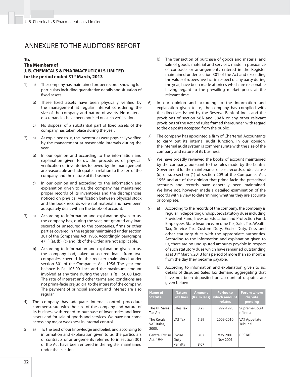### ANNEXURE TO THE AUDITORS' REPORT

### **To,**

### **The Members of J. B. CHEMICALS & PHARMACEUTICALS LIMITED for the period ended 31st March, 2013**

- 1) a) The company has maintained proper records showing full particulars including quantitative details and situation of fixed assets.
	- b) These fixed assets have been physically verified by the management at regular interval considering the size of the company and nature of assets. No material discrepancies have been noticed on such verification.
	- c) No disposal of a substantial part of fixed assets of the company has taken place during the year.
- 2) a) As explained to us, the inventories were physically verified by the management at reasonable intervals during the year.
	- b) In our opinion and according to the information and explanation given to us, the procedures of physical verification of inventories followed by the management are reasonable and adequate in relation to the size of the company and the nature of its business.
	- c) In our opinion and according to the information and explanation given to us, the company has maintained proper records of its inventories and the discrepancies noticed on physical verification between physical stock and the book records were not material and have been adequately dealt with in the books of account.
- 3) a) According to information and explanation given to us, the company has, during the year, not granted any loan secured or unsecured to the companies, firms or other parties covered in the register maintained under section 301 of the Companies Act, 1956. Accordingly, paragraphs 4 (iii) (a), (b), (c) and (d) of the Order, are not applicable.
	- b) According to information and explanation given to us, the company had, taken unsecured loans from two companies covered in the register maintained under section 301 of the Companies Act, 1956. The year end balance is Rs. 105.00 Lacs and the maximum amount involved at any time during the year is Rs. 150.00 Lacs. The rate of interest and other terms and conditions are not prima-facie prejudicial to the interest of the company. The payment of principal amount and interest are also regular.
- 4) The company has adequate internal control procedure commensurate with the size of the company and nature of its business with regard to purchase of inventories and fixed assets and for sale of goods and services. We have not come across any major weakness in internal control.
- 5) a) To the best of our knowledge and belief, and according to information and explanation given to us, the particulars of contracts or arrangements referred to in section 301 of the Act have been entered in the register maintained under that section.
- b) The transaction of purchase of goods and material and sale of goods, material and services, made in pursuance of contracts or arrangements entered in the Register maintained under section 301 of the Act and exceeding the value of rupees five lacs in respect of any party during the year, have been made at prices which are reasonable having regard to the prevailing market prices at the relevant time.
- 6) In our opinion and according to the information and explanation given to us, the company has complied with the directives issued by the Reserve Bank of India and the provisions of section 58A and 58AA or any other relevant provisions of the Act and rules framed thereunder, with regard to the deposits accepted from the public.
- 7) The company has appointed a firm of Chartered Accountants to carry out its internal audit function. In our opinion, the internal audit system is commensurate with the size of the company and nature of its business.
- 8) We have broadly reviewed the books of account maintained by the company, pursuant to the rules made by the Central Government for the maintenance of cost records, under clause (d) of sub-section (1) of section 209 of the Companies Act, 1956 and are of the opinion that prima facie the prescribed accounts and records have generally been maintained. We have not, however, made a detailed examination of the records with a view to determining whether they are accurate or complete.
- 9) a) According to the records of the company, the company is regular in depositing undisputed statutory dues including Provident Fund, Investor Education and Protection Fund, Employees' State Insurance, Income Tax, Sales Tax, Wealth Tax, Service Tax, Custom Duty, Excise Duty, Cess and other statutory dues with the appropriate authorities. According to the information and explanation given to us, there are no undisputed amounts payable in respect of such statutory dues which have remained outstanding as at 31<sup>st</sup> March, 2013 for a period of more than six months from the day they became payable.
	- b) According to information and explanation given to us, details of disputed Sales Tax demand aggregating that have not been deposited on account of disputes are given below:

| <b>Name of</b><br><b>Statute</b>  | <b>Nature</b><br>of Dues         | <b>Amount</b><br>(Rs. In lacs) | <b>Period to</b><br>which amount<br>relates | <b>Forum where</b><br>dispute<br>pending |
|-----------------------------------|----------------------------------|--------------------------------|---------------------------------------------|------------------------------------------|
| The UP Sales<br><b>Tax Act</b>    | Sales Tax                        | 0.25                           | 1992-1993                                   | Supreme Court<br>of India                |
| The Kerala<br>VAT Rules,<br>2005. | <b>VAT Tax</b>                   | 5.59                           | 2009-2010                                   | <b>VAT Appellate</b><br>Tribunal         |
| Central Excise<br>Act, 1944       | <b>Fxcise</b><br>Duty<br>Penalty | 8.07<br>8.07                   | May 2001<br>Nov 2001                        | <b>CESTAT</b>                            |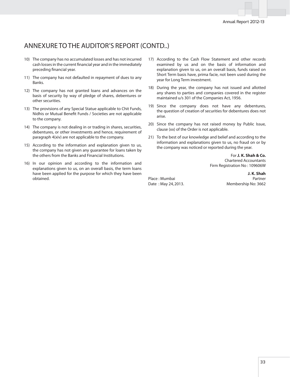### ANNEXURE TO THE AUDITOR'S REPORT (CONTD..)

- 10) The company has no accumulated losses and has not incurred cash losses in the current financial year and in the immediately preceding financial year.
- 11) The company has not defaulted in repayment of dues to any Banks.
- 12) The company has not granted loans and advances on the basis of security by way of pledge of shares, debentures or other securities.
- 13) The provisions of any Special Statue applicable to Chit Funds, Nidhis or Mutual Benefit Funds / Societies are not applicable to the company.
- 14) The company is not dealing in or trading in shares, securities, debentures, or other investments and hence, requirement of paragraph 4(xiv) are not applicable to the company.
- 15) According to the information and explanation given to us, the company has not given any guarantee for loans taken by the others from the Banks and Financial Institutions.
- 16) In our opinion and according to the information and explanations given to us, on an overall basis, the term loans have been applied for the purpose for which they have been obtained.
- 17) According to the Cash Flow Statement and other records examined by us and on the basis of information and explanation given to us, on an overall basis, funds raised on Short Term basis have, prima facie, not been used during the year for Long Term investment.
- 18) During the year, the company has not issued and allotted any shares to parties and companies covered in the register maintained u/s 301 of the Companies Act, 1956.
- 19) Since the company does not have any debentures, the question of creation of securities for debentures does not arise.
- 20) Since the company has not raised money by Public Issue, clause (xx) of the Order is not applicable.
- 21) To the best of our knowledge and belief and according to the information and explanations given to us, no fraud on or by the company was noticed or reported during the year.

For **J. K. Shah & Co.** Chartered Accountants Firm Registration No : 109606W

Date: May 24, 2013. Membership No: 3662

 **J. K. Shah** Place : Mumbai Partner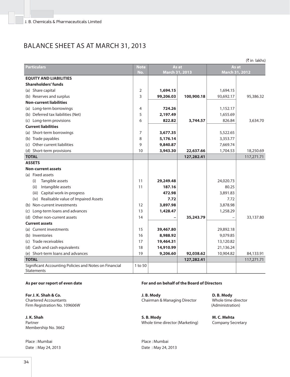### BALANCE SHEET AS AT MARCH 31, 2013

| (₹ in lakhs)                                                                |                      |                |            |                |            |  |
|-----------------------------------------------------------------------------|----------------------|----------------|------------|----------------|------------|--|
| <b>Particulars</b>                                                          | As at<br><b>Note</b> |                |            | As at          |            |  |
|                                                                             | No.                  | March 31, 2013 |            | March 31, 2012 |            |  |
| <b>EQUITY AND LIABILITIES</b>                                               |                      |                |            |                |            |  |
| <b>Shareholders' funds</b>                                                  |                      |                |            |                |            |  |
| (a) Share capital                                                           | 2                    | 1,694.15       |            | 1,694.15       |            |  |
| (b) Reserves and surplus                                                    | 3                    | 99,206.03      | 100,900.18 | 93,692.17      | 95,386.32  |  |
| <b>Non-current liabilities</b>                                              |                      |                |            |                |            |  |
| (a) Long-term borrowings                                                    | 4                    | 724.26         |            | 1,152.17       |            |  |
| (b) Deferred tax liabilities (Net)                                          | 5                    | 2,197.49       |            | 1,655.69       |            |  |
| (c) Long-term provisions                                                    | 6                    | 822.82         | 3,744.57   | 826.84         | 3,634.70   |  |
| <b>Current liabilities</b>                                                  |                      |                |            |                |            |  |
| (a) Short-term borrowings                                                   | 7                    | 3,677.35       |            | 5,522.65       |            |  |
| (b) Trade payables                                                          | 8                    | 5,176.14       |            | 3,353.77       |            |  |
| (c) Other current liabilities                                               | 9                    | 9,840.87       |            | 7,669.74       |            |  |
| (d) Short-term provisions                                                   | 10                   | 3,943.30       | 22,637.66  | 1,704.53       | 18,250.69  |  |
| <b>TOTAL</b>                                                                |                      |                | 127,282.41 |                | 117,271.71 |  |
| <b>ASSETS</b>                                                               |                      |                |            |                |            |  |
| <b>Non-current assets</b>                                                   |                      |                |            |                |            |  |
| (a) Fixed assets                                                            |                      |                |            |                |            |  |
| Tangible assets<br>(i)                                                      | 11                   | 29,249.48      |            | 24,020.73      |            |  |
| Intangible assets<br>(ii)                                                   | 11                   | 187.16         |            | 80.25          |            |  |
| (iii) Capital work-in-progress                                              |                      | 472.98         |            | 3,891.83       |            |  |
| (iv) Realisable value of Impaired Assets                                    |                      | 7.72           |            | 7.72           |            |  |
| (b) Non-current investments                                                 | 12                   | 3,897.98       |            | 3,878.98       |            |  |
| (c) Long-term loans and advances                                            | 13                   | 1,428.47       |            | 1,258.29       |            |  |
| (d) Other non-current assets                                                | 14                   |                | 35,243.79  |                | 33,137.80  |  |
| <b>Current assets</b>                                                       |                      |                |            |                |            |  |
| (a) Current investments                                                     | 15                   | 39,467.80      |            | 29,892.18      |            |  |
| (b) Inventories                                                             | 16                   | 8,988.92       |            | 9,079.85       |            |  |
| (c) Trade receivables                                                       | 17                   | 19,464.31      |            | 13,120.82      |            |  |
| (d) Cash and cash equivalents                                               | 18                   | 14,910.99      |            | 21,136.24      |            |  |
| (e) Short-term loans and advances                                           | 19                   | 9,206.60       | 92,038.62  | 10,904.82      | 84,133.91  |  |
| <b>TOTAL</b>                                                                |                      |                | 127,282.41 |                | 117,271.71 |  |
| Significant Accounting Policies and Notes on Financial<br><b>Statements</b> | 1 to 50              |                |            |                |            |  |

**For J. K. Shah & Co.**  Chartered Accountants Firm Registration No. 109606W

**J. K. Shah**  Partner Membership No. 3662

Place : Mumbai **Place : Mumbai Place : Mumbai** Date : May 24, 2013 Date : May 24, 2013

### As per our report of even date **For and on behalf of the Board of Directors**

 **J. B. Mody**  Chairman & Managing Director

 **S. B. Mody**  Whole time director (Marketing)

 **D. B. Mody**  Whole time director (Administration)

 **M. C. Mehta**  Company Secretary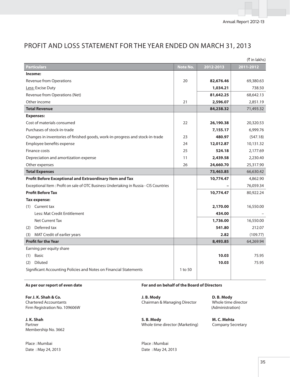|                                                                                         |          |           | (₹ in lakhs) |
|-----------------------------------------------------------------------------------------|----------|-----------|--------------|
| Particulars                                                                             | Note No. | 2012-2013 | 2011-2012    |
| Income:                                                                                 |          |           |              |
| Revenue from Operations                                                                 | 20       | 82,676.46 | 69,380.63    |
| Less: Excise Duty                                                                       |          | 1,034.21  | 738.50       |
| Revenue from Operations (Net)                                                           |          | 81,642.25 | 68,642.13    |
| Other income                                                                            | 21       | 2,596.07  | 2,851.19     |
| <b>Total Revenue</b>                                                                    |          | 84,238.32 | 71,493.32    |
| <b>Expenses:</b>                                                                        |          |           |              |
| Cost of materials consumed                                                              | 22       | 26,190.38 | 20,320.53    |
| Purchases of stock-in-trade                                                             |          | 7,155.17  | 6,999.76     |
| Changes in inventories of finished goods, work-in-progress and stock-in-trade           | 23       | 480.97    | (547.18)     |
| Employee benefits expense                                                               | 24       | 12,012.87 | 10,131.32    |
| Finance costs                                                                           | 25       | 524.18    | 2,177.69     |
| Depreciation and amortization expense                                                   | 11       | 2,439.58  | 2,230.40     |
| Other expenses                                                                          | 26       | 24,660.70 | 25,317.90    |
| <b>Total Expenses</b>                                                                   |          | 73,463.85 | 66,630.42    |
| Profit Before Exceptional and Extraordinary Item and Tax                                |          | 10,774.47 | 4,862.90     |
| Exceptional Item : Profit on sale of OTC Business Undertaking in Russia - CIS Countries |          |           | 76,059.34    |
| <b>Profit Before Tax</b>                                                                |          | 10,774.47 | 80,922.24    |
| Tax expense:                                                                            |          |           |              |
| (1) Current tax                                                                         |          | 2,170.00  | 16,550.00    |
| Less: Mat Credit Entitlement                                                            |          | 434.00    |              |
| <b>Net Current Tax</b>                                                                  |          | 1,736.00  | 16,550.00    |
| Deferred tax<br>(2)                                                                     |          | 541.80    | 212.07       |
| MAT Credit of earlier years<br>(3)                                                      |          | 2.82      | (109.77)     |
| <b>Profit for the Year</b>                                                              |          | 8,493.85  | 64,269.94    |
| Earning per equity share                                                                |          |           |              |
| <b>Basic</b><br>(1)                                                                     |          | 10.03     | 75.95        |
| <b>Diluted</b><br>(2)                                                                   |          | 10.03     | 75.95        |
| Significant Accounting Policies and Notes on Financial Statements                       | 1 to 50  |           |              |

# PROFIT AND LOSS STATEMENT FOR THE YEAR ENDED ON MARCH 31, 2013

**For J. K. Shah & Co.**  Chartered Accountants Firm Registration No. 109606W

**J. K. Shah**  Partner Membership No. 3662

Place : Mumbai **Place : Mumbai Place : Mumbai** Date : May 24, 2013 Date : May 24, 2013

# As per our report of even date **For and on behalf of the Board of Directors**

 **J. B. Mody**  Chairman & Managing Director

 **S. B. Mody**  Whole time director (Marketing)

 **D. B. Mody**  Whole time director (Administration)

 **M. C. Mehta**  Company Secretary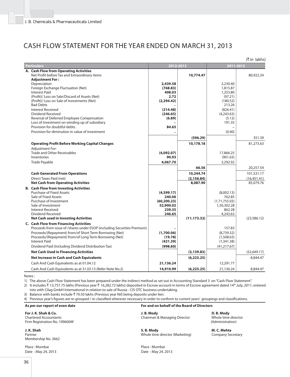# CASH FLOW STATEMENT FOR THE YEAR ENDED ON MARCH 31, 2013

|                                                                                                                                                                                                                                                                                                                               |                                                                       |                                      |                                                                            | (₹in lakhs)                            |
|-------------------------------------------------------------------------------------------------------------------------------------------------------------------------------------------------------------------------------------------------------------------------------------------------------------------------------|-----------------------------------------------------------------------|--------------------------------------|----------------------------------------------------------------------------|----------------------------------------|
| <b>Particulars</b>                                                                                                                                                                                                                                                                                                            | 2012-2013                                                             |                                      | 2011-2012                                                                  |                                        |
| A. Cash Flow from Operating Activities<br>Net Profit before Tax and Extraordinary items<br><b>Adjustment For:</b>                                                                                                                                                                                                             |                                                                       | 10,774.47                            |                                                                            | 80,922.24                              |
| Depreciation<br>Foreign Exchange Fluctuation (Net)<br><b>Interest Paid</b><br>(Profit)/ Loss on Sale/Discard of Assets (Net)                                                                                                                                                                                                  | 2,439.58<br>(768.83)<br>408.03<br>2.72                                |                                      | 2,230.40<br>1,815.87<br>1,253.80<br>(97.21)                                |                                        |
| (Profit)/ Loss on Sale of Investments (Net)<br><b>Bad Debts</b><br><b>Interest Received</b><br>Dividend Received<br>Reversal of Deferred Employee Compensation                                                                                                                                                                | (2, 294.42)<br>(214.48)<br>(246.65)<br>(6.89)                         |                                      | (180.52)<br>213.26<br>(826.41)<br>(4,243.63)<br>(5.12)                     |                                        |
| Loss of Investment on winding up of subsidiary<br>Provision for doubtful debts<br>Provision for diminution in value of investment                                                                                                                                                                                             | 84.65                                                                 |                                      | 191.35<br>(0.40)                                                           |                                        |
|                                                                                                                                                                                                                                                                                                                               |                                                                       | (596.29)                             |                                                                            | 351.39                                 |
| <b>Operating Profit Before Working Capital Changes</b>                                                                                                                                                                                                                                                                        |                                                                       | 10,178.18                            |                                                                            | 81,273.63                              |
| <b>Adjustment For:</b><br><b>Trade and Other Receivables</b><br>Inventories<br><b>Trade Payable</b>                                                                                                                                                                                                                           | (4,092.07)<br>90.93<br>4,067.70                                       |                                      | 17,866.25<br>(901.63)<br>3,292.92                                          |                                        |
|                                                                                                                                                                                                                                                                                                                               |                                                                       | 66.56                                |                                                                            | 20,257.54                              |
| <b>Cash Generated From Operations</b><br>Direct Taxes Paid (net)<br><b>Net Cash from Operating Activities</b>                                                                                                                                                                                                                 |                                                                       | 10,244.74<br>(2, 156.84)<br>8,087.90 |                                                                            | 101,531.17<br>(16,451.41)<br>85,079.76 |
| <b>B.</b> Cash Flow from Investing Activities<br><b>Purchase of Fixed Assets</b><br>Sale of Fixed Assets<br>Purchase of Investment<br>Sale of Investment<br><b>Interest Received</b><br>Dividend Received<br><b>Net Cash used in Investing Activities</b>                                                                     | (4,599.17)<br>240.06<br>(60, 200.23)<br>52,900.02<br>239.35<br>246.65 | (11, 173.32)                         | (8,002.13)<br>762.85<br>(1,71,755.03)<br>1,50,302.28<br>862.28<br>4,243.63 | (23, 586.12)                           |
| <b>C. Cash Flow from Financing Activities</b><br>Proceeds from issue of /shares under ESOP (including Securities Premium)<br>Proceeds/(Repayment) from/of Short Term Borrowing (Net)<br>Proceeds/(Repayment) from/of Long Term Borrowing (Net)<br><b>Interest Paid</b><br>Dividend Paid (Including Dividend Distribution Tax) | (1,700.06)<br>(19.78)<br>(421.39)<br>(998.60)                         |                                      | 157.83<br>(8,739.32)<br>(1,508.63)<br>(1,341.38)<br>(41, 217.67)           |                                        |
| <b>Net Cash Used in Financing Activities</b>                                                                                                                                                                                                                                                                                  |                                                                       | (3, 139.83)                          |                                                                            | (52, 649.17)                           |
| <b>Net Increase in Cash and Cash Equivalents</b>                                                                                                                                                                                                                                                                              |                                                                       | (6, 225.25)                          |                                                                            | 8,844.47                               |
| Cash And Cash Equivalents as at 01.04.12                                                                                                                                                                                                                                                                                      | 21,136.24                                                             |                                      | 12,291.77                                                                  |                                        |
| Cash And Cash Equivalents as at 31.03.13 (Refer Note No.2)                                                                                                                                                                                                                                                                    | 14,910.99                                                             | (6, 225.25)                          | 21,136.24                                                                  | 8,844.47                               |

Notes :

1) The above Cash Flow Statement has been prepared under the indirect method as set out in Accounting Standard 3 on "Cash Flow Statement".

2) It includes ₹ 13,757.75 lakhs (Previous year ₹ 16,282.72 lakhs) deposited in Escrow account in terms of Escrow agreement dated 14<sup>th</sup> July, 2011, entered into with Cilag GmbH International in relation to sale of Russia - CIS OTC business undertaking.

3) Balance with banks include  $\bar{\tau}$  70.50 lakhs (Previous year Nil) being deposits under lien.

4) Previous year's figures are re-grouped / re-classified wherever necessary in order to conform to current years' groupings and classifications.

**For J. K. Shah & Co.**  Chartered Accountants Firm Registration No. 109606W

**J. K. Shah**  Partner Membership No. 3662

Place : Mumbai **Place : Mumbai** Date : May 24, 2013 Date : May 24, 2013

**As per our report of even date For and on behalf of the Board of Directors** 

 **J. B. Mody**  Chairman & Managing Director

 **S. B. Mody**  Whole time director (Marketing)

 **D. B. Mody**  Whole time director (Administration)

 **M. C. Mehta**  Company Secretary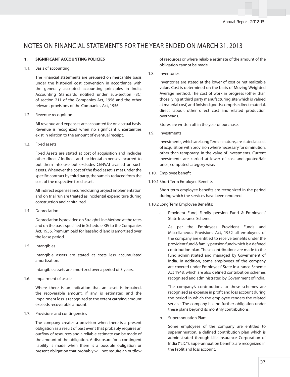# NOTES ON FINANCIAL STATEMENTS FOR THE YEAR ENDED ON MARCH 31, 2013

### **1. SIGNIFICANT ACCOUNTING POLICIES**

#### 1.1. Basis of accounting

 The Financial statements are prepared on mercantile basis under the historical cost convention in accordance with the generally accepted accounting principles in India, Accounting Standards notified under sub-section (3C) of section 211 of the Companies Act, 1956 and the other relevant provisions of the Companies Act, 1956.

1.2. Revenue recognition

 All revenue and expenses are accounted for on accrual basis. Revenue is recognized when no significant uncertainties exist in relation to the amount of eventual receipt.

1.3. Fixed assets

 Fixed Assets are stated at cost of acquisition and includes other direct / indirect and incidental expenses incurred to put them into use but excludes CENVAT availed on such assets. Whenever the cost of the fixed asset is met under the specific contract by third party, the same is reduced from the cost of the respective fixed asset.

 All indirect expenses incurred during project implementation and on trial run are treated as incidental expenditure during construction and capitalized.

1.4. Depreciation

 Depreciation is provided on Straight Line Method at the rates and on the basis specified in Schedule XIV to the Companies Act, 1956. Premium paid for leasehold land is amortized over the lease period.

1.5. Intangibles

 Intangible assets are stated at costs less accumulated amortization.

Intangible assets are amortized over a period of 3 years.

1.6. Impairment of assets

 Where there is an indication that an asset is impaired, the recoverable amount, if any, is estimated and the impairment loss is recognized to the extent carrying amount exceeds recoverable amount.

1.7. Provisions and contingencies

 The company creates a provision when there is a present obligation as a result of past event that probably requires an outflow of resources and a reliable estimate can be made of the amount of the obligation. A disclosure for a contingent liability is made when there is a possible obligation or present obligation that probably will not require an outflow

of resources or where reliable estimate of the amount of the obligation cannot be made.

1.8. Inventories

 Inventories are stated at the lower of cost or net realizable value. Cost is determined on the basis of Moving Weighted Average method. The cost of work in progress (other than those lying at third party manufacturing site which is valued at material cost) and finished goods comprise direct material, direct labour, other direct cost and related production overheads.

Stores are written off in the year of purchase.

1.9. Investments

 Investments, which are Long Term in nature, are stated at cost of acquisition with provision where necessary for diminution, other than temporary, in the value of investments. Current investments are carried at lower of cost and quoted/fair price, computed category wise.

- 1.10. Employee benefit
- 1.10.1 Short Term Employee Benefits

Short term employee benefits are recognized in the period during which the services have been rendered.

### 1.10.2 Long Term Employee Benefits:

a. Provident Fund, Family pension Fund & Employees' State Insurance Scheme:

 As per the Employees Provident Funds and Miscellaneous Provisions Act, 1952 all employees of the company are entitled to receive benefits under the provident fund & family pension fund which is a defined contribution plan. These contributions are made to the fund administrated and managed by Government of India. In addition, some employees of the company are covered under Employees' State Insurance Scheme Act 1948, which are also defined contribution schemes recognized and administrated by Government of India.

 The company's contributions to these schemes are recognized as expense in profit and loss account during the period in which the employee renders the related service. The company has no further obligation under these plans beyond its monthly contributions.

b. Superannuation Plan:

 Some employees of the company are entitled to superannuation, a defined contribution plan which is administrated through Life Insurance Corporation of India ("LIC"). Superannuation benefits are recognized in the Profit and loss account.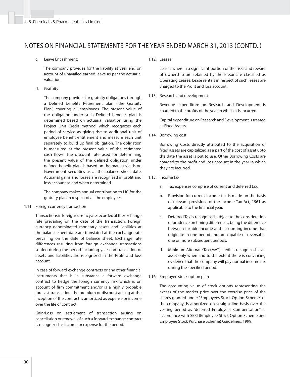c. Leave Encashment:

 The company provides for the liability at year end on account of unavailed earned leave as per the actuarial valuation.

d. Gratuity:

 The company provides for gratuity obligations through a Defined benefits Retirement plan ('the Gratuity Plan') covering all employees. The present value of the obligation under such Defined benefits plan is determined based on actuarial valuation using the Project Unit Credit method, which recognizes each period of service as giving rise to additional unit of employee benefit entitlement and measure each unit separately to build up final obligation. The obligation is measured at the present value of the estimated cash flows. The discount rate used for determining the present value of the defined obligation under defined benefit plan, is based on the market yields on Government securities as at the balance sheet date. Actuarial gains and losses are recognized in profit and loss account as and when determined.

 The company makes annual contribution to LIC for the gratuity plan in respect of all the employees.

1.11. Foreign currency transaction

 Transactions in foreign currency are recorded at the exchange rate prevailing on the date of the transaction. Foreign currency denominated monetary assets and liabilities at the balance sheet date are translated at the exchange rate prevailing on the date of balance sheet. Exchange rate differences resulting from foreign exchange transactions settled during the period including year-end translation of assets and liabilities are recognized in the Profit and loss account.

In case of forward exchange contracts or any other financial instruments that is in substance a forward exchange contract to hedge the foreign currency risk which is on account of firm commitment and/or is a highly probable forecast transaction, the premium or discount arising at the inception of the contract is amortized as expense or income over the life of contract.

 Gain/Loss on settlement of transaction arising on cancellation or renewal of such a forward exchange contract is recognized as income or expense for the period.

1.12. Leases

Leases wherein a significant portion of the risks and reward of ownership are retained by the lessor are classified as Operating Leases. Lease rentals in respect of such leases are charged to the Profit and loss account.

1.13. Research and development

 Revenue expenditure on Research and Development is charged to the profits of the year in which it is incurred.

 Capital expenditure on Research and Development is treated as Fixed Assets.

1.14. Borrowing cost

 Borrowing Costs directly attributed to the acquisition of fixed assets are capitalized as a part of the cost of asset upto the date the asset is put to use. Other Borrowing Costs are charged to the profit and loss account in the year in which they are incurred.

- 1.15. Income tax
	- a. Tax expenses comprise of current and deferred tax.
	- b. Provision for current income tax is made on the basis of relevant provisions of the Income Tax Act, 1961 as applicable to the financial year.
	- c. Deferred Tax is recognized subject to the consideration of prudence on timing differences, being the difference between taxable income and accounting income that originate in one period and are capable of reversal in one or more subsequent periods.
	- d. Minimum Alternate Tax (MAT) credit is recognized as an asset only when and to the extent there is convincing evidence that the company will pay normal income tax during the specified period.
- 1.16. Employee stock option plan

 The accounting value of stock options representing the excess of the market price over the exercise price of the shares granted under "Employees Stock Option Scheme" of the company, is amortized on straight line basis over the vesting period as "deferred Employees Compensation" in accordance with SEBI (Employee Stock Option Scheme and Employee Stock Purchase Scheme) Guidelines, 1999.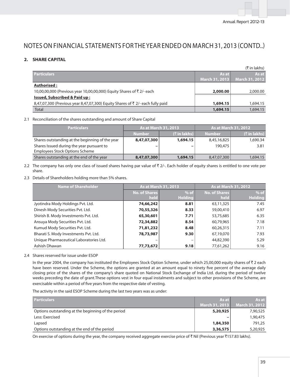# **2. SHARE CAPITAL**

|                                                                                |                | (₹ in lakhs)          |
|--------------------------------------------------------------------------------|----------------|-----------------------|
| <b>Particulars</b>                                                             | As at          | As at                 |
|                                                                                | March 31, 2013 | <b>March 31, 2012</b> |
| Authorised:                                                                    |                |                       |
| 10,00,00,000 (Previous year 10,00,00,000) Equity Shares of ₹2/- each           | 2,000.00       | 2,000.00              |
| <b>Issued, Subscribed &amp; Paid up:</b>                                       |                |                       |
| 8,47,07,300 (Previous year 8,47,07,300) Equity Shares of ₹ 2/- each fully paid | 1,694.15       | 1,694.15              |
| <b>Total</b>                                                                   | 1,694.15       | 1,694.15              |

### 2.1Reconciliation of the shares outstanding and amount of Share Capital

| <b>Particulars</b>                              | <b>As at March 31, 2013</b> |                         | <b>As at March 31, 2012</b> |                 |
|-------------------------------------------------|-----------------------------|-------------------------|-----------------------------|-----------------|
|                                                 | <b>Number</b>               | $(\bar{\tau}$ in lakhs) | <b>Number</b>               | $($ ₹ in lakhs) |
| Shares outstanding at the beginning of the year | 8,47,07,300                 | 1,694.15                | 8,45,16,825                 | 1,690.34        |
| Shares Issued during the year pursuant to       |                             | -                       | 190.475                     | 3.81            |
| <b>Employees Stock Options Scheme</b>           |                             |                         |                             |                 |
| Shares outstanding at the end of the year       | 8,47,07,300                 | 1,694.15                | 8,47,07,300                 | 1,694.15        |

2.2 The company has only one class of issued shares having par value of  $\bar{\tau}$  2/-. Each holder of equity shares is entitled to one vote per share.

2.3 Details of Shareholders holding more than 5% shares.

| <b>Name of Shareholder</b>              | <b>As at March 31, 2013</b> |                | <b>As at March 31, 2012</b> |                |
|-----------------------------------------|-----------------------------|----------------|-----------------------------|----------------|
|                                         | <b>No. of Shares</b>        | $%$ of         | <b>No. of Shares</b>        | $%$ of         |
|                                         | held                        | <b>Holding</b> | held                        | <b>Holding</b> |
| Jyotindra Mody Holdings Pvt. Ltd.       | 74,66,242                   | 8.81           | 63,11,325                   | 7.45           |
| Dinesh Mody Securities Pvt. Ltd.        | 70,55,326                   | 8.33           | 59,00,410                   | 6.97           |
| Shirish B. Mody Investments Pvt. Ltd.   | 65,30,601                   | 7.71           | 53,75,685                   | 6.35           |
| Ansuya Mody Securities Pvt. Ltd.        | 72,34,882                   | 8.54           | 60,79,965                   | 7.18           |
| Kumud Mody Securities Pvt. Ltd.         | 71,81,232                   | 8.48           | 60,26,315                   | 7.11           |
| Bharati S. Mody Investments Pvt. Ltd.   | 78,73,987                   | 9.30           | 67,19,070                   | 7.93           |
| Unique Pharmaceutical Laboratories Ltd. |                             |                | 44,82,390                   | 5.29           |
| Ashish Dhawan                           | 77,73,672                   | 9.18           | 77,61,262                   | 9.16           |

### 2.4 Shares reserved for issue under ESOP

In the year 2004, the company has instituted the Employees Stock Option Scheme, under which 25,00,000 equity shares of  $\bar{\tau}$  2 each have been reserved. Under the Scheme, the options are granted at an amount equal to ninety five percent of the average daily closing price of the shares of the company's share quoted on National Stock Exchange of India Ltd. during the period of twelve weeks preceding the date of grant.These options vest in four equal instalments and subject to other provisions of the Scheme, are exercisable within a period of five years from the respective date of vesting.

The activity in the said ESOP Scheme during the last two years was as under:

| <b>Particulars</b>                                 | As at                    | As at                 |
|----------------------------------------------------|--------------------------|-----------------------|
|                                                    | March 31, 2013           | <b>March 31, 2012</b> |
| Options outstanding at the beginning of the period | 5,20,925                 | 7,90,525              |
| Less: Exercised                                    | $\overline{\phantom{0}}$ | 1,90,475              |
| Lapsed                                             | 1,84,350                 | 791.25                |
| Options outstanding at the end of the period       | 3,36,575                 | 5,20,925              |

On exercise of options during the year, the company received aggregate exercise price of  $\bar{\tau}$  Nil (Previous year  $\bar{\tau}$ 157.83 lakhs).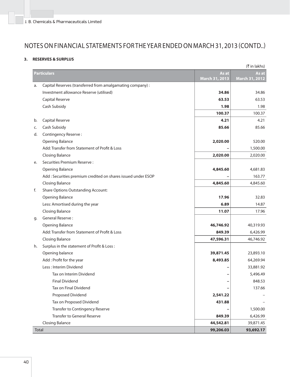### **3. RESERVES & SURPLUS**

|       |                                                               |                         | (₹in lakhs)             |
|-------|---------------------------------------------------------------|-------------------------|-------------------------|
|       | <b>Particulars</b>                                            | As at<br>March 31, 2013 | As at<br>March 31, 2012 |
| a.    | Capital Reserves (transferred from amalgamating company) :    |                         |                         |
|       | Investment allowance Reserve (utilised)                       | 34.86                   | 34.86                   |
|       | Capital Reserve                                               | 63.53                   | 63.53                   |
|       | Cash Subsidy                                                  | 1.98                    | 1.98                    |
|       |                                                               | 100.37                  | 100.37                  |
| b.    | Capital Reserve                                               | 4.21                    | 4.21                    |
| c.    | Cash Subsidy                                                  | 85.66                   | 85.66                   |
| d.    | Contingency Reserve:                                          |                         |                         |
|       | <b>Opening Balance</b>                                        | 2,020.00                | 520.00                  |
|       | Add: Transfer from Statement of Profit & Loss                 |                         | 1,500.00                |
|       | <b>Closing Balance</b>                                        | 2,020.00                | 2,020.00                |
| e.    | Securities Premium Reserve:                                   |                         |                         |
|       | Opening Balance                                               | 4,845.60                | 4,681.83                |
|       | Add : Securities premium credited on shares issued under ESOP |                         | 163.77                  |
|       | <b>Closing Balance</b>                                        | 4,845.60                | 4,845.60                |
| f.    | Share Options Outstanding Account:                            |                         |                         |
|       | Opening Balance                                               | 17.96                   | 32.83                   |
|       | Less: Amortised during the year                               | 6.89                    | 14.87                   |
|       | <b>Closing Balance</b>                                        | 11.07                   | 17.96                   |
| g.    | General Reserve:                                              |                         |                         |
|       | Opening Balance                                               | 46,746.92               | 40,319.93               |
|       | Add: Transfer from Statement of Profit & Loss                 | 849.39                  | 6,426.99                |
|       | <b>Closing Balance</b>                                        | 47,596.31               | 46,746.92               |
| h.    | Surplus in the statement of Profit & Loss:                    |                         |                         |
|       | Opening balance                                               | 39,871.45               | 23,893.10               |
|       | Add: Profit for the year                                      | 8,493.85                | 64,269.94               |
|       | Less: Interim Dividend                                        |                         | 33,881.92               |
|       | Tax on Interim Dividend                                       |                         | 5,496.49                |
|       | <b>Final Dividend</b>                                         | -                       | 848.53                  |
|       | Tax on Final Dividend                                         |                         | 137.66                  |
|       | Proposed Dividend                                             | 2,541.22                |                         |
|       | Tax on Proposed Dividend                                      | 431.88                  |                         |
|       | Transfer to Contingency Reserve                               |                         | 1,500.00                |
|       | <b>Transfer to General Reserve</b>                            | 849.39                  | 6,426.99                |
|       | <b>Closing Balance</b>                                        | 44,542.81               | 39,871.45               |
| Total |                                                               | 99,206.03               | 93,692.17               |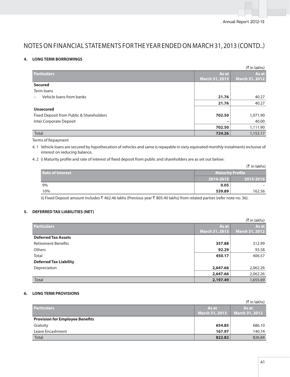### **4. LONG TERM BORROWINGS**

|                                          |                       | $(\bar{\tau}$ in lakhs) |
|------------------------------------------|-----------------------|-------------------------|
| <b>Particulars</b>                       | As at                 | As at                   |
|                                          | <b>March 31, 2013</b> | <b>March 31, 2012</b>   |
| <b>Secured</b>                           |                       |                         |
| Term loans                               |                       |                         |
| Vehicle loans from banks                 | 21.76                 | 40.27                   |
|                                          | 21.76                 | 40.27                   |
| <b>Unsecured</b>                         |                       |                         |
| Fixed Deposit from Public & Shareholders | 702.50                | 1,071.90                |
| Inter Corporate Deposit                  |                       | 40.00                   |
|                                          | 702.50                | 1,111.90                |
| Total                                    | 724.26                | 1,152.17                |

Terms of Repayment

4. 1 Vehicle loans are secured by hypothecation of vehicles and same is repayable in sixty equivated monthly instalments inclusive of interest on reducing balance.

4. 2 i) Maturity profile and rate of interest of fixed deposit from public and shareholders are as set out below:

|                  |                  | $(\bar{\tau}$ in lakhs) |
|------------------|------------------|-------------------------|
| Rate of Interest | Maturity Profile |                         |
|                  | 2014-2015        | 2015-2016               |
| 9%               | 0.05             |                         |
| 10%              | 539.89           | 162.56                  |

ii) Fixed Deposit amount includes ₹ 462.46 lakhs (Previous year ₹ 805.40 lakhs) from related parties (refer note no. 36).

## **5. DEFERRED TAX LIABILITIES (NET)**

|                               |                | $(\bar{\tau}$ in lakhs) |
|-------------------------------|----------------|-------------------------|
| <b>Particulars</b>            | As at          | As at                   |
|                               | March 31, 2013 | March 31, 2012          |
| <b>Deferred Tax Assets</b>    |                |                         |
| <b>Retirement Benefits</b>    | 357.88         | 312.99                  |
| <b>Others</b>                 | 92.29          | 93.58                   |
| Total                         | 450.17         | 406.57                  |
| <b>Deferred Tax Liability</b> |                |                         |
| Depreciation                  | 2,647.66       | 2,062.26                |
|                               | 2,647.66       | 2,062.26                |
| Total                         | 2,197.49       | 1,655.69                |

### **6. LONG TERM PROVISIONS**

|                                        |                       | (₹ in lakhs)   |
|----------------------------------------|-----------------------|----------------|
| <b>Particulars</b>                     | As at                 | As at          |
|                                        | <b>March 31, 2013</b> | March 31, 2012 |
| <b>Provision for Employee Benefits</b> |                       |                |
| Gratuity                               | 654.85                | 686.10         |
| Leave Encashment                       | 167.97                | 140.74         |
| <b>Total</b>                           | 822.82                | 826.84         |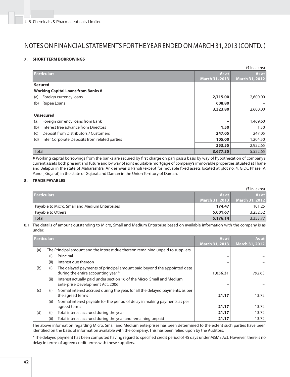### **7. SHORT TERM BORROWINGS**

|                                                      |                       | (₹ in lakhs)          |
|------------------------------------------------------|-----------------------|-----------------------|
| <b>Particulars</b>                                   | As at                 | As at                 |
|                                                      | <b>March 31, 2013</b> | <b>March 31, 2012</b> |
| <b>Secured</b>                                       |                       |                       |
| <b>Working Capital Loans from Banks #</b>            |                       |                       |
| Foreign currency loans<br>(a)                        | 2,715.00              | 2,600.00              |
| Rupee Loans<br>(b)                                   | 608.80                |                       |
|                                                      | 3,323.80              | 2,600.00              |
| <b>Unsecured</b>                                     |                       |                       |
| Foreign currency loans from Bank<br>(a)              |                       | 1,469.60              |
| Interest free advance from Directors<br>(b)          | 1.50                  | 1.50                  |
| Deposit from Distributors / Customers<br>(c)         | 247.05                | 247.05                |
| Inter Corporate Deposits from related parties<br>(d) | 105.00                | 1,204.50              |
|                                                      | 353.55                | 2,922.65              |
| <b>Total</b>                                         | 3,677.35              | 5,522.65              |

# Working capital borrowings from the banks are secured by first charge on pari passu basis by way of hypothecation of company's current assets both present and future and by way of joint equitable mortgage of company's immovable properties situated at Thane and Belapur in the state of Maharashtra, Ankleshwar & Panoli (except for movable fixed assets located at plot no. 4, GIDC Phase IV, Panoli, Gujarat) in the state of Gujarat and Daman in the Union Territory of Daman.

### **8. TRADE PAYABLES**

|                                                |                | (₹ in lakhs)          |
|------------------------------------------------|----------------|-----------------------|
| <b>Particulars</b>                             | As at I        | As at                 |
|                                                | March 31, 2013 | <b>March 31, 2012</b> |
| Payable to Micro, Small and Medium Enterprises | 174.47         | 101.25                |
| Payable to Others                              | 5,001.67       | 3,252.52              |
| <b>Total</b>                                   | 5,176.14       | 3,353.77              |

8.1 The details of amount outstanding to Micro, Small and Medium Enterprise based on available information with the company is as under:

|     | <b>Particulars</b> |                                                                                                                | As at                 | As at                 |
|-----|--------------------|----------------------------------------------------------------------------------------------------------------|-----------------------|-----------------------|
|     |                    |                                                                                                                | <b>March 31, 2013</b> | <b>March 31, 2012</b> |
| (a) |                    | The Principal amount and the interest due thereon remaining unpaid to suppliers                                |                       |                       |
|     | (i)                | Principal                                                                                                      |                       |                       |
|     | (ii)               | Interest due thereon                                                                                           |                       |                       |
| (b) | (i)                | The delayed payments of principal amount paid beyond the appointed date<br>during the entire accounting year * | 1,056.31              | 792.63                |
|     | (ii)               | Interest actually paid under section 16 of the Micro, Small and Medium<br>Enterprise Development Act, 2006     |                       |                       |
| (c) | (i)                | Normal interest accrued during the year, for all the delayed payments, as per<br>the agreed terms              | 21.17                 | 13.72                 |
|     | (ii)               | Normal interest payable for the period of delay in making payments as per<br>agreed terms                      | 21.17                 | 13.72                 |
| (d) | (i)                | Total interest accrued during the year                                                                         | 21.17                 | 13.72                 |
|     | (ii)               | Total interest accrued during the year and remaining unpaid                                                    | 21.17                 | 13.72                 |

 The above information regarding Micro, Small and Medium enterprises has been determined to the extent such parties have been identified on the basis of information available with the company. This has been relied upon by the Auditors.

\* The delayed payment has been computed having regard to specified credit period of 45 days under MSME Act. However, there is no delay in terms of agreed credit terms with these suppliers.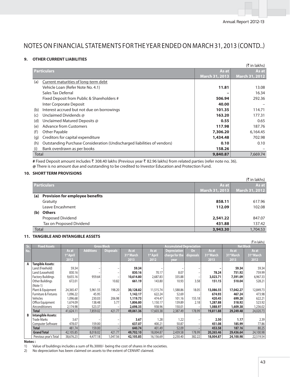### **9. OTHER CURRENT LIABILITIES**

|                      | (₹ in lakhs)                                                             |                       |                       |  |  |
|----------------------|--------------------------------------------------------------------------|-----------------------|-----------------------|--|--|
| <b>Particulars</b>   |                                                                          | As at                 | As at                 |  |  |
|                      |                                                                          | <b>March 31, 2013</b> | <b>March 31, 2012</b> |  |  |
| (a)                  | Current maturities of long-term debt                                     |                       |                       |  |  |
|                      | Vehicle Loan (Refer Note No. 4.1)                                        | 11.81                 | 13.08                 |  |  |
|                      | Sales Tax Deferral                                                       |                       | 16.34                 |  |  |
|                      | Fixed Deposit from Public & Shareholders #                               | 506.94                | 292.36                |  |  |
|                      | Inter Corporate Deposit                                                  | 40.00                 |                       |  |  |
| (b)                  | Interest accrued but not due on borrowings                               | 101.35                | 114.71                |  |  |
| (c)                  | Unclaimed Dividends @                                                    | 163.20                | 177.31                |  |  |
| (d)                  | Unclaimed Matured Deposits @                                             | 0.55                  | 0.65                  |  |  |
| (e)                  | <b>Advance from Customers</b>                                            | 117.98                | 187.76                |  |  |
| Other Payable<br>(f) |                                                                          | 7,306.20              | 6.164.45              |  |  |
| (q)                  | Creditors for capital expenditure                                        | 1,434.48              | 702.98                |  |  |
| (h)                  | Outstanding Purchase Consideration (Undischarged liabilities of vendors) | 0.10                  | 0.10                  |  |  |
| (i)                  | Bank overdrawn as per books                                              | 158.26                |                       |  |  |
| Total                |                                                                          | 9,840.87              | 7,669.74              |  |  |

# Fixed Deposit amount includes ₹ 308.40 lakhs (Previous year ₹ 82.96 lakhs) from related parties (refer note no. 36). **@** There is no amount due and outstanding to be credited to Investor Education and Protection Fund.

### **10. SHORT TERM PROVISIONS**

|       | $(\bar{\bar{\mathbf{x}}}$ in lakhs)    |                |                       |  |  |
|-------|----------------------------------------|----------------|-----------------------|--|--|
|       | <b>Particulars</b>                     | As at          | As at                 |  |  |
|       |                                        | March 31, 2013 | <b>March 31, 2012</b> |  |  |
| (a)   | <b>Provision for employee benefits</b> |                |                       |  |  |
|       | Gratuity                               | 858.11         | 617.96                |  |  |
|       | Leave Encashment                       | 112.09         | 102.08                |  |  |
| (b)   | <b>Others</b>                          |                |                       |  |  |
|       | Proposed Dividend                      | 2,541.22       | 847.07                |  |  |
|       | Tax on Proposed Dividend               | 431.88         | 137.42                |  |  |
| Total |                                        | 3,943.30       | 1,704.53              |  |  |

#### **11. TANGIBLE AND INTANGIBLE ASSETS**

|     | $($ t in lakhs)           |                       |                  |                    |                        |                       |                                 |           |                        |                        |                        |  |
|-----|---------------------------|-----------------------|------------------|--------------------|------------------------|-----------------------|---------------------------------|-----------|------------------------|------------------------|------------------------|--|
| Sr. | <b>Fixed Assets</b>       |                       |                  | <b>Gross Block</b> |                        |                       | <b>Accumulated Depreciation</b> |           |                        | <b>Net Block</b>       |                        |  |
| No. |                           | As at                 | <b>Additions</b> | <b>Disposals</b>   | As at                  | As at                 | Depreciation                    | <b>On</b> | As at                  | As at                  | As at                  |  |
|     |                           | 1 <sup>st</sup> April |                  |                    | 31 <sup>st</sup> March | 1 <sup>st</sup> April | charge for the                  | disposals | 31 <sup>st</sup> March | 31 <sup>st</sup> March | 31 <sup>st</sup> March |  |
|     |                           | 2012                  |                  |                    | 2013                   | 2012                  | year                            |           | 2013                   | 2013                   | 2012                   |  |
| Α   | <b>Tangible Assets:</b>   |                       |                  |                    |                        |                       |                                 |           |                        |                        |                        |  |
|     | Land (Freehold)           | 59.34                 |                  |                    | 59.34                  |                       |                                 |           |                        | 59.34                  | 59.34                  |  |
|     | Land (Leasehold)          | 830.16                |                  |                    | 830.16                 | 70.17                 | 8.07                            |           | 78.24                  | 751.92                 | 759.99                 |  |
|     | <b>Factory Buildings</b>  | 9,655.16              | 959.64           |                    | 10,614.80              | 2,687.83              | 335.88                          |           | 3,023.71               | 7,591.09               | 6,967.33               |  |
|     | Other Buildings           | 672.01                |                  | 10.82              | 661.19                 | 143.80                | 10.93                           | 3.58      | 151.15                 | 510.04                 | 528.21                 |  |
|     | (Note 1)                  |                       |                  |                    |                        |                       |                                 |           |                        |                        |                        |  |
|     | Plant & Equipment         | 24,365.47             | 5,961.55         | 198.20             | 30,128.82              | 11,515.74             | 1,588.86                        | 18.05     | 13,086.55              | 17,042.27              | 12,849.73              |  |
|     | Furniture & Fixtures      | 1,096.22              | 45.95            |                    | 1,142.17               | 622.24                | 52.69                           |           | 674.93                 | 467.24                 | 473.98                 |  |
|     | Vehicles                  | 1,096.68              | 230.03           | 206.98             | 1,119.73               | 474.47                | 101.16                          | 155.18    | 420.45                 | 699.28                 | 622.21                 |  |
|     | Office Equipment          | 1,674.09              | 138.48           | 5.77               | 1,806.80               | 1,150.17              | 139.89                          | 2.18      | 1,287.88               | 518.92                 | 523.92                 |  |
|     | Airconditioners           | 2,174.98              | 523.37           |                    | 2,698.35               | 938.96                | 150.01                          |           | 1,088.97               | 1,609.38               | 1,236.02               |  |
|     | <b>Total</b>              | 41,624.11             | 7,859.02         | 421.77             | 49,061.36              | 17,603.38             | 2,387.49                        | 178.99    | 19,811.88              | 29,249.48              | 24,020.73              |  |
| B   | <b>Intangible Assets:</b> |                       |                  |                    |                        |                       |                                 |           |                        |                        |                        |  |
|     | Trade Marks               | 3.67                  |                  |                    | 3.67                   | 1.28                  | 1.22                            |           | 2.50                   | 1.17                   | 2.39                   |  |
|     | Computer Software         | 478.07                | 159.00           |                    | 637.07                 | 400.21                | 50.87                           |           | 451.08                 | 185.99                 | 77.86                  |  |
|     | <b>Total</b>              | 481.74                | 159.00           |                    | 640.74                 | 401.49                | 52.09                           |           | 453.58                 | 187.16                 | 80.25                  |  |
|     | <b>Grand Total</b>        | 42,105.85             | 8,018.02         | 421.77             | 49,702.10              | 18,004.87             | 2,439.58                        | 178.99    | 20,265.46              | 29,436.64              | 24,100.98              |  |
|     | Previous year's Total     | 38,676.23             | 4,477.18         | 1,047.56           | 42,105.85              | 16,156.69             | 2,230.40                        | 382.22    | 18,004.87              | 24,100.98              | 22,519.54              |  |

#### **Notes :**

1) Value of buildings includes a sum of Rs.3000/- being the cost of shares in the societies.<br>2) No depreciation has been claimed on assets to the extent of CENVAT claimed.

2) No depreciation has been claimed on assets to the extent of CENVAT claimed.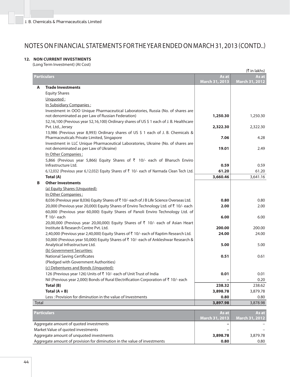### **12. NON CURRENT INVESTMENTS**

(Long Term Investment) (At Cost)

| <b>Particulars</b><br>As at<br>As at<br>March 31, 2013<br><b>March 31, 2012</b><br><b>Trade Investments</b><br>A<br><b>Equity Shares</b><br>Unquoted:<br>In Subsidiary Companies:<br>Investment in OOO Unique Pharmaceutical Laboratories, Russia (No. of shares are<br>not denominated as per Law of Russian Federation)<br>1,250.30<br>1,250.30<br>52,16,100 (Previous year 52,16,100) Ordinary shares of US \$ 1 each of J. B. Healthcare<br>Pvt. Ltd., Jersey<br>2,322.30<br>2,322.30<br>13,986 (Previous year 8,993) Ordinary shares of US \$ 1 each of J. B. Chemicals &<br>Pharmaceuticals Private Limited, Singapore<br>7.06<br>4.28<br>Investment in LLC Unique Pharmaceutical Laboratories, Ukraine (No. of shares are<br>not denominated as per Law of Ukraine)<br>19.01<br>2.49<br>In Other Companies:<br>5,866 (Previous year 5,866) Equity Shares of ₹ 10/- each of Bharuch Enviro<br>Infrastructure Ltd.<br>0.59<br>0.59<br>6,12,032 (Previous year 6,12,032) Equity Shares of ₹ 10/- each of Narmada Clean Tech Ltd.<br>61.20<br>61.20<br>3,660.46<br>3,641.16<br>Total (A)<br><b>Other Investments</b><br>В<br>(a) Equity Shares (Unquoted):<br>In Other Companies:<br>8,036 (Previous year 8,036) Equity Shares of ₹10/- each of J B Life Science Overseas Ltd.<br>0.80<br>0.80<br>20,000 (Previous year 20,000) Equity Shares of Enviro Technology Ltd. of ₹ 10/- each<br>2.00<br>2.00<br>60,000 (Previous year 60,000) Equity Shares of Panoli Enviro Technology Ltd. of<br>₹ 10/- each<br>6.00<br>6.00<br>20,00,000 (Previous year 20,00,000) Equity Shares of ₹ 10/- each of Asian Heart<br>Institute & Research Centre Pyt. Ltd.<br>200.00<br>200.00<br>2,40,000 (Previous year 2,40,000) Equity Shares of ₹ 10/- each of Raptim Research Ltd.<br>24.00<br>24.00<br>50,000 (Previous year 50,000) Equity Shares of ₹ 10/- each of Ankleshwar Research &<br>Analytical Infrastructure Ltd.<br>5.00<br>5.00<br>(b) Government Securities:<br><b>National Saving Certificates</b><br>0.51<br>0.61<br>(Pledged with Government Authorities)<br>(c) Debentures and Bonds (Unquoted):<br>126 (Previous year 126) Units of ₹ 10/- each of Unit Trust of India<br>0.01<br>0.01<br>Nil (Previous year 2,000) Bonds of Rural Electrification Corporation of ₹ 10/- each<br>0.20<br>Total (B)<br>238.32<br>238.62<br>Total $(A + B)$<br>3,898.78<br>3,879.78<br>Less: Provision for diminution in the value of Investments<br>0.80<br>0.80<br><b>Total</b><br>3,897.98<br>3,878.98 | (₹ in lakhs) |  |  |  |  |
|------------------------------------------------------------------------------------------------------------------------------------------------------------------------------------------------------------------------------------------------------------------------------------------------------------------------------------------------------------------------------------------------------------------------------------------------------------------------------------------------------------------------------------------------------------------------------------------------------------------------------------------------------------------------------------------------------------------------------------------------------------------------------------------------------------------------------------------------------------------------------------------------------------------------------------------------------------------------------------------------------------------------------------------------------------------------------------------------------------------------------------------------------------------------------------------------------------------------------------------------------------------------------------------------------------------------------------------------------------------------------------------------------------------------------------------------------------------------------------------------------------------------------------------------------------------------------------------------------------------------------------------------------------------------------------------------------------------------------------------------------------------------------------------------------------------------------------------------------------------------------------------------------------------------------------------------------------------------------------------------------------------------------------------------------------------------------------------------------------------------------------------------------------------------------------------------------------------------------------------------------------------------------------------------------------------------------------------------------------------------------------------------------------------------------------------------------------------------------------------------|--------------|--|--|--|--|
|                                                                                                                                                                                                                                                                                                                                                                                                                                                                                                                                                                                                                                                                                                                                                                                                                                                                                                                                                                                                                                                                                                                                                                                                                                                                                                                                                                                                                                                                                                                                                                                                                                                                                                                                                                                                                                                                                                                                                                                                                                                                                                                                                                                                                                                                                                                                                                                                                                                                                                |              |  |  |  |  |
|                                                                                                                                                                                                                                                                                                                                                                                                                                                                                                                                                                                                                                                                                                                                                                                                                                                                                                                                                                                                                                                                                                                                                                                                                                                                                                                                                                                                                                                                                                                                                                                                                                                                                                                                                                                                                                                                                                                                                                                                                                                                                                                                                                                                                                                                                                                                                                                                                                                                                                |              |  |  |  |  |
|                                                                                                                                                                                                                                                                                                                                                                                                                                                                                                                                                                                                                                                                                                                                                                                                                                                                                                                                                                                                                                                                                                                                                                                                                                                                                                                                                                                                                                                                                                                                                                                                                                                                                                                                                                                                                                                                                                                                                                                                                                                                                                                                                                                                                                                                                                                                                                                                                                                                                                |              |  |  |  |  |
|                                                                                                                                                                                                                                                                                                                                                                                                                                                                                                                                                                                                                                                                                                                                                                                                                                                                                                                                                                                                                                                                                                                                                                                                                                                                                                                                                                                                                                                                                                                                                                                                                                                                                                                                                                                                                                                                                                                                                                                                                                                                                                                                                                                                                                                                                                                                                                                                                                                                                                |              |  |  |  |  |
|                                                                                                                                                                                                                                                                                                                                                                                                                                                                                                                                                                                                                                                                                                                                                                                                                                                                                                                                                                                                                                                                                                                                                                                                                                                                                                                                                                                                                                                                                                                                                                                                                                                                                                                                                                                                                                                                                                                                                                                                                                                                                                                                                                                                                                                                                                                                                                                                                                                                                                |              |  |  |  |  |
|                                                                                                                                                                                                                                                                                                                                                                                                                                                                                                                                                                                                                                                                                                                                                                                                                                                                                                                                                                                                                                                                                                                                                                                                                                                                                                                                                                                                                                                                                                                                                                                                                                                                                                                                                                                                                                                                                                                                                                                                                                                                                                                                                                                                                                                                                                                                                                                                                                                                                                |              |  |  |  |  |
|                                                                                                                                                                                                                                                                                                                                                                                                                                                                                                                                                                                                                                                                                                                                                                                                                                                                                                                                                                                                                                                                                                                                                                                                                                                                                                                                                                                                                                                                                                                                                                                                                                                                                                                                                                                                                                                                                                                                                                                                                                                                                                                                                                                                                                                                                                                                                                                                                                                                                                |              |  |  |  |  |
|                                                                                                                                                                                                                                                                                                                                                                                                                                                                                                                                                                                                                                                                                                                                                                                                                                                                                                                                                                                                                                                                                                                                                                                                                                                                                                                                                                                                                                                                                                                                                                                                                                                                                                                                                                                                                                                                                                                                                                                                                                                                                                                                                                                                                                                                                                                                                                                                                                                                                                |              |  |  |  |  |
|                                                                                                                                                                                                                                                                                                                                                                                                                                                                                                                                                                                                                                                                                                                                                                                                                                                                                                                                                                                                                                                                                                                                                                                                                                                                                                                                                                                                                                                                                                                                                                                                                                                                                                                                                                                                                                                                                                                                                                                                                                                                                                                                                                                                                                                                                                                                                                                                                                                                                                |              |  |  |  |  |
|                                                                                                                                                                                                                                                                                                                                                                                                                                                                                                                                                                                                                                                                                                                                                                                                                                                                                                                                                                                                                                                                                                                                                                                                                                                                                                                                                                                                                                                                                                                                                                                                                                                                                                                                                                                                                                                                                                                                                                                                                                                                                                                                                                                                                                                                                                                                                                                                                                                                                                |              |  |  |  |  |
|                                                                                                                                                                                                                                                                                                                                                                                                                                                                                                                                                                                                                                                                                                                                                                                                                                                                                                                                                                                                                                                                                                                                                                                                                                                                                                                                                                                                                                                                                                                                                                                                                                                                                                                                                                                                                                                                                                                                                                                                                                                                                                                                                                                                                                                                                                                                                                                                                                                                                                |              |  |  |  |  |
|                                                                                                                                                                                                                                                                                                                                                                                                                                                                                                                                                                                                                                                                                                                                                                                                                                                                                                                                                                                                                                                                                                                                                                                                                                                                                                                                                                                                                                                                                                                                                                                                                                                                                                                                                                                                                                                                                                                                                                                                                                                                                                                                                                                                                                                                                                                                                                                                                                                                                                |              |  |  |  |  |
|                                                                                                                                                                                                                                                                                                                                                                                                                                                                                                                                                                                                                                                                                                                                                                                                                                                                                                                                                                                                                                                                                                                                                                                                                                                                                                                                                                                                                                                                                                                                                                                                                                                                                                                                                                                                                                                                                                                                                                                                                                                                                                                                                                                                                                                                                                                                                                                                                                                                                                |              |  |  |  |  |
|                                                                                                                                                                                                                                                                                                                                                                                                                                                                                                                                                                                                                                                                                                                                                                                                                                                                                                                                                                                                                                                                                                                                                                                                                                                                                                                                                                                                                                                                                                                                                                                                                                                                                                                                                                                                                                                                                                                                                                                                                                                                                                                                                                                                                                                                                                                                                                                                                                                                                                |              |  |  |  |  |
|                                                                                                                                                                                                                                                                                                                                                                                                                                                                                                                                                                                                                                                                                                                                                                                                                                                                                                                                                                                                                                                                                                                                                                                                                                                                                                                                                                                                                                                                                                                                                                                                                                                                                                                                                                                                                                                                                                                                                                                                                                                                                                                                                                                                                                                                                                                                                                                                                                                                                                |              |  |  |  |  |
|                                                                                                                                                                                                                                                                                                                                                                                                                                                                                                                                                                                                                                                                                                                                                                                                                                                                                                                                                                                                                                                                                                                                                                                                                                                                                                                                                                                                                                                                                                                                                                                                                                                                                                                                                                                                                                                                                                                                                                                                                                                                                                                                                                                                                                                                                                                                                                                                                                                                                                |              |  |  |  |  |
|                                                                                                                                                                                                                                                                                                                                                                                                                                                                                                                                                                                                                                                                                                                                                                                                                                                                                                                                                                                                                                                                                                                                                                                                                                                                                                                                                                                                                                                                                                                                                                                                                                                                                                                                                                                                                                                                                                                                                                                                                                                                                                                                                                                                                                                                                                                                                                                                                                                                                                |              |  |  |  |  |
|                                                                                                                                                                                                                                                                                                                                                                                                                                                                                                                                                                                                                                                                                                                                                                                                                                                                                                                                                                                                                                                                                                                                                                                                                                                                                                                                                                                                                                                                                                                                                                                                                                                                                                                                                                                                                                                                                                                                                                                                                                                                                                                                                                                                                                                                                                                                                                                                                                                                                                |              |  |  |  |  |
|                                                                                                                                                                                                                                                                                                                                                                                                                                                                                                                                                                                                                                                                                                                                                                                                                                                                                                                                                                                                                                                                                                                                                                                                                                                                                                                                                                                                                                                                                                                                                                                                                                                                                                                                                                                                                                                                                                                                                                                                                                                                                                                                                                                                                                                                                                                                                                                                                                                                                                |              |  |  |  |  |
|                                                                                                                                                                                                                                                                                                                                                                                                                                                                                                                                                                                                                                                                                                                                                                                                                                                                                                                                                                                                                                                                                                                                                                                                                                                                                                                                                                                                                                                                                                                                                                                                                                                                                                                                                                                                                                                                                                                                                                                                                                                                                                                                                                                                                                                                                                                                                                                                                                                                                                |              |  |  |  |  |
|                                                                                                                                                                                                                                                                                                                                                                                                                                                                                                                                                                                                                                                                                                                                                                                                                                                                                                                                                                                                                                                                                                                                                                                                                                                                                                                                                                                                                                                                                                                                                                                                                                                                                                                                                                                                                                                                                                                                                                                                                                                                                                                                                                                                                                                                                                                                                                                                                                                                                                |              |  |  |  |  |
|                                                                                                                                                                                                                                                                                                                                                                                                                                                                                                                                                                                                                                                                                                                                                                                                                                                                                                                                                                                                                                                                                                                                                                                                                                                                                                                                                                                                                                                                                                                                                                                                                                                                                                                                                                                                                                                                                                                                                                                                                                                                                                                                                                                                                                                                                                                                                                                                                                                                                                |              |  |  |  |  |
|                                                                                                                                                                                                                                                                                                                                                                                                                                                                                                                                                                                                                                                                                                                                                                                                                                                                                                                                                                                                                                                                                                                                                                                                                                                                                                                                                                                                                                                                                                                                                                                                                                                                                                                                                                                                                                                                                                                                                                                                                                                                                                                                                                                                                                                                                                                                                                                                                                                                                                |              |  |  |  |  |
|                                                                                                                                                                                                                                                                                                                                                                                                                                                                                                                                                                                                                                                                                                                                                                                                                                                                                                                                                                                                                                                                                                                                                                                                                                                                                                                                                                                                                                                                                                                                                                                                                                                                                                                                                                                                                                                                                                                                                                                                                                                                                                                                                                                                                                                                                                                                                                                                                                                                                                |              |  |  |  |  |
|                                                                                                                                                                                                                                                                                                                                                                                                                                                                                                                                                                                                                                                                                                                                                                                                                                                                                                                                                                                                                                                                                                                                                                                                                                                                                                                                                                                                                                                                                                                                                                                                                                                                                                                                                                                                                                                                                                                                                                                                                                                                                                                                                                                                                                                                                                                                                                                                                                                                                                |              |  |  |  |  |
|                                                                                                                                                                                                                                                                                                                                                                                                                                                                                                                                                                                                                                                                                                                                                                                                                                                                                                                                                                                                                                                                                                                                                                                                                                                                                                                                                                                                                                                                                                                                                                                                                                                                                                                                                                                                                                                                                                                                                                                                                                                                                                                                                                                                                                                                                                                                                                                                                                                                                                |              |  |  |  |  |
|                                                                                                                                                                                                                                                                                                                                                                                                                                                                                                                                                                                                                                                                                                                                                                                                                                                                                                                                                                                                                                                                                                                                                                                                                                                                                                                                                                                                                                                                                                                                                                                                                                                                                                                                                                                                                                                                                                                                                                                                                                                                                                                                                                                                                                                                                                                                                                                                                                                                                                |              |  |  |  |  |
|                                                                                                                                                                                                                                                                                                                                                                                                                                                                                                                                                                                                                                                                                                                                                                                                                                                                                                                                                                                                                                                                                                                                                                                                                                                                                                                                                                                                                                                                                                                                                                                                                                                                                                                                                                                                                                                                                                                                                                                                                                                                                                                                                                                                                                                                                                                                                                                                                                                                                                |              |  |  |  |  |
|                                                                                                                                                                                                                                                                                                                                                                                                                                                                                                                                                                                                                                                                                                                                                                                                                                                                                                                                                                                                                                                                                                                                                                                                                                                                                                                                                                                                                                                                                                                                                                                                                                                                                                                                                                                                                                                                                                                                                                                                                                                                                                                                                                                                                                                                                                                                                                                                                                                                                                |              |  |  |  |  |
|                                                                                                                                                                                                                                                                                                                                                                                                                                                                                                                                                                                                                                                                                                                                                                                                                                                                                                                                                                                                                                                                                                                                                                                                                                                                                                                                                                                                                                                                                                                                                                                                                                                                                                                                                                                                                                                                                                                                                                                                                                                                                                                                                                                                                                                                                                                                                                                                                                                                                                |              |  |  |  |  |
|                                                                                                                                                                                                                                                                                                                                                                                                                                                                                                                                                                                                                                                                                                                                                                                                                                                                                                                                                                                                                                                                                                                                                                                                                                                                                                                                                                                                                                                                                                                                                                                                                                                                                                                                                                                                                                                                                                                                                                                                                                                                                                                                                                                                                                                                                                                                                                                                                                                                                                |              |  |  |  |  |
|                                                                                                                                                                                                                                                                                                                                                                                                                                                                                                                                                                                                                                                                                                                                                                                                                                                                                                                                                                                                                                                                                                                                                                                                                                                                                                                                                                                                                                                                                                                                                                                                                                                                                                                                                                                                                                                                                                                                                                                                                                                                                                                                                                                                                                                                                                                                                                                                                                                                                                |              |  |  |  |  |
|                                                                                                                                                                                                                                                                                                                                                                                                                                                                                                                                                                                                                                                                                                                                                                                                                                                                                                                                                                                                                                                                                                                                                                                                                                                                                                                                                                                                                                                                                                                                                                                                                                                                                                                                                                                                                                                                                                                                                                                                                                                                                                                                                                                                                                                                                                                                                                                                                                                                                                |              |  |  |  |  |
|                                                                                                                                                                                                                                                                                                                                                                                                                                                                                                                                                                                                                                                                                                                                                                                                                                                                                                                                                                                                                                                                                                                                                                                                                                                                                                                                                                                                                                                                                                                                                                                                                                                                                                                                                                                                                                                                                                                                                                                                                                                                                                                                                                                                                                                                                                                                                                                                                                                                                                |              |  |  |  |  |
|                                                                                                                                                                                                                                                                                                                                                                                                                                                                                                                                                                                                                                                                                                                                                                                                                                                                                                                                                                                                                                                                                                                                                                                                                                                                                                                                                                                                                                                                                                                                                                                                                                                                                                                                                                                                                                                                                                                                                                                                                                                                                                                                                                                                                                                                                                                                                                                                                                                                                                |              |  |  |  |  |
|                                                                                                                                                                                                                                                                                                                                                                                                                                                                                                                                                                                                                                                                                                                                                                                                                                                                                                                                                                                                                                                                                                                                                                                                                                                                                                                                                                                                                                                                                                                                                                                                                                                                                                                                                                                                                                                                                                                                                                                                                                                                                                                                                                                                                                                                                                                                                                                                                                                                                                |              |  |  |  |  |
|                                                                                                                                                                                                                                                                                                                                                                                                                                                                                                                                                                                                                                                                                                                                                                                                                                                                                                                                                                                                                                                                                                                                                                                                                                                                                                                                                                                                                                                                                                                                                                                                                                                                                                                                                                                                                                                                                                                                                                                                                                                                                                                                                                                                                                                                                                                                                                                                                                                                                                |              |  |  |  |  |
|                                                                                                                                                                                                                                                                                                                                                                                                                                                                                                                                                                                                                                                                                                                                                                                                                                                                                                                                                                                                                                                                                                                                                                                                                                                                                                                                                                                                                                                                                                                                                                                                                                                                                                                                                                                                                                                                                                                                                                                                                                                                                                                                                                                                                                                                                                                                                                                                                                                                                                |              |  |  |  |  |

| <b>Particulars</b>                                                       | As at I                  | <b>As at I</b>        |
|--------------------------------------------------------------------------|--------------------------|-----------------------|
|                                                                          | March 31, 2013           | <b>March 31, 2012</b> |
| Aggregate amount of quoted investments                                   | $\overline{\phantom{0}}$ |                       |
| Market Value of quoted investments                                       | $\overline{\phantom{0}}$ |                       |
| Aggregate amount of unguoted investments                                 | 3,898.78                 | 3,879.78              |
| Aggregate amount of provision for diminution in the value of investments | 0.80                     | 0.80                  |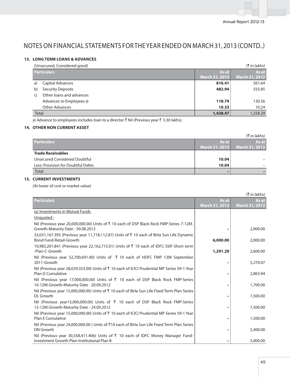### **13. LONG TERM LOANS & ADVANCES**

|       | (Unsecured, Considered good) |                | (₹ in lakhs)          |
|-------|------------------------------|----------------|-----------------------|
|       | <b>Particulars</b>           | As at          | As at                 |
|       |                              | March 31, 2013 | <b>March 31, 2012</b> |
| a)    | Capital Advances             | 816.41         | 561.64                |
| b)    | <b>Security Deposits</b>     | 482.94         | 555.85                |
| C)    | Other loans and advances     |                |                       |
|       | Advances to Employees @      | 118.79         | 130.56                |
|       | <b>Other Advances</b>        | 10.33          | 10.24                 |
| Total |                              | 1,428.47       | 1,258.29              |

@ Advance to employees includes loan to a director ₹ Nil (Previous year ₹ 3.30 lakhs).

# **14. OTHER NON CURRENT ASSET**

|                                    |                | (₹ in lakhs)   |
|------------------------------------|----------------|----------------|
| <b>Particulars</b>                 | As at I        | As at I        |
|                                    | March 31, 2013 | March 31, 2012 |
| <b>Trade Receivables</b>           |                |                |
| Unsecured Considered Doubtful      | 10.04          |                |
| Less: Provision for Doubtful Debts | 10.04          |                |
| Total                              | -              |                |

### **15. CURRENT INVESTMENTS**

(At lower of cost or market value)

|                                                                                                                                                |                       | (₹ in lakhs)   |
|------------------------------------------------------------------------------------------------------------------------------------------------|-----------------------|----------------|
| <b>Particulars</b>                                                                                                                             | As at                 | As at          |
|                                                                                                                                                | <b>March 31, 2013</b> | March 31, 2012 |
| (a) Investments in Mutual Funds                                                                                                                |                       |                |
| Unquoted:                                                                                                                                      |                       |                |
| Nil (Previous year 20,000,000.00) Units of ₹ 10 each of DSP Black Rock FMP-Series 7-12M-<br>Growth-Maturity Date - 30.08.2012                  |                       | 2,000.00       |
| 33,031,167.395 (Previous year 11,718,112.87) Units of $\bar{\tau}$ 10 each of Birla Sun Life Dynamic<br><b>Bond Fund-Retail-Growth</b>         | 6,000.00              | 2,000.00       |
|                                                                                                                                                |                       |                |
| 10,983,201.841 (Previous year 22,162,715.01) Units of ₹ 10 each of IDFC-SSIF-Short term<br>-Plan-C-Growth                                      | 1,291.29              | 2,600.00       |
| Nil (Previous year 52,700,691.00) Units of $\bar{\tau}$ 10 each of HDFC FMP 13M September<br>2011-Growth                                       |                       | 5,270.07       |
| Nil (Previous year 28,639,353.00) Units of ₹ 10 each of ICICI Prudential MP Series 59-1 Year<br>Plan D Cumulative                              |                       | 2,863.94       |
| Nil (Previous year 17,000,000.00) Units of $\overline{\zeta}$ 10 each of DSP Black Rock FMP-Series<br>10-12M-Growth-Maturity Date - 20.09.2012 |                       | 1,700.00       |
| Nil (Previous year 15,000,000.00) Units of ₹ 10 each of Birla Sun Life Fixed Term Plan Series<br>DL Growth                                     |                       | 1,500.00       |
| Nil (Previous year15,000,000.00) Units of ₹ 10 each of DSP Black Rock FMP-Series<br>12-12M-Growth-Maturity Date - 24.09.2012                   |                       | 1,500.00       |
| Nil (Previous year 15,000,000.00) Units of ₹ 10 each of ICICI Prudential MP Series 59-1 Year<br><b>Plan E Cumulative</b>                       |                       | 1,500.00       |
| Nil (Previous year 24,000,000.00) Units of ₹10 each of Birla Sun Life Fixed Term Plan Series<br>DN Growth                                      |                       | 2,400.00       |
| Nil (Previous year 30,358,411.406) Units of ₹ 10 each of IDFC Money Manager Fund-<br>Investment Growth Plan-Institutional Plan B               |                       | 5,000.00       |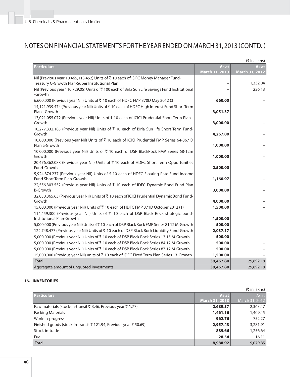|                                                                                                                       |                         | (₹ in lakhs)            |
|-----------------------------------------------------------------------------------------------------------------------|-------------------------|-------------------------|
| <b>Particulars</b>                                                                                                    | As at<br>March 31, 2013 | As at<br>March 31, 2012 |
| Nil (Previous year 10,465,113.452) Units of ₹10 each of IDFC Money Manager Fund-                                      |                         |                         |
| Treasury C-Growth Plan-Super Institutional Plan                                                                       | $\overline{a}$          | 1,332.04                |
| Nil (Previous year 110,729.05) Units of ₹100 each of Birla Sun Life Savings Fund Institutional<br>-Growth             |                         | 226.13                  |
| 6,600,000 (Previous year Nil) Units of ₹10 each of HDFC FMP 370D May 2012 (3)                                         | 660.00                  |                         |
| 14,121,939.474 (Previous year Nil) Units of ₹10 each of HDFC High Interest Fund Short Term<br>Plan - Growth           | 3,051.37                |                         |
| 13,021,055.072 (Previous year Nil) Units of ₹10 each of ICICI Prudential Short Term Plan -                            |                         |                         |
| Growth                                                                                                                | 3,000.00                |                         |
| 10,277,332.185 (Previous year Nil) Units of ₹ 10 each of Birla Sun life Short Term Fund-                              |                         |                         |
| Growth                                                                                                                | 4,267.00                |                         |
| 10,000,000 (Previous year Nil) Units of ₹10 each of ICICI Prudential FMP Series 64-367 D<br>Plan L-Growth             | 1,000.00                |                         |
| 10,000,000 (Previous year Nil) Units of ₹ 10 each of DSP BlackRock FMP Series 68-12m                                  |                         |                         |
| Growth                                                                                                                | 1,000.00                |                         |
| 20,476,362.088 (Previous year Nil) Units of ₹ 10 each of HDFC Short Term Opportunities                                |                         |                         |
| Fund-Growth                                                                                                           | 2,500.00                |                         |
| 5,924,874.237 (Previous year Nil) Units of ₹ 10 each of HDFC Floating Rate Fund Income<br>Fund Short Term Plan-Growth | 1,160.97                |                         |
| 22,556,303.552 (Previous year Nil) Units of ₹ 10 each of IDFC Dynamic Bond Fund-Plan                                  |                         |                         |
| <b>B-Growth</b>                                                                                                       | 3,000.00                |                         |
| 32,030,365.63 (Previous year Nil) Units of ₹10 each of ICICI Prudential Dynamic Bond Fund-                            |                         |                         |
| Growth                                                                                                                | 4,000.00                |                         |
| 15,000,000 (Previous year Nil) Units of ₹ 10 each of HDFC FMP 371D October 2012 (1)                                   | 1,500.00                |                         |
| 114,459.300 (Previous year Nil) Units of ₹ 10 each of DSP Black Rock strategic bond-<br>Institutional Plan-Growth     | 1,500.00                |                         |
| 5,000,000 (Previous year Nil) Units of ₹10 each of DSP Black Rock FMP Series 8112 M-Growth                            | 500.00                  |                         |
| 122,748.477 (Previous year Nil) Units of ₹ 10 each of DSP Black Rock Liquidity Fund-Growth                            | 2,037.17                |                         |
| 5,000,000 (Previous year Nil) Units of ₹ 10 each of DSP Black Rock Series 13 15 M-Growth                              | 500.00                  |                         |
| 5,000,000 (Previous year Nil) Units of ₹ 10 each of DSP Black Rock Series 84 12 M-Growth                              | 500.00                  |                         |
| 5,000,000 (Previous year Nil) Units of ₹ 10 each of DSP Black Rock Series 87 12 M-Growth                              | 500.00                  |                         |
| 15,000,000 (Previous year Nil) units of ₹ 10 each of IDFC Fixed Term Plan Series 13-Growth                            | 1,500.00                |                         |
| <b>Total</b>                                                                                                          | 39,467.80               | 29,892.18               |
| Aggregate amount of unquoted investments                                                                              | 39,467.80               | 29,892.18               |

### **16. INVENTORIES**

| (₹ in lakhs)                                                    |                       |                |  |
|-----------------------------------------------------------------|-----------------------|----------------|--|
| <b>Particulars</b>                                              | As at                 | As at          |  |
|                                                                 | <b>March 31, 2013</b> | March 31, 2012 |  |
| Raw materials (stock-in-transit ₹ 3.46, Previous year ₹ 1.77)   | 2,689.37              | 2,363.47       |  |
| Packing Materials                                               | 1,461.16              | 1,409.45       |  |
| Work-in-progress                                                | 962.76                | 752.27         |  |
| Finished goods (stock-in-transit ₹121.94, Previous year ₹50.69) | 2,957.43              | 3,281.91       |  |
| Stock-in-trade                                                  | 889.66                | 1,256.64       |  |
| Fuel                                                            | 28.54                 | 16.11          |  |
| <b>Total</b>                                                    | 8,988.92              | 9,079.85       |  |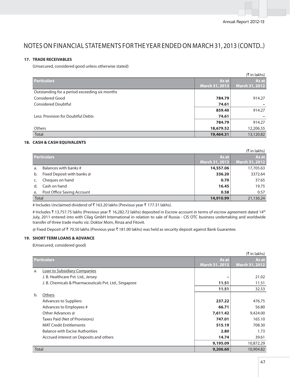### **17. TRADE RECEIVABLES**

(Unsecured, considered good unless otherwise stated)

|                                               |                | $(\bar{\bar{\mathbf{x}}}$ in lakhs) |
|-----------------------------------------------|----------------|-------------------------------------|
| <b>Particulars</b>                            | As at          | As at                               |
|                                               | March 31, 2013 | March 31, 2012                      |
| Outstanding for a period exceeding six months |                |                                     |
| Considered Good                               | 784.79         | 914.27                              |
| <b>Considered Doubtful</b>                    | 74.61          |                                     |
|                                               | 859.40         | 914.27                              |
| Less: Provision for Doubtful Debts            | 74.61          |                                     |
|                                               | 784.79         | 914.27                              |
| <b>Others</b>                                 | 18,679.52      | 12,206.55                           |
| <b>Total</b>                                  | 19,464.31      | 13,120.82                           |

### **18. CASH & CASH EQUIVALENTS**

| (₹ in lakhs) |                            |                |                |
|--------------|----------------------------|----------------|----------------|
|              | <b>Particulars</b>         | As at          | As at          |
|              |                            | March 31, 2013 | March 31, 2012 |
| a.           | Balances with banks #      | 14,557.06      | 17,705.63      |
| b.           | Fixed Deposit with banks @ | 336.20         | 3372.64        |
|              | Cheques on hand            | 0.70           | 37.65          |
| d.           | Cash on hand               | 16.45          | 19.75          |
| e.           | Post Office Saving Account | 0.58           | 0.57           |
| <b>Total</b> |                            | 14,910.99      | 21,136.24      |

# Includes Unclaimed dividend of ₹163.20 lakhs (Previous year ₹177.31 lakhs).

# Includes ₹ 13,757.75 lakhs (Previous year ₹ 16,282.72 lakhs) deposited in Escrow account in terms of escrow agreement dated 14<sup>th</sup> July, 2011 entered into with Cilag GmbH International in relation to sale of Russia - CIS OTC business undertaking and worldwide transfer of three trade marks viz. Doktor Mom, Rinza and Fitovit.

@ Fixed Deposit of ₹70.50 lakhs (Previous year ₹181.00 lakhs) was held as security deposit against Bank Guarantee.

### **19. SHORT TERM LOANS & ADVANCE**

 **(**Unsecured, considered good)

|       |                                                        |                       | $(\bar{\bar{\mathbf{x}}}$ in lakhs) |
|-------|--------------------------------------------------------|-----------------------|-------------------------------------|
|       | <b>Particulars</b>                                     | As at                 | As at                               |
|       |                                                        | <b>March 31, 2013</b> | March 31, 2012                      |
| a.    | Loan to Subsidiary Companies                           |                       |                                     |
|       | J. B. Healthcare Pvt. Ltd., Jersey                     |                       | 21.02                               |
|       | J. B. Chemicals & Pharmaceuticals Pvt. Ltd., Singapore | 11.51                 | 11.51                               |
|       |                                                        | 11.51                 | 32.53                               |
| b.    | Others                                                 |                       |                                     |
|       | <b>Advances to Suppliers</b>                           | 237.22                | 476.75                              |
|       | Advances to Employees #                                | 66.71                 | 56.80                               |
|       | Other Advances @                                       | 7,611.42              | 9,424.00                            |
|       | Taxes Paid (Net of Provisions)                         | 747.01                | 165.10                              |
|       | <b>MAT Credit Entitlements</b>                         | 515.19                | 708.30                              |
|       | <b>Balance with Excise Authorities</b>                 | 2.80                  | 1.73                                |
|       | Accrued interest on Deposits and others                | 14.74                 | 39.61                               |
|       |                                                        | 9,195.09              | 10,872.29                           |
| Total |                                                        | 9,206.60              | 10,904.82                           |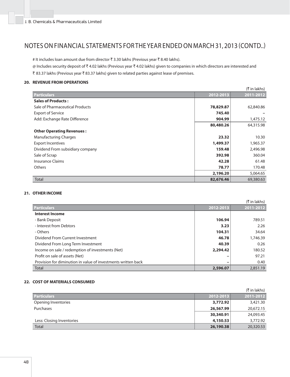# It includes loan amount due from director ₹3.30 lakhs (Previous year ₹8.40 lakhs).

@ Includes security deposit of ₹4.02 lakhs (Previous year ₹4.02 lakhs) given to companies in which directors are interested and ₹ 83.37 lakhs (Previous year ₹ 83.37 lakhs) given to related parties against lease of premises.

### **20. REVENUE FROM OPERATIONS**

|                                  |           | (₹ in lakhs) |
|----------------------------------|-----------|--------------|
| <b>Particulars</b>               | 2012-2013 | 2011-2012    |
| <b>Sales of Products:</b>        |           |              |
| Sale of Pharmaceutical Products  | 78,829.87 | 62,840.86    |
| <b>Export of Service</b>         | 745.40    |              |
| Add: Exchange Rate Difference    | 904.99    | 1,475.12     |
|                                  | 80,480.26 | 64,315.98    |
| <b>Other Operating Revenues:</b> |           |              |
| <b>Manufacturing Charges</b>     | 23.32     | 10.30        |
| <b>Export Incentives</b>         | 1,499.37  | 1,965.37     |
| Dividend From subsidiary company | 159.48    | 2,496.98     |
| Sale of Scrap                    | 392.98    | 360.04       |
| Insurance Claims                 | 42.28     | 61.48        |
| <b>Others</b>                    | 78.77     | 170.48       |
|                                  | 2,196.20  | 5,064.65     |
| <b>Total</b>                     | 82,676.46 | 69,380.63    |

### **21. OTHER INCOME**

|                                                               |           | (₹ in lakhs) |
|---------------------------------------------------------------|-----------|--------------|
| <b>Particulars</b>                                            | 2012-2013 | 2011-2012    |
| <b>Interest Income</b>                                        |           |              |
| - Bank Deposit                                                | 106.94    | 789.51       |
| - Interest from Debtors                                       | 3.23      | 2.26         |
| - Others                                                      | 104.31    | 34.64        |
| Dividend From Current Investment                              | 46.78     | 1,746.39     |
| Dividend From Long Term Investment                            | 40.39     | 0.26         |
| Income on sale / redemption of investments (Net)              | 2,294.42  | 180.52       |
| Profit on sale of assets (Net)                                |           | 97.21        |
| Provision for diminution in value of investments written back | -         | 0.40         |
| Total                                                         | 2,596.07  | 2,851.19     |

#### **22. COST OF MATERIALS CONSUMED**

|                           |           | $(\bar{\bar{\mathcal{K}}}$ in lakhs) |
|---------------------------|-----------|--------------------------------------|
| <b>Particulars</b>        | 2012-2013 | 2011-2012                            |
| Opening Inventories       | 3,772.92  | 3,421.30                             |
| Purchases                 | 26,567.99 | 20,672.15                            |
|                           | 30,340.91 | 24,093.45                            |
| Less: Closing Inventories | 4,150.53  | 3,772.92                             |
| <b>Total</b>              | 26,190.38 | 20,320.53                            |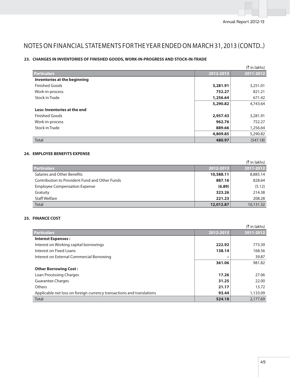### **23. CHANGES IN INVENTORIES OF FINISHED GOODS, WORK-IN-PROGRESS AND STOCK-IN-TRADE**

|                              |           | (₹ in lakhs) |
|------------------------------|-----------|--------------|
| <b>Particulars</b>           | 2012-2013 | 2011-2012    |
| Inventories at the beginning |           |              |
| <b>Finished Goods</b>        | 3,281.91  | 3,251.01     |
| Work-in-process              | 752.27    | 821.21       |
| Stock in Trade               | 1,256.64  | 671.42       |
|                              | 5,290.82  | 4,743.64     |
| Less: Inventories at the end |           |              |
| <b>Finished Goods</b>        | 2,957.43  | 3,281.91     |
| Work-in-process              | 962.76    | 752.27       |
| Stock in Trade               | 889.66    | 1,256.64     |
|                              | 4,809.85  | 5,290.82     |
| <b>Total</b>                 | 480.97    | (547.18)     |

### **24. EMPLOYEE BENEFITS EXPENSE**

|                                                |           | (₹ in lakhs) |
|------------------------------------------------|-----------|--------------|
| <b>Particulars</b>                             | 2012-2013 | 2011-2012    |
| Salaries and Other Benefits                    | 10,588.11 | 8,885.14     |
| Contribution to Provident Fund and Other Funds | 887.16    | 828.64       |
| <b>Employee Compensation Expense</b>           | (6.89)    | (5.12)       |
| Gratuity                                       | 323.26    | 214.38       |
| <b>Staff Welfare</b>                           | 221.23    | 208.28       |
| <b>Total</b>                                   | 12,012.87 | 10,131.32    |

## **25. FINANCE COST**

| (₹ in lakhs)                                                          |           |           |
|-----------------------------------------------------------------------|-----------|-----------|
| <b>Particulars</b>                                                    | 2012-2013 | 2011-2012 |
| <b>Interest Expenses:</b>                                             |           |           |
| Interest on Working capital borrowings                                | 222.92    | 773.39    |
| Interest on Fixed Loans                                               | 138.14    | 168.56    |
| Interest on External Commercial Borrowing                             |           | 39.87     |
|                                                                       | 361.06    | 981.82    |
| <b>Other Borrowing Cost:</b>                                          |           |           |
| Loan Processing Charges                                               | 17.26     | 27.06     |
| <b>Guarantee Charges</b>                                              | 31.25     | 22.00     |
| Others                                                                | 21.17     | 13.72     |
| Applicable net loss on foreign currency transactions and translations | 93.44     | 1,133.09  |
| <b>Total</b>                                                          | 524.18    | 2,177.69  |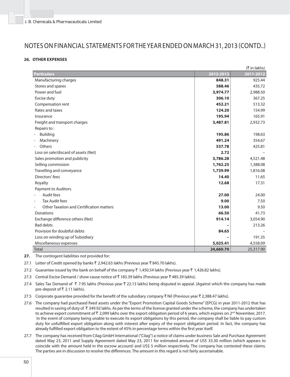### **26. OTHER EXPENSES**

|                                                   |           | (₹ in lakhs) |
|---------------------------------------------------|-----------|--------------|
| <b>Particulars</b>                                | 2012-2013 | 2011-2012    |
| Manufacturing charges                             | 848.31    | 925.44       |
| Stores and spares                                 | 588.46    | 435.72       |
| Power and fuel                                    | 3,974.77  | 2,988.50     |
| Excise duty                                       | 306.10    | 367.25       |
| Compensation rent                                 | 452.21    | 513.32       |
| Rates and taxes                                   | 124.20    | 154.99       |
| Insurance                                         | 195.94    | 165.91       |
| Freight and transport charges                     | 3,487.81  | 2,932.73     |
| Repairs to:                                       |           |              |
| <b>Building</b>                                   | 195.86    | 198.63       |
| Machinery                                         | 491.24    | 354.67       |
| Others                                            | 537.78    | 425.81       |
| Loss on sale/discard of assets (Net)              | 2.72      |              |
| Sales promotion and publicity                     | 3,786.28  | 4,521.48     |
| Selling commission                                | 1,762.25  | 1,388.08     |
| Travelling and conveyance                         | 1,739.99  | 1,816.08     |
| Directors' fees                                   | 14.40     | 11.65        |
| Royalty                                           | 12.68     | 17.31        |
| Payment to Auditors                               |           |              |
| Audit fees                                        | 27.00     | 24.00        |
| <b>Tax Audit fees</b><br>$\overline{\phantom{a}}$ | 9.00      | 7.50         |
| <b>Other Taxation and Certification matters</b>   | 13.00     | 9.50         |
| Donations                                         | 66.50     | 41.73        |
| Exchange difference others (Net)                  | 914.14    | 3,054.90     |
| <b>Bad debts</b>                                  |           | 213.26       |
| Provision for doubtful debts                      | 84.65     |              |
| Loss on winding up of Subsidiary                  |           | 191.35       |
| Miscellaneous expenses                            | 5,025.41  | 4,558.09     |
| <b>Total</b>                                      | 24,660.70 | 25,317.90    |

**27.** The contingent liabilities not provided for:

27.1 Letter of Credit opened by banks ₹ 2,942.63 lakhs (Previous year ₹ 845.70 lakhs).

27.2 Guarantee issued by the bank on behalf of the company  $\bar{\tau}$  1,450.54 lakhs (Previous year  $\bar{\tau}$  1,426.82 lakhs).

- 27.3 Central Excise Demand / show cause notice of  $\bar{x}$  183.39 lakhs (Previous year  $\bar{x}$  485.39 lakhs).
- 27.4 Sales Tax Demand of ₹ 7.95 lakhs (Previous year ₹ 22.13 lakhs) being disputed in appeal. (Against which the company has made pre-deposit of ₹ 2.11 lakhs).
- 27.5 Corporate guarantee provided for the benefit of the subsidiary company  $\bar{\tau}$  Nil (Previous year  $\bar{\tau}$  2,388.47 lakhs).
- 27.6 The company had purchased fixed assets under the "Export Promotion Capital Goods Scheme" (EPCG) in year 2011-2012 that has resulted in saving of duty of  $\bar{x}$  349.92 lakhs. As per the terms of the license granted under the scheme, the company has undertaken to achieve export commitment of  $\bar{\tau}$  2,099 lakhs over the export obligation period of 6 years, which expires on 2<sup>nd</sup> November, 2017. In the event of company being unable to execute its export obligations by this period, the company shall be liable to pay custom duty for unfulfilled export obligation along with interest after expiry of the export obligation period. In fact, the company has already fulfilled export obligation to the extent of 45% in percentage terms within the first year itself.
- 27.7 The company has received from Cilag GmbH International ("Cilag") a notice of claims under business Sale and Purchase Agreement dated May 23, 2011 and Supply Agreement dated May 23, 2011 for estimated amount of US\$ 33.30 million (which appears to coincide with the amount held in the escrow account) and US\$ 5 million respectively. The company has contested these claims. The parties are in discussion to resolve the differences. The amount in this regard is not fairly ascertainable.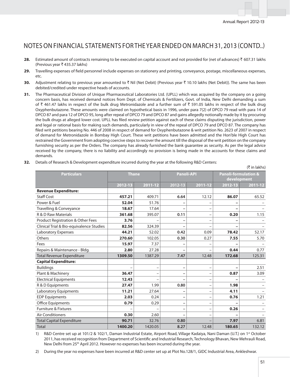- 28. Estimated amount of contracts remaining to be executed on capital account and not provided for (net of advances)  $\bar{\tau}$  607.31 lakhs (Previous year  $\bar{\tau}$  435.37 lakhs)
- 29. Travelling expenses of field personnel include expenses on stationery and printing, conveyance, postage, miscellaneous expenses, etc.
- **30.** Adjustment relating to previous year amounted to  $\bar{\tau}$  Nil (Net Debit) {Previous year  $\bar{\tau}$  10.10 lakhs (Net Debit)}. The same has been debited/credited under respective heads of accounts.
- **31.** The Pharmaceutical Division of Unique Pharmaceutical Laboratories Ltd. (UPLL) which was acquired by the company on a going concern basis, has received demand notices from Dept. of Chemicals & Fertilizers, Govt. of India, New Delhi demanding a sum of ₹ 461.47 lakhs in respect of the bulk drug Metronidazole and a further sum of ₹ 591.05 lakhs in respect of the bulk drug Oxyphenbutazone. These amounts were claimed on hypothetical basis in 1996, under para 7(2) of DPCO 79 read with para 14 of DPCO 87 and para 12 of DPCO 95, long after repeal of DPCO 79 and DPCO 87 and gains allegedly notionally made by it by procuring the bulk drugs at alleged lower cost. UPLL has filed review petition against each of these claims disputing the jurisdiction, power and legal or rational basis for making such demands, particularly in view of the repeal of DPCO 79 and DPCO 87. The company has filed writ petitions bearing No. 446 of 2008 in respect of demand for Oxyphenbutazone & writ petition No. 2623 of 2007 in respect of demand for Metronidazole in Bombay High Court. These writ petitions have been admitted and the Hon'ble High Court has restrained the Government from adopting coercive steps to recover the amount till the disposal of the writ petition on the company furnishing security as per the Orders. The company has already furnished the bank guarantee as security. As per the legal advice received by the company, there is no liability and accordingly no provision is being made in the accounts for these claims and demands.

| <b>Particulars</b>                       | <b>Thane</b> |                          | <b>Panoli-API</b>        |                          | <b>Panoli-formulation &amp;</b> |         |
|------------------------------------------|--------------|--------------------------|--------------------------|--------------------------|---------------------------------|---------|
|                                          |              | 2011-12                  | 2012-13                  | 2011-12                  | development                     |         |
| <b>Revenue Expenditure:</b>              | 2012-13      |                          |                          |                          | 2012-13                         | 2011-12 |
| Staff Cost                               | 457.21       | 409.71                   | 6.64                     | 12.12                    | 86.07                           | 65.52   |
| Power & Fuel                             | 52.04        | 51.76                    |                          |                          |                                 |         |
| Travelling & Conveyance                  | 18.67        | 17.64                    |                          |                          |                                 |         |
| <b>R &amp; D Raw Materials</b>           | 361.68       | 395.07                   | 0.11                     |                          | 0.20                            | 1.15    |
| Product Registration & Other Fees        | 3.76         |                          |                          |                          |                                 |         |
| Clinical Trial & Bio-equivalence Studies | 82.56        | 324.39                   |                          |                          |                                 |         |
| Laboratory Expenses                      | 44.21        | 52.02                    | 0.42                     | 0.09                     | 78.42                           | 52.17   |
| Others                                   | 270.60       | 102.05                   | 0.30                     | 0.27                     | 7.55                            | 5.70    |
| Fees                                     | 15.97        | 7.37                     |                          |                          |                                 |         |
| Repairs & Maintenance - Bldg.            | 2.80         | 27.28                    |                          |                          | 0.44                            | 0.77    |
| <b>Total Revenue Expenditure</b>         | 1309.50      | 1387.29                  | 7.47                     | 12.48                    | 172.68                          | 125.31  |
| <b>Capital Expenditure:</b>              |              |                          |                          |                          |                                 |         |
| <b>Buildings</b>                         |              |                          |                          |                          |                                 | 2.51    |
| Plant & Machinery                        | 36.47        | $\overline{\phantom{0}}$ | -                        |                          | 0.87                            | 3.09    |
| <b>Electrical Equipments</b>             | 12.43        |                          |                          |                          |                                 |         |
| R & D Equipments                         | 27.47        | 1.99                     | 0.80                     | $\qquad \qquad -$        | 1.98                            |         |
| Laboratory Equipments                    | 11.21        | 27.64                    | -                        |                          | 4.11                            |         |
| <b>EDP Equipments</b>                    | 2.03         | 0.24                     | $\overline{\phantom{0}}$ |                          | 0.76                            | 1.21    |
| Office Equipments                        | 0.79         | 0.29                     | $\overline{\phantom{0}}$ |                          |                                 |         |
| <b>Furniture &amp; Fixtures</b>          |              |                          | -                        | $\overline{\phantom{0}}$ | 0.26                            |         |
| <b>Air Conditioners</b>                  | 0.30         | 2.60                     |                          |                          |                                 |         |
| <b>Total Capital Expenditure</b>         | 90.71        | 32.76                    | 0.80                     |                          | 7.97                            | 6.81    |
| <b>Total</b>                             | 1400.20      | 1420.05                  | 8.27                     | 12.48                    | 180.65                          | 132.12  |

1) R&D Centre set up at 101/2 & 102/1, Daman Industrial Estate, Airport Road, Village Kadaiya, Nani Daman (U.T.) on 1<sup>st</sup> October 2011, has received recognition from Department of Scientific and Industrial Research, Technology Bhavan, New Mehrauli Road, New Delhi from 25th April 2012. However no expenses has been incurred during the year.

2) During the year no expenses have been incurred at R&D center set up at Plot No.128/1, GIDC Industrial Area, Ankleshwar.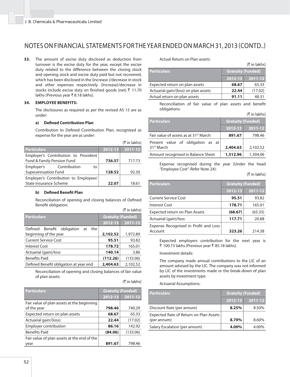**33.** The amount of excise duty disclosed as deduction from turnover is the excise duty for the year, except the excise duty related to the difference between the closing stock and opening stock and excise duty paid but not recovered, which has been disclosed in the (increase )/decrease in stock and other expenses respectively. (Increase)/decrease in stocks include excise duty on finished goods (net)  $\bar{z}$  11.70 lakhs (Previous year ₹8.18 lakhs).

#### **34. EMPLOYEE BENEFITS:**

 The disclosures as required as per the revised AS 15 are as under:

#### **a)** Defined Contribution Plan

Contribution to Defined Contribution Plan, recognized as expense for the year are as under:

|                                       |         | ( $\bar{\tau}$ in lakhs) |
|---------------------------------------|---------|--------------------------|
| <b>Particulars</b>                    | 2012-13 | 2011-12                  |
| Employer's Contribution to Provident  |         |                          |
| Fund & Family Pension Fund            | 736.57  | 717.73                   |
| Employer's Contribution<br>to         |         |                          |
| <b>Superannuation Fund</b>            | 128.52  | 92.30                    |
| Employer's Contribution to Employees' |         |                          |
| State Insurance Scheme                | 22.07   | 18.61                    |
|                                       |         |                          |

#### **b)** Defined Benefit Plan

Reconciliation of opening and closing balances of Defined Benefit obligation:

|                                         |                          | (₹ in lakhs) |
|-----------------------------------------|--------------------------|--------------|
| <b>Particulars</b>                      | <b>Gratuity (Funded)</b> |              |
|                                         | 2012-13                  | 2011-12      |
| Benefit obligation at<br>Defined<br>the |                          |              |
| beginning of the year                   | 2,102.52                 | 1,972.89     |
| <b>Current Service Cost</b>             | 95.51                    | 93.82        |
| <b>Interest Cost</b>                    | 178.72                   | 165.01       |
| Actuarial (gain)/loss                   | 140.14                   | 3.86         |
| <b>Benefits Paid</b>                    | (112.26)                 | (133.06)     |
| Defined Benefit obligation at year end  | 2,404.63                 | 2,102.52     |

 Reconciliation of opening and closing balances of fair value of plan assets:

(₹ in lakhs)

| <b>Particulars</b>                          | <b>Gratuity (Funded)</b> |          |  |
|---------------------------------------------|--------------------------|----------|--|
|                                             | 2012-13                  | 2011-12  |  |
| Fair value of plan assets at the beginning  |                          |          |  |
| of the year                                 | 798.46                   | 740.29   |  |
| Expected return on plan assets              | 68.67                    | 65.33    |  |
| Actuarial gain/(loss)                       | 22.44                    | (17.02)  |  |
| Employer contribution                       | 86.16                    | 142.92   |  |
| <b>Benefits Paid</b>                        | (84.06)                  | (133.06) |  |
| Fair value of plan assets at the end of the |                          |          |  |
| year                                        | 891.67                   | 798.46   |  |

#### Actual Return on Plan assets:

| (₹ in lakhs) |  |  |  |  |
|--------------|--|--|--|--|
|--------------|--|--|--|--|

 $(F$  in lakhel

| <b>Particulars</b>                   | <b>Gratuity (Funded)</b> |             |
|--------------------------------------|--------------------------|-------------|
|                                      | 2012-13                  | $2011 - 12$ |
| Expected return on plan assets       | 68.67                    | 65.33       |
| Actuarial gain/(loss) on plan assets | 22.44                    | (17.02)     |
| Actual return on plan assets         | 91.11                    | 48.31       |

Reconciliation of fair value of plan assets and benefit obligations:

|                                                   |             | $\sqrt{2}$ 111114111121  |  |
|---------------------------------------------------|-------------|--------------------------|--|
| <b>Particulars</b>                                |             | <b>Gratuity (Funded)</b> |  |
|                                                   | $2012 - 13$ | $2011 - 12$              |  |
| Fair value of assets as at 31 <sup>st</sup> March | 891.67      | 798.46                   |  |
| Present value of obligation as at                 |             |                          |  |
| 31 <sup>st</sup> March                            | 2,404.63    | 2,102.52                 |  |
| Amount recognised in Balance Sheet                | 1,512.96    | 1,304.06                 |  |

 Expense recognised during the year (Under the head "Employee Cost"-Refer Note 24):

#### $($ ₹ in lakhs)

| <b>Particulars</b>                    | <b>Gratuity (Funded)</b> |         |
|---------------------------------------|--------------------------|---------|
|                                       | 2012-13                  | 2011-12 |
| <b>Current Service Cost</b>           | 95.51                    | 93.82   |
| Interest Cost                         | 178.71                   | 165.01  |
| Expected return on Plan Assets        | (68.67)                  | (65.33) |
| Actuarial (gain)/loss                 | 117.71                   | 20.88   |
| Expense Recognised in Profit and Loss |                          |         |
| Account                               | 323.26                   | 214.38  |

 Expected employers contribution for the next year is ₹ 100.73 lakhs (Previous year ₹ 85.18 lakhs).

#### Investment details:

 The company made annual contributions to the LIC of an amount advised by the LIC. The company was not informed by LIC of the investments made or the break-down of plan assets by investment type.

Actuarial Assumptions:

| <b>Particulars</b>                                    | <b>Gratuity (Funded)</b> |         |
|-------------------------------------------------------|--------------------------|---------|
|                                                       | 2012-13                  | 2011-12 |
| Discount Rate (per annum)                             | 8.25%                    | 8.50%   |
| Expected Rate of Return on Plan Assets<br>(per annum) | 8.70%                    | 8.60%   |
| Salary Escalation (per annum)                         | 4.00%                    | 4.00%   |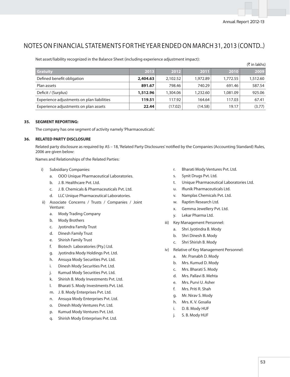Net asset/liability recognized in the Balance Sheet (including experience adjustment impact):

|                                            |          |          |          |          | (₹ in lakhs) |
|--------------------------------------------|----------|----------|----------|----------|--------------|
| <b>Gratuity</b>                            | 2013     | 2012     | 2011     | 2010     | 2009         |
| Defined benefit obligation                 | 2,404.63 | 2.102.52 | 1,972.89 | 1.772.55 | 1,512.60     |
| Plan assets                                | 891.67   | 798.46   | 740.29   | 691.46   | 587.54       |
| Deficit / (Surplus)                        | 1,512.96 | 1,304.06 | 1,232.60 | 1.081.09 | 925.06       |
| Experience adjustments on plan liabilities | 119.51   | 117.92   | 164.64   | 117.03   | 67.41        |
| Experience adjustments on plan assets      | 22.44    | (17.02)  | (14.58)  | 19.17    | (3.77)       |

#### **35. SEGMENT REPORTING:**

The company has one segment of activity namely 'Pharmaceuticals'.

#### **36. RELATED PARTY DISCLOSURE**

Related party disclosure as required by AS - 18, 'Related Party Disclosures' notified by the Companies (Accounting Standard) Rules, 2006 are given below:

Names and Relationships of the Related Parties:

- i) Subsidiary Companies:
	- a. OOO Unique Pharmaceutical Laboratories.
	- b. J. B. Healthcare Pvt. Ltd.
	- c. J. B. Chemicals & Pharmaceuticals Pvt. Ltd.
	- d. LLC Unique Pharmaceutical Laboratories.
- ii) Associate Concerns / Trusts / Companies / Joint Venture:
	- a. Mody Trading Company
	- b. Mody Brothers
	- c. Jyotindra Family Trust
	- d. Dinesh Family Trust
	- e. Shirish Family Trust
	- f. Biotech Laboratories (Pty.) Ltd.
	- g. Jyotindra Mody Holdings Pvt. Ltd.
	- h. Ansuya Mody Securities Pvt. Ltd.
	- i. Dinesh Mody Securities Pvt. Ltd.
	- j. Kumud Mody Securities Pvt. Ltd.
	- k. Shirish B. Mody Investments Pvt. Ltd.
	- l. Bharati S. Mody Investments Pvt. Ltd.
	- m. J. B. Mody Enterprises Pvt. Ltd.
	- n. Ansuya Mody Enterprises Pvt. Ltd.
	- o. Dinesh Mody Ventures Pvt. Ltd.
	- p. Kumud Mody Ventures Pvt. Ltd.
	- q. Shirish Mody Enterprises Pvt. Ltd.
- r. Bharati Mody Ventures Pvt. Ltd.
- s. Synit Drugs Pvt. Ltd.
- t. Unique Pharmaceutical Laboratories Ltd.
- u. Ifiunik Pharmaceuticals Ltd.
- v. Namplas Chemicals Pvt. Ltd.
- w. Raptim Research Ltd.
- x. Gemma Jewellery Pvt. Ltd.
- y. Lekar Pharma Ltd.
- iii) Key Management Personnel:
	- a. Shri Jyotindra B. Mody
	- b. Shri Dinesh B. Mody
	- c. Shri Shirish B. Mody
- iv) Relative of Key Management Personnel:
	- a. Mr. Pranabh D. Mody
	- b. Mrs. Kumud D. Mody
	- c. Mrs. Bharati S. Mody
	- d. Mrs. Pallavi B. Mehta
	- e. Mrs. Purvi U. Asher
	- f. Mrs. Priti R. Shah
	- g. Mr. Nirav S. Mody
	- h. Mrs. K. V. Gosalia
	- i. D. B. Mody HUF
	- j. S. B. Mody HUF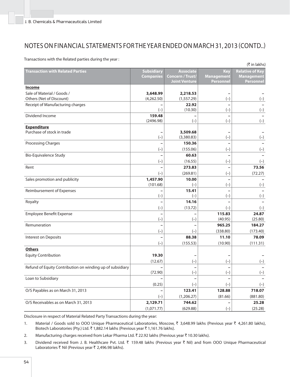Transactions with the Related parties during the year :

|                                                           |                                       |                                                              |                                              | (₹ in lakhs)                                                    |
|-----------------------------------------------------------|---------------------------------------|--------------------------------------------------------------|----------------------------------------------|-----------------------------------------------------------------|
| <b>Transaction with Related Parties</b>                   | <b>Subsidiary</b><br><b>Companies</b> | <b>Associate</b><br>Concern / Trust/<br><b>Joint Venture</b> | Key<br><b>Management</b><br><b>Personnel</b> | <b>Relative of Key</b><br><b>Management</b><br><b>Personnel</b> |
| <b>Income</b>                                             |                                       |                                                              |                                              |                                                                 |
| Sale of Material / Goods /                                | 3,648.99                              | 2,218.53                                                     |                                              |                                                                 |
| Others (Net of Discount)                                  | (4,262.50)                            | (1, 557.29)                                                  | $(-)$                                        | $(-)$                                                           |
| Receipt of Manufacturing charges                          |                                       | 22.92                                                        |                                              |                                                                 |
|                                                           | $(-)$                                 | (10.30)                                                      | $(-)$                                        | $(-)$                                                           |
| Dividend Income                                           | 159.48                                |                                                              |                                              |                                                                 |
|                                                           | (2496.98)                             | $(-)$                                                        | $(-)$                                        | $(-)$                                                           |
| <b>Expenditure</b>                                        |                                       |                                                              |                                              |                                                                 |
| Purchase of stock in trade                                |                                       | 3,509.68                                                     |                                              |                                                                 |
|                                                           | $(-)$                                 | (3,380.83)                                                   | $(-)$                                        | $(-)$                                                           |
| <b>Processing Charges</b>                                 |                                       | 150.36                                                       |                                              |                                                                 |
|                                                           | $(-)$                                 | (155.06)                                                     | $(-)$                                        | $(-)$                                                           |
| <b>Bio-Equivalence Study</b>                              |                                       | 60.63                                                        |                                              |                                                                 |
|                                                           | $(-)$                                 | (16.55)                                                      | $(-)$                                        | $(-)$                                                           |
| Rent                                                      |                                       | 273.83                                                       |                                              | 73.56                                                           |
|                                                           | $(-)$                                 | (269.81)                                                     | $(-)$                                        | (72.27)                                                         |
| Sales promotion and publicity                             | 1,457.90                              | 10.00                                                        |                                              |                                                                 |
|                                                           | (101.68)                              | $(-)$                                                        | $(-)$                                        | $(-)$                                                           |
| Reimbursement of Expenses                                 |                                       | 15.41                                                        |                                              |                                                                 |
|                                                           | $(-)$                                 | $(-)$                                                        | $(-)$                                        | $(-)$                                                           |
| Royalty                                                   | -                                     | 14.16                                                        |                                              |                                                                 |
|                                                           | $(-)$                                 | (13.72)                                                      | $(-)$                                        | $(-)$                                                           |
| <b>Employee Benefit Expense</b>                           | -                                     |                                                              | 115.83<br>(40.95)                            | 24.87<br>(25.80)                                                |
| Remuneration                                              | $(-)$                                 | $(-)$                                                        | 965.25                                       | 184.27                                                          |
|                                                           |                                       |                                                              | (338.80)                                     | (173.40)                                                        |
|                                                           | $(-)$                                 | $(-)$<br>88.38                                               | 11.10                                        | 78.09                                                           |
| Interest on Deposits                                      |                                       |                                                              |                                              |                                                                 |
|                                                           | $(-)$                                 | (155.53)                                                     | (10.90)                                      | (111.31)                                                        |
| <b>Others</b>                                             |                                       |                                                              |                                              |                                                                 |
| <b>Equity Contribution</b>                                | 19.30                                 |                                                              |                                              |                                                                 |
|                                                           | (12.67)                               | $(-)$                                                        | $(-)$                                        | $(-)$                                                           |
| Refund of Equity Contribution on winding up of subsidiary | (72.90)                               | $\overline{a}$<br>$(-)$                                      | $(-)$                                        | $(-)$                                                           |
| Loan to Subsidiary                                        |                                       |                                                              |                                              |                                                                 |
|                                                           |                                       |                                                              |                                              |                                                                 |
| O/S Payables as on March 31, 2013                         | (0.25)                                | $(-)$<br>123.41                                              | $(-)$<br>128.88                              | $(-)$<br>718.07                                                 |
|                                                           |                                       |                                                              |                                              |                                                                 |
| O/S Receivables as on March 31, 2013                      | $(-)$                                 | (1,206.27)                                                   | (81.66)                                      | (881.80)                                                        |
|                                                           | 2,129.71                              | 744.62                                                       |                                              | 25.28                                                           |
|                                                           | (1,071.77)                            | (629.88)                                                     | $(-)$                                        | (25.28)                                                         |

Disclosure in respect of Material Related Party Transactions during the year:

1. Material / Goods sold to OOO Unique Pharmaceutical Laboratories, Moscow, ₹ 3,648.99 lakhs (Previous year ₹ 4,261.80 lakhs), Biotech Laboratories (Pty.) Ltd. ₹ 1,882.14 lakhs (Previous year ₹ 1,161.76 lakhs).

- 2. Manufacturing charges received from Lekar Pharma Ltd.  $\bar{\tau}$  22.92 lakhs (Previous year  $\bar{\tau}$  10.30 lakhs).
- 3. Dividend received from J. B. Healthcare Pvt. Ltd. ₹ 159.48 lakhs (Previous year ₹ Nil) and from OOO Unique Pharmaceutical Laboratories  $\bar{\tau}$  Nil (Previous year  $\bar{\tau}$  2,496.98 lakhs).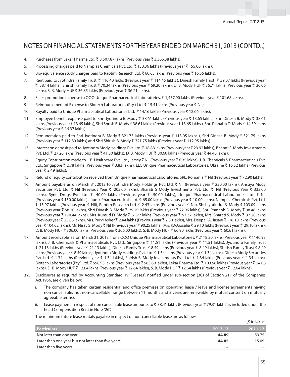- 4. Purchases from Lekar Pharma Ltd.  $\bar{x}$  3,507.87 lakhs (Previous year  $\bar{x}$  3,366.38 lakhs).
- 5. Processing charges paid to Namplas Chemicals Pvt. Ltd.  $\bar{\tau}$  150.36 lakhs (Previous year  $\bar{\tau}$  155.06 lakhs).
- 6. Bio-equivalence study charges paid to Raptim Research Ltd.  $\bar{\tau}$  60.63 lakhs (Previous year  $\bar{\tau}$  16.55 lakhs).
- 7. Rent paid to Jyotindra Family Trust  $\bar{x}$  116.40 lakhs (Previous year  $\bar{x}$  114.45 lakhs ), Dinesh Family Trust  $\bar{x}$  59.07 lakhs (Previous year ₹. 58.14 lakhs), Shirish Family Trust ₹ 70.34 lakhs (Previous year ₹ 69.20 lakhs), D. B. Mody HUF ₹ 36.71 lakhs (Previous year ₹ 36.06 lakhs), S. B. Mody HUF ₹ 36.85 lakhs (Previous year ₹ 36.21 lakhs).
- 8. Sales promotion expense to OOO Unique Pharmaceutical Laboratories, ₹ 1,457.90 lakhs (Previous year ₹ 101.68 lakhs).
- 9. Reimbursement of Expense to Biotech Laboratories (Pty.) Ltd.  $\bar{\tau}$  15.41 lakhs (Previous year  $\bar{\tau}$  Nil).
- 10. Royalty paid to Unique Pharmaceutical Laboratories Ltd. ₹14.16 lakhs (Previous year ₹12.66 lakhs).
- 11. Employee benefit expense paid to Shri Jyotindra B. Mody ₹ 38.61 lakhs (Previous year ₹ 13.65 lakhs), Shri Dinesh B. Mody ₹ 38.61 lakhs (Previous year ₹13.65 lakhs), Shri Shrish B. Mody ₹38.61 lakhs (Previous year ₹13.65 lakhs), Shri Pranabh D. Mody ₹14.39 lakhs (Previous year  $\bar{\tau}$  16.37 lakhs).
- 12. Remuneration paid to Shri Jyotindra B. Mody ₹ 321.75 lakhs (Previous year ₹ 113.05 lakhs ), Shri Dinesh B. Mody ₹ 321.75 lakhs (Previous year  $\bar{\tau}$  112.80 lakhs) and Shri Shirish B. Mody  $\bar{\tau}$  321.75 lakhs (Previous year  $\bar{\tau}$  112.95 lakhs).
- 13. Interest on deposit paid to Jyotindra Mody Holdings Pvt. Ltd. ₹18.88 lakhs (Previous year ₹23.92 lakhs), Bharati S. Mody Investments Pvt. Ltd. ₹ 27.26 lakhs (Previous year ₹ 41.50 lakhs), D. B. Mody HUF ₹ 30.60 lakhs (Previous year ₹ 44.40 lakhs).
- 14. Equity Contribution made to J. B. Healthcare Pvt. Ltd., Jersey  $\bar{\tau}$  Nil (Previous year  $\bar{\tau}$  6.35 lakhs), J. B. Chemicals & Pharmaceuticals Pvt. Ltd., Singapore ₹ 2.78 lakhs (Previous year ₹ 3.83 lakhs), LLC Unique Pharmaceutical Laboratories, Ukraine ₹ 16.52 lakhs (Previous  $year$   $2.49$  lakhs).
- 15. Refund of equity contribution received from Unique Pharmaceutical Laboratories SRL, Romania ₹ Nil (Previous year ₹ 72.90 lakhs).
- 16. Amount payable as on March 31, 2013 to Jyotindra Mody Holdings Pvt. Ltd. ₹ Nil (Previous year ₹ 230.00 lakhs), Ansuya Mody Securities Pvt. Ltd. ₹ Nil (Previous Year ₹ 205.00 lakhs), Bharati S Mody Investments Pvt. Ltd. ₹ Nil (Previous Year ₹ 332.00 lakhs), Synit Drugs Pvt. Ltd. ₹ 40.00 lakhs (Previous year ₹ 50.00 lakhs), Unique Pharmaceutical Laboratories Ltd. ₹ Nil (Previous year ₹150.00 lakhs), Ifiunik Pharmaceuticals Ltd. ₹65.00 lakhs (Previous year ₹10.00 lakhs), Namplas Chemicals Pvt. Ltd. रूँ 15.97 lakhs (Previous year रूँ Nil), Raptim Research Ltd. रूँ 2.43 lakhs (Previous year रूँ Nil), Shri Jyotindra B. Mody रूँ 103.09 lakhs (Previous year ₹ 58.20 lakhs), Shri Dinesh B. Mody ₹ 25.29 lakhs (Previous year ₹ 22.96 lakhs), Shri Pranabh D. Mody ₹ 98.48 lakhs (Previous year ₹170.44 lakhs), Mrs. Kumud D. Mody ₹61.77 lakhs (Previous year ₹57.37 lakhs), Mrs. Bharati S. Mody ₹37.28 lakhs (Previous year ₹ 25.86 lakhs), Mrs. Purvi Asher ₹ 2.44 lakhs (Previous year ₹ 2.30 lakhs), Mrs. Deepali A. Jasani ₹ 116.10 lakhs (Previous year ₹ 104.62 lakhs), Mr. Nirav S. Mody ₹ Nil (Previous year ₹ 90.25 lakhs), Mrs K.V.Gosalia ₹ 29.10 lakhs (Previous year ₹ 29.10 lakhs), D. B. Mody HUF ₹ 306.00 lakhs (Previous year ₹ 306.00 lakhs), S. B. Mody HUF ₹ 66.90 lakhs (Previous year ₹ 60.61 lakhs).
- 17. Amount receivable as on March 31, 2013 from OOO Unique Pharmaceutical Laboratories, ₹2118.20 lakhs (Previous year ₹1140.93 lakhs), J. B. Chemicals & Pharmaceuticals Pvt. Ltd., Singapore ₹ 11.51 lakhs (Previous year ₹ 11.51 lakhs), Jyotindra Family Trust ` 21.13 lakhs (Previous year ` 21.13 lakhs), Dinesh Family Trust ` 8.49 lakhs (Previous year ` 8.49 lakhs), Shirish Family Trust ` 8.49 lakhs (Previous year ₹8.49 lakhs), Jyotindra Mody Holdings Pvt. Ltd. ₹1.34 lakhs (Previous year ₹1.34 lakhs), Dinesh Mody Securities Pvt. Ltd. ₹ 1.34 lakhs (Previous year ₹ 1.34 lakhs), Shirish B. Mody Investments Pvt. Ltd. ₹ 1.34 lakhs (Previous year ₹ 1.34 lakhs), Biotech Laboratories (Pty.) Ltd. ₹ 598.93 lakhs (Previous year ₹ 563.69 lakhs), Lekar Pharma Ltd. ₹ 103.58 lakhs (Previous year ₹ 24.08 lakhs), D. B. Mody HUF ₹ 12.64 lakhs (Previous year ₹ 12.64 lakhs), S. B. Mody HUF ₹ 12.64 lakhs (Previous year ₹ 12.64 lakhs).
- **37.** Disclosures as required by Accounting Standard 19, "Leases", notified under sub-section (3C) of Section 211 of the Companies Act,1956, are given below:
	- i. The company has taken certain residential and office premises on operating lease / leave and license agreements having non cancellable/ not non-cancellable (range between 11 months and 3 years are renewable by mutual consent on mutually agreeable terms).
	- ii. Lease payment in respect of non cancellable lease amounts to ₹ 38.41 lakhs (Previous year ₹ 79.31 lakhs) is included under the head Compensation Rent in Note "26".

The minimum future lease rentals payable in respect of non-cancellable lease are as follows:

 $(\bar{\tau}$  in lakhs)

| <b>Particulars</b>                                | 2012-13 | 2011-12 |
|---------------------------------------------------|---------|---------|
| Not later than one year                           | 44.89   | 59.75   |
| Later than one year but not later than five years | 44.05   | 15.09   |
| Later than five years                             | -       |         |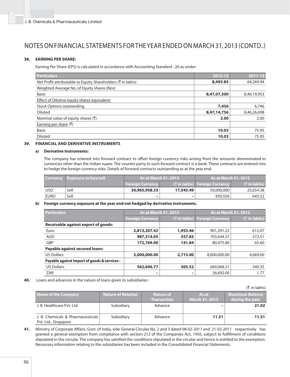### **38. EARNING PER SHARE:**

Earning Per Share (EPS) is calculated in accordance with Accounting Standard –20 as under:

| <b>Particulars</b>                                          | 2012-13     | 2011-12     |
|-------------------------------------------------------------|-------------|-------------|
| Net Profit attributable to Equity Shareholders (₹ in lakhs) | 8,493.85    | 64,269.94   |
| Weighted Average No. of Equity shares (Nos)                 |             |             |
| <b>Basic</b>                                                | 8,47,07,300 | 8,46,19,953 |
| Effect of Dilutive equity shares equivalent                 |             |             |
| Stock Options outstanding                                   | 7.456       | 6,746       |
| <b>Diluted</b>                                              | 8,47,14,756 | 8,46,26,698 |
| Nominal value of equity shares $(\overline{\tau})$          | 2.00        | 2.00        |
| Earning per share $($ ₹)                                    |             |             |
| <b>Basic</b>                                                | 10.03       | 75.95       |
| <b>Diluted</b>                                              | 10.03       | 75.95       |

### **39. FINANCIAL AND DERIVATIVE INSTRUMENTS**

#### **a) Derivative Instruments:**

The company has entered into forward contract to offset foreign currency risks arising from the amounts denominated in currencies other than the Indian rupee. The counter party to such forward contract is a bank. These contracts are entered into to hedge the foreign currency risks. Details of forward contracts outstanding as at the year end:

|             | <b>Currency</b> Exposure to buy/sell | <b>As at March 31, 2013</b> |                          | <b>As at March 31, 2012</b>      |                           |
|-------------|--------------------------------------|-----------------------------|--------------------------|----------------------------------|---------------------------|
|             |                                      | Foreian Currency            |                          | ( हैं in lakhs) Foreign Currency | $(5 \in \mathsf{linkhs})$ |
| <b>USD</b>  | Sell                                 | 30,965,958.33               | 17,545.49                | 50,000,000                       | 25,654.38                 |
| <b>EURO</b> | Sell                                 | $\overline{\phantom{a}}$    | $\overline{\phantom{0}}$ | 950,556                          | 645.52                    |

#### **b) Foreign currency exposure at the year end not hedged by derivative instruments.**

| <b>Particulars</b>                           | <b>As at March 31, 2013</b> |          | <b>As at March 31, 2012</b>   |                 |
|----------------------------------------------|-----------------------------|----------|-------------------------------|-----------------|
|                                              | <b>Foreign Currency</b>     |          | (₹ in lakhs) Foreign Currency | $($ ₹ in lakhs) |
| <b>Receivable against export of goods:</b>   |                             |          |                               |                 |
| Euro                                         | 2,813,207.42                | 1,955.46 | 901.291.22                    | 612.07          |
| <b>AUD</b>                                   | 987,314.05                  | 557.83   | 703,644.37                    | 372.51          |
| GBP                                          | 172,769.00                  | 141.84   | 80,475.80                     | 65.60           |
| Payable against secured loans:               |                             |          |                               |                 |
| <b>US Dollars</b>                            | 5,000,000.00                | 2,715.00 | 8,000,000,00                  | 4,069.60        |
| Payable against Import of goods & services : |                             |          |                               |                 |
| <b>US Dollars</b>                            | 562,646.77                  | 305.52   | 669,068.21                    | 340.35          |
| <b>ZAR</b>                                   | -                           | -        | 26,692.00                     | 1.77            |

**40.** Loans and advances in the nature of loans given to subsidiaries :

|                                                           |                           |                    |                       | $(5 \in \mathsf{In} \, \mathsf{lakhs})$ |
|-----------------------------------------------------------|---------------------------|--------------------|-----------------------|-----------------------------------------|
| <b>Name of the Company</b>                                | <b>Nature of Relation</b> | <b>Nature of</b>   | As at                 | <b>Maximum Balance</b>                  |
|                                                           |                           | <b>Transaction</b> | <b>March 31, 2013</b> | during the year                         |
| J. B. Healthcare Pyt. Ltd.                                | Subsidiary                | Advance            |                       | 21.02                                   |
| J. B. Chemicals & Pharmaceuticals<br>Pvt. Ltd., Singapore | Subsidiary                | Advance            | 11.51                 | 11.51                                   |

**41.** Ministry of Corporate Affairs, Govt. of India, vide General Circular No. 2 and 3 dated 08-02-2011 and 21-02-2011 respectively has granted a general exemption from compliance with section 212 of the Companies Act, 1956, subject to fulfillment of conditions stipulated in the circular. The company has satisfied the conditions stipulated in the circular and hence is entitled to the exemption. Necessary information relating to the subsidiaries has been included in the Consolidated Financial Statements.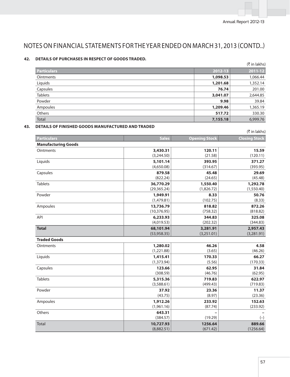# **42. DETAILS OF PURCHASES IN RESPECT OF GOODS TRADED.**

|                    |          | (₹ in lakhs) |
|--------------------|----------|--------------|
| <b>Particulars</b> | 2012-13  | 2011-12      |
| <b>Ointments</b>   | 1,098.53 | 1,066.44     |
| Liquids            | 1,201.68 | 1,352.14     |
| Capsules           | 76.74    | 201.00       |
| <b>Tablets</b>     | 3,041.07 | 2,644.85     |
| Powder             | 9.98     | 39.84        |
| Ampoules           | 1,209.46 | 1,365.19     |
| Others             | 517.72   | 330.30       |
| <b>Total</b>       | 7,155.18 | 6,999.76     |

# **43. DETAILS OF FINISHED GOODS MANUFACTURED AND TRADED**

|                            |              |                                                                                                                                                                                                                                                                                                                                           | (₹ in lakhs)         |
|----------------------------|--------------|-------------------------------------------------------------------------------------------------------------------------------------------------------------------------------------------------------------------------------------------------------------------------------------------------------------------------------------------|----------------------|
| <b>Particulars</b>         |              |                                                                                                                                                                                                                                                                                                                                           | <b>Closing Stock</b> |
| <b>Manufacturing Goods</b> |              |                                                                                                                                                                                                                                                                                                                                           |                      |
| <b>Ointments</b>           | 3,430.31     | 120.11                                                                                                                                                                                                                                                                                                                                    | 15.59                |
|                            | (3,244.50)   |                                                                                                                                                                                                                                                                                                                                           | (120.11)             |
| Liquids                    | 5,101.14     | 393.95                                                                                                                                                                                                                                                                                                                                    | 371.27               |
|                            | (4,650.08)   | (314.67)                                                                                                                                                                                                                                                                                                                                  | (393.95)             |
| Capsules                   | 879.58       | 45.48                                                                                                                                                                                                                                                                                                                                     | 29.69                |
|                            | (822.24)     | <b>Sales</b><br><b>Opening Stock</b><br>(21.58)<br>(24.65)<br>1,550.40<br>(1,826.72)<br>8.33<br>(102.75)<br>818.82<br>(758.32)<br>344.83<br>(202.32)<br>3,281.91<br>(3,251.01)<br>46.26<br>(3.65)<br>170.33<br>(5.56)<br>62.95<br>(46.76)<br>719.83<br>(499.43)<br>23.36<br>(8.97)<br>233.92<br>(87.74)<br>(19.29)<br>1256.64<br>(671.42) | (45.48)              |
| <b>Tablets</b>             | 36,770.29    |                                                                                                                                                                                                                                                                                                                                           | 1,292.78             |
|                            | (29, 365.24) |                                                                                                                                                                                                                                                                                                                                           | (1,550.40)           |
| Powder                     | 1,949.91     |                                                                                                                                                                                                                                                                                                                                           | 50.76                |
|                            | (1,479.81)   |                                                                                                                                                                                                                                                                                                                                           | (8.33)               |
| Ampoules                   | 13,736.79    |                                                                                                                                                                                                                                                                                                                                           | 872.26               |
|                            | (10, 376.95) |                                                                                                                                                                                                                                                                                                                                           | (818.82)             |
| API                        | 6,233.93     |                                                                                                                                                                                                                                                                                                                                           | 325.08               |
|                            | (4,019.53)   |                                                                                                                                                                                                                                                                                                                                           | (344.83)             |
| <b>Total</b>               | 68,101.94    |                                                                                                                                                                                                                                                                                                                                           | 2,957.43             |
|                            | (53,958.35)  |                                                                                                                                                                                                                                                                                                                                           | (3,281.91)           |
| <b>Traded Goods</b>        |              |                                                                                                                                                                                                                                                                                                                                           |                      |
| <b>Ointments</b>           | 1,280.02     |                                                                                                                                                                                                                                                                                                                                           | 4.58                 |
|                            | (1,221.88)   |                                                                                                                                                                                                                                                                                                                                           | (46.26)              |
| Liquids                    | 1,415.41     |                                                                                                                                                                                                                                                                                                                                           | 66.27                |
|                            | (1, 373.94)  |                                                                                                                                                                                                                                                                                                                                           | (170.33)             |
| Capsules                   | 123.66       |                                                                                                                                                                                                                                                                                                                                           | 31.84                |
|                            | (308.59)     |                                                                                                                                                                                                                                                                                                                                           | (62.95)              |
| <b>Tablets</b>             | 5,315.36     |                                                                                                                                                                                                                                                                                                                                           | 622.97               |
|                            | (3,588.61)   |                                                                                                                                                                                                                                                                                                                                           | (719.83)             |
| Powder                     | 37.92        |                                                                                                                                                                                                                                                                                                                                           | 11.37                |
|                            | (43.75)      |                                                                                                                                                                                                                                                                                                                                           | (23.36)              |
| Ampoules                   | 1,912.26     |                                                                                                                                                                                                                                                                                                                                           | 152.63               |
|                            | (1,961.16)   |                                                                                                                                                                                                                                                                                                                                           | (233.92)             |
| Others                     | 643.31       |                                                                                                                                                                                                                                                                                                                                           |                      |
|                            | (384.57)     |                                                                                                                                                                                                                                                                                                                                           | $(-)$                |
| <b>Total</b>               | 10,727.93    |                                                                                                                                                                                                                                                                                                                                           | 889.66               |
|                            | (8,882.51)   |                                                                                                                                                                                                                                                                                                                                           | (1256.64)            |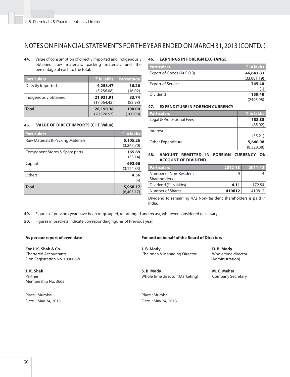**44.** Value of consumption of directly imported and indigenously obtained raw materials, packing materials and the percentage of each to the total.

| <b>Particulars</b>    | र्े in lakhs | Percentage |
|-----------------------|--------------|------------|
| Directly Imported     | 4,258.47     | 16.26      |
|                       | (3,256.08)   | (16.02)    |
| Indigenously obtained | 21,931.91    | 83.74      |
|                       | (17,064.45)  | (83.98)    |
| Total                 | 26,190.38    | 100.00     |
|                       | (20, 320.53) | (100.00)   |

#### **45. VALUE OF DIRECT IMPORTS (C.I.F. Value)**

| <b>Particulars</b>                | $\bar{\tau}$ in lakhs |
|-----------------------------------|-----------------------|
| Raw Materials & Packing Materials | 5,105.26              |
|                                   | (3,247.70)            |
| Component Stores & Spare parts    | 165.69                |
|                                   | (33.14)               |
| Capital                           | 692.66                |
|                                   | (3, 124.33)           |
| Others                            | 4.56                  |
|                                   | $(-)$                 |
| Total                             | 5,968.17              |
|                                   | (6,405.17)            |

#### **46. EARNINGS IN FOREIGN EXCHANGE**

| <b>Particulars</b>         | $\bar{\tau}$ in lakhs |
|----------------------------|-----------------------|
| Export of Goods (At F.O.B) | 46,641.83             |
|                            | (33,081.19)           |
| <b>Export of Service</b>   | 745.40                |
|                            | $(-)$                 |
| Dividend                   | 159.48                |
|                            | (2496.98)             |

**47. EXPENDITURE IN FOREIGN CURRENCY**

| <b>Particulars</b>        | ' $\bar{\tau}$ in lakhs |
|---------------------------|-------------------------|
| Legal & Professional Fees | 188.38                  |
|                           | (85.92)                 |
| Interest                  |                         |
|                           | (35.21)                 |
| Other Expenditure         | 5,640.98                |
|                           | (8,328.38)              |

#### **48. AMOUNT REMITTED IN FOREIGN CURRENCY ON ACCOUNT OF DIVIDEND**

| <b>Particulars</b>                     | 2012-13 | 2011-12 |
|----------------------------------------|---------|---------|
| Number of Non-Resident<br>Shareholders |         |         |
| Dividend (₹ in lakhs)                  | 4.11    | 172.54  |
| Number of Shares                       | 410812  | 410812  |

Dividend to remaining 472 Non-Resident shareholders is paid in India.

**49.** Figures of previous year have been re-grouped, re-arranged and recast, wherever considered necessary.

**50.** Figures in brackets indicate corresponding figures of Previous year.

**For J. K. Shah & Co.**  Chartered Accountants Firm Registration No. 109606W

**J. K. Shah**  Partner Membership No. 3662

Place : Mumbai Place : Mumbai

### As per our report of even date **For and on behalf of the Board of Directors**

 **J. B. Mody**  Chairman & Managing Director

 **S. B. Mody**  Whole time director (Marketing)

 **D. B. Mody**  Whole time director (Administration)

 **M. C. Mehta**  Company Secretary

Date : May 24, 2013 Date : May 24, 2013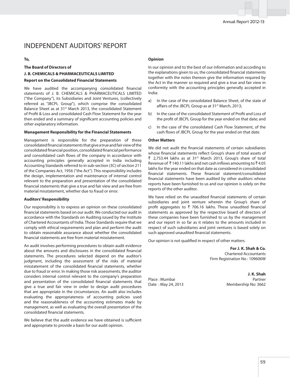# INDEPENDENT AUDITORS' REPORT

#### **To,**

# **The Board of Directors of J. B. CHEMICALS & PHARMACEUTICALS LIMITED**

### **Report on the Consolidated Financial Statements**

We have audited the accompanying consolidated financial statements of J. B. CHEMICALS & PHARMACEUTICALS LIMITED ("the Company"), its Subsidiaries and Joint Ventures, (collectively referred as "JBCPL Group"), which comprise the consolidated Balance Sheet as at 31<sup>st</sup> March 2013, the consolidated Statement of Profit & Loss and consolidated Cash Flow Statement for the year then ended and a summary of significant accounting policies and other explanatory information.

#### **Management Responsibility for the Financial Statements**

Management is responsible for the preparation of these consolidated financial statements that give a true and fair view of the consolidated financial position, consolidated financial performance and consolidated cash flows of the company in accordance with accounting principles generally accepted in India including Accounting Standards referred to in sub-section (3C) of section 211 of the Companies Act, 1956 ("the Act"). This responsibility includes the design, implementation and maintenance of internal control relevant to the preparation and presentation of the consolidated financial statements that give a true and fair view and are free from material misstatement, whether due to fraud or error.

#### **Auditors' Responsibility**

Our responsibility is to express an opinion on these consolidated financial statements based on our audit. We conducted our audit in accordance with the Standards on Auditing issued by the Institute of Chartered Accountants of India. Those Standards require that we comply with ethical requirements and plan and perform the audit to obtain reasonable assurance about whether the consolidated financial statements are free from material misstatement.

An audit involves performing procedures to obtain audit evidence about the amounts and disclosures in the consolidated financial statements. The procedures selected depend on the auditor's judgment, including the assessment of the risks of material misstatement of the consolidated financial statements, whether due to fraud or error. In making those risk assessments, the auditor considers internal control relevant to the company's preparation and presentation of the consolidated financial statements that give a true and fair view in order to design audit procedures that are appropriate in the circumstances. An audit also includes evaluating the appropriateness of accounting policies used and the reasonableness of the accounting estimates made by management, as well as evaluating the overall presentation of the consolidated financial statements.

We believe that the audit evidence we have obtained is sufficient and appropriate to provide a basis for our audit opinion.

#### **Opinion**

In our opinion and to the best of our information and according to the explanations given to us, the consolidated financial statements together with the notes thereon give the information required by the Act in the manner so required and give a true and fair view in conformity with the accounting principles generally accepted in India:

- a) In the case of the consolidated Balance Sheet, of the state of affairs of the JBCPL Group as at 31<sup>st</sup> March, 2013;
- b) In the case of the consolidated Statement of Profit and Loss of the profit of JBCPL Group for the year ended on that date; and
- c) In the case of the consolidated Cash Flow Statement, of the cash flows of JBCPL Group for the year ended on that date.

#### **Other Matters**

We did not audit the financial statements of certain subsidiaries whose financial statements reflect Group's share of total assets of ₹ 2,753.44 lakhs as at 31<sup>st</sup> March 2013, Group's share of total Revenue of  $\bar{\tau}$  140.11 lakhs and net cash inflows amounting to  $\bar{\tau}$  4.05 lakhs for the year ended on that date as considered in consolidated financial statements. These financial statement/consolidated financial statements have been audited by other auditors whose reports have been furnished to us and our opinion is solely on the reports of the other auditor.

We have relied on the unaudited financial statements of certain subsidiaries and joint venture wherein the Group's share of profit aggregates to  $\bar{\tau}$  706.16 lakhs. These unaudited financial statements as approved by the respective board of directors of these companies have been furnished to us by the management and our report in so far as it relates to the amounts included in respect of such subsidiaries and joint ventures is based solely on such approved unaudited financial statements.

Our opinion is not qualified in respect of other matters.

 **For J. K. Shah & Co.** Chartered Accountants Firm Registration No : 109606W

 **J. K. Shah** Place : Mumbai **Place** : Mumbai **Partner** Date: May 24, 2013 Membership No: 3662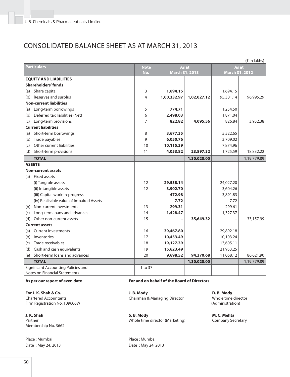# CONSOLIDATED BALANCE SHEET AS AT MARCH 31, 2013

|                    | (₹ in lakhs)                                                                |                          |                |             |                |             |
|--------------------|-----------------------------------------------------------------------------|--------------------------|----------------|-------------|----------------|-------------|
| <b>Particulars</b> |                                                                             | <b>Note</b>              |                | As at       | As at          |             |
|                    |                                                                             | No.                      | March 31, 2013 |             | March 31, 2012 |             |
|                    | <b>EQUITY AND LIABILITIES</b>                                               |                          |                |             |                |             |
|                    | Shareholders' funds                                                         |                          |                |             |                |             |
| (a)                | Share capital                                                               | 3                        | 1,694.15       |             | 1,694.15       |             |
| (b)                | Reserves and surplus                                                        | $\overline{\mathcal{L}}$ | 1,00,332.97    | 1,02,027.12 | 95,301.14      | 96,995.29   |
|                    | <b>Non-current liabilities</b>                                              |                          |                |             |                |             |
| (a)                | Long-term borrowings                                                        | 5                        | 774.71         |             | 1,254.50       |             |
| (b)                | Deferred tax liabilities (Net)                                              | 6                        | 2,498.03       |             | 1,871.04       |             |
| (c)                | Long-term provisions                                                        | $\overline{7}$           | 822.82         | 4,095.56    | 826.84         | 3,952.38    |
|                    | <b>Current liabilities</b>                                                  |                          |                |             |                |             |
| (a)                | Short-term borrowings                                                       | 8                        | 3,677.35       |             | 5,522.65       |             |
| (b)                | Trade payables                                                              | 9                        | 6,050.76       |             | 3,709.02       |             |
| (c)                | Other current liabilities                                                   | 10                       | 10,115.39      |             | 7,874.96       |             |
|                    | (d) Short-term provisions                                                   | 11                       | 4,053.82       | 23,897.32   | 1,725.59       | 18,832.22   |
|                    | <b>TOTAL</b>                                                                |                          |                | 1,30,020.00 |                | 1,19,779.89 |
|                    | <b>ASSETS</b>                                                               |                          |                |             |                |             |
|                    | <b>Non-current assets</b>                                                   |                          |                |             |                |             |
| (a)                | <b>Fixed assets</b>                                                         |                          |                |             |                |             |
|                    | (i) Tangible assets                                                         | 12                       | 29,538.14      |             | 24,027.20      |             |
|                    | (ii) Intangible assets                                                      | 12                       | 3,902.70       |             | 3,604.26       |             |
|                    | (iii) Capital work-in-progress                                              |                          | 472.98         |             | 3,891.83       |             |
|                    | (iv) Realisable value of Impaired Assets                                    |                          | 7.72           |             | 7.72           |             |
| (b)                | Non-current investments                                                     | 13                       | 299.31         |             | 299.61         |             |
| (c)                | Long-term loans and advances                                                | 14                       | 1,428.47       |             | 1,327.37       |             |
| (d)                | Other non-current assets                                                    | 15                       |                | 35,649.32   |                | 33,157.99   |
|                    | <b>Current assets</b>                                                       |                          |                |             |                |             |
| (a)                | <b>Current investments</b>                                                  | 16                       | 39,467.80      |             | 29,892.18      |             |
| (b)                | Inventories                                                                 | 17                       | 10,453.49      |             | 10,103.24      |             |
| (c)                | Trade receivables                                                           | 18                       | 19,127.39      |             | 13,605.11      |             |
| (d)                | Cash and cash equivalents                                                   | 19                       | 15,623.49      |             | 21,953.25      |             |
| (e)                | Short-term loans and advances                                               | 20                       | 9,698.52       | 94,370.68   | 11,068.12      | 86,621.90   |
|                    | <b>TOTAL</b>                                                                |                          |                | 1,30,020.00 |                | 1,19,779.89 |
|                    | Significant Accounting Policies and<br><b>Notes on Financial Statements</b> | 1 to 37                  |                |             |                |             |

**For J. K. Shah & Co.**  Chartered Accountants Firm Registration No. 109606W

**J. K. Shah**  Partner Membership No. 3662

Place : Mumbai **Place : Mumbai Place : Mumbai** 

# **As per our report of even date For and on behalf of the Board of Directors**

 **J. B. Mody**  Chairman & Managing Director

 **D. B. Mody**  Whole time director

 **S. B. Mody**  Whole time director (Marketing)

Date : May 24, 2013 Date : May 24, 2013

(Administration)

 **M. C. Mehta**  Company Secretary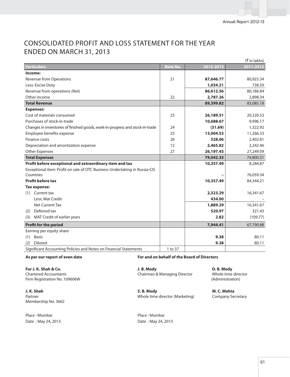# CONSOLIDATED PROFIT AND LOSS STATEMENT FOR THE YEAR ENDED ON MARCH 31, 2013

|                                                                               |                 |           | (₹ in lakhs) |
|-------------------------------------------------------------------------------|-----------------|-----------|--------------|
| <b>Particulars</b>                                                            | <b>Note No.</b> | 2012-2013 | 2011-2012    |
| Income:                                                                       |                 |           |              |
| <b>Revenue from Operations</b>                                                | 21              | 87,646.77 | 80,925.34    |
| Less: Excise Duty                                                             |                 | 1,034.21  | 738.50       |
| Revenue from operations (Net)                                                 |                 | 86,612.56 | 80,186.84    |
| Other income                                                                  | 22              | 2,787.26  | 2,898.34     |
| <b>Total Revenue</b>                                                          |                 | 89,399.82 | 83,085.18    |
| <b>Expenses:</b>                                                              |                 |           |              |
| Cost of materials consumed                                                    | 23              | 26,189.51 | 20,320.53    |
| Purchases of stock-in-trade                                                   |                 | 10,688.67 | 9,996.17     |
| Changes in inventories of finished goods, work-in-progress and stock-in-trade | 24              | (31.69)   | 1,322.92     |
| Employee benefits expense                                                     | 25              | 13,004.53 | 11,266.33    |
| Finance costs                                                                 | 26              | 528.06    | 2,402.81     |
| Depreciation and amortization expense                                         | 12              | 2,465.82  | 2,242.46     |
| Other Expenses                                                                | 27              | 26,197.43 | 27,249.09    |
| <b>Total Expenses</b>                                                         |                 | 79,042.33 | 74,800.31    |
| Profit before exceptional and extraordinary item and tax                      |                 | 10,357.49 | 8,284.87     |
| Exceptional item: Profit on sale of OTC Business Undertaking in Russia-CIS    |                 |           |              |
| Countries                                                                     |                 |           | 76,059.34    |
| <b>Profit before tax</b>                                                      |                 | 10,357.49 | 84,344.21    |
| Tax expense:                                                                  |                 |           |              |
| Current tax<br>(1)                                                            |                 | 2,323.29  | 16,341.67    |
| Less: Mat Credit                                                              |                 | 434.00    |              |
| <b>Net Current Tax</b>                                                        |                 | 1,889.29  | 16,341.67    |
| Deferred tax<br>(2)                                                           |                 | 520.97    | 321.43       |
| MAT Credit of earlier years<br>(3)                                            |                 | 2.82      | (109.77)     |
| <b>Profit for the period</b>                                                  |                 | 7,944.41  | 67,790.88    |
| Earning per equity share                                                      |                 |           |              |
| <b>Basic</b><br>(1)                                                           |                 | 9.38      | 80.11        |
| <b>Diluted</b><br>(2)                                                         |                 | 9.38      | 80.11        |
| Significant Accounting Policies and Notes on Financial Statements             | 1 to 37         |           |              |

**For J. K. Shah & Co.**  Chartered Accountants Firm Registration No. 109606W

**J. K. Shah**  Partner Membership No. 3662

Place : Mumbai Place : Mumbai Date : May 24, 2013 Date : May 24, 2013

**As per our report of even date For and on behalf of the Board of Directors**

 **J. B. Mody**  Chairman & Managing Director

 **S. B. Mody**  Whole time director (Marketing)

 **D. B. Mody**  Whole time director (Administration)

 **M. C. Mehta**  Company Secretary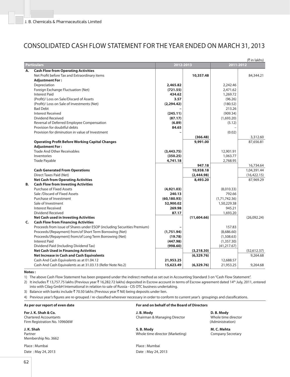# CONSOLIDATED CASH FLOW STATEMENT FOR THE YEAR ENDED ON MARCH 31, 2013

|    | (₹ in lakhs)                                                            |              |             |               |              |
|----|-------------------------------------------------------------------------|--------------|-------------|---------------|--------------|
|    | <b>Particulars</b>                                                      | 2012-2013    |             | 2011-2012     |              |
| Α. | <b>Cash Flow from Operating Activities</b>                              |              |             |               |              |
|    | Net Profit before Tax and Extraordinary items                           |              | 10,357.48   |               | 84,344.21    |
|    | <b>Adjustment For:</b>                                                  |              |             |               |              |
|    | Depreciation                                                            | 2,465.82     |             | 2,242.46      |              |
|    | Foreign Exchange Fluctuation (Net)                                      | (721.55)     |             | 2,471.62      |              |
|    | <b>Interest Paid</b>                                                    | 434.62       |             | 1,269.72      |              |
|    | (Profit)/ Loss on Sale/Discard of Assets                                | 3.57         |             | (96.26)       |              |
|    | (Profit)/ Loss on Sale of Investments (Net)                             | (2, 294.42)  |             | (180.52)      |              |
|    | <b>Bad Debt</b>                                                         |              |             | 213.26        |              |
|    | <b>Interest Received</b>                                                | (245.11)     |             | (909.34)      |              |
|    | Dividend Received                                                       | (87.17)      |             | (1,693.20)    |              |
|    | Reversal of Deferred Employee Compensation                              | (6.89)       |             | (5.12)        |              |
|    | Provision for doubtful debts                                            | 84.65        |             |               |              |
|    | Provision for diminution in value of Investment                         |              |             | (0.02)        |              |
|    |                                                                         |              | (366.48)    |               | 3,312.60     |
|    | <b>Operating Profit Before Working Capital Changes</b>                  |              | 9,991.00    |               | 87,656.81    |
|    | <b>Adjustment For:</b>                                                  |              |             |               |              |
|    | <b>Trade And Other Receivables</b>                                      | (3,443.75)   |             | 12,901.91     |              |
|    | Inventories                                                             | (350.25)     |             | 1,063.77      |              |
|    | Trade Payable                                                           | 4,741.18     |             | 2,768.95      |              |
|    |                                                                         |              | 947.18      |               | 16,734.64    |
|    | <b>Cash Generated From Operations</b>                                   |              | 10,938.18   |               | 1,04,391.44  |
|    | Direct Taxes Paid (Net)                                                 |              | (2,444.98)  |               | (16, 422.15) |
|    | <b>Net Cash from Operating Activities</b>                               |              | 8,493.20    |               | 87,969.29    |
| В. | <b>Cash Flow from Investing Activities</b>                              |              |             |               |              |
|    | <b>Purchase of Fixed Assets</b>                                         | (4,921.03)   |             | (8,010.33)    |              |
|    | Sale /Discard of Fixed Assets                                           | 240.13       |             | 792.66        |              |
|    | Purchase of Investment                                                  | (60, 180.93) |             | (1,71,742.36) |              |
|    | Sale of Investment                                                      | 52,900.02    |             | 1,50,229.38   |              |
|    | <b>Interest Received</b>                                                | 269.98       |             | 945.21        |              |
|    | Dividend Received                                                       | 87.17        |             | 1,693.20      |              |
|    | <b>Net Cash used in Investing Activities</b>                            |              | (11,604.66) |               | (26,092.24)  |
| C. | <b>Cash Flow from Financing Activities</b>                              |              |             |               |              |
|    | Proceeds from issue of Shares under ESOP (including Securities Premium) |              |             | 157.83        |              |
|    | Proceeds/(Repayment) from/of Short Term Borrowing (Net)                 | (1,751.94)   |             | (8,686.60)    |              |
|    | Proceeds/(Repayment) from/of Long Term Borrowing (Net)                  | (19.78)      |             | (1,508.63)    |              |
|    | <b>Interest Paid</b>                                                    | (447.98)     |             | (1,357.30)    |              |
|    | Dividend Paid (Including Dividend Tax)                                  | (998.60)     |             | (41, 217.67)  |              |
|    | <b>Net Cash Used in Financing Activities</b>                            |              | (3,218.30)  |               | (52,612.37)  |
|    | Net Increase in Cash and Cash Equivalents                               |              | (6,329.76)  |               | 9,264.68     |
|    | Cash And Cash Equivalents as at 01.04.12                                | 21,953.25    |             | 12,688.57     |              |
|    | Cash And Cash Equivalents as at 31.03.13 (Refer Note No.2)              | 15,623.49    | (6,329.76)  | 21,953.25     | 9,264.68     |

#### **Notes :**

1) The above Cash Flow Statement has been prepared under the indirect method as set out in Accounting Standard 3 on "Cash Flow Statement".

2) It includes ₹13,757.75 lakhs (Previous year ₹16,282.72 lakhs) deposited in Escrow account in terms of Escrow agreement dated 14<sup>th</sup> July, 2011, entered into with Cilag GmbH International in relation to sale of Russia - CIS OTC business undertaking.

3) Balance with banks include  $\bar{\tau}$  70.50 lakhs (Previous year  $\bar{\tau}$  Nil) being deposits under lien.

4) Previous year's figures are re-grouped / re-classified wherever necessary in order to conform to current year's groupings and classifications.

| As per our report of even date                                                        | For and on behalf of the Board of Directors  |                                                       |
|---------------------------------------------------------------------------------------|----------------------------------------------|-------------------------------------------------------|
| For J. K. Shah & Co.<br><b>Chartered Accountants</b><br>Firm Registration No. 109606W | J. B. Mody<br>Chairman & Managing Director   | D. B. Mody<br>Whole time director<br>(Administration) |
| J. K. Shah<br>Partner<br>Membership No. 3662                                          | S.B. Mody<br>Whole time director (Marketing) | M. C. Mehta<br><b>Company Secretary</b>               |
| Place: Mumbai                                                                         | Place: Mumbai                                |                                                       |
| Date: May 24, 2013                                                                    | Date: May 24, 2013                           |                                                       |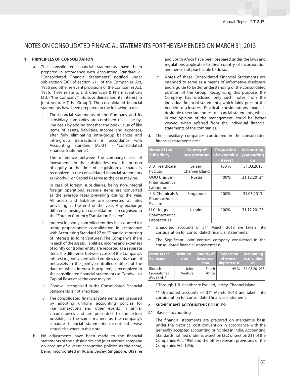#### **1. PRINCIPLES OF CONSOLIDATION**

- a. The consolidated financial statements have been prepared in accordance with Accounting Standard 21 "Consolidated Financial Statements" notified under sub-section (3C) of section 211 of the Companies Act, 1956 and other relevant provisions of the Companies Act, 1956. These relate to J. B. Chemicals & Pharmaceuticals Ltd. ("the Company"), its subsidiaries and its interest in joint venture ("the Group"). The consolidated financial statements have been prepared on the following basis:
	- i. The financial statements of the Company and its subsidiary companies are combined on a line-byline basis by adding together the book value of like items of assets, liabilities, income and expenses, after fully eliminating intra-group balances and intra-group transactions in accordance with Accounting Standard (AS-21) - "Consolidated Financial Statements".

The difference between the company's cost of investments in the subsidiaries, over its portion of equity at the time of acquisition of shares is recognized in the consolidated financial statements as Goodwill or Capital Reserve as the case may be.

 In case of foreign subsidiaries, being non-integral foreign operations, revenue items are converted at the average rates prevailing during the year. All assets and liabilities are converted at rates prevailing at the end of the year. Any exchange difference arising on consolidation is recognised in the "Foreign Currency Translation Reserve".

- ii. Interest in jointly controlled entities is accounted for using proportionate consolidation in accordance with Accounting Standard 27 on "Financial reporting of interests in Joint Ventures". The Company's share in each of the assets, liabilities, income and expenses of jointly controlled entity are reported as a separate item. The difference between costs of the Company's interest in jointly controlled entities over its share of net assets in the jointly controlled entities, at the date on which interest is acquired, is recognized in the consolidated financial statements as Goodwill or Capital Reserve as the case may be.
- iii. Goodwill recognized in the Consolidated Financial Statements is not amortized.
- iv. The consolidated financial statements are prepared by adopting uniform accounting policies for like transactions and other events in similar circumstances and are presented, to the extent possible, in the same manner as the company's separate financial statements except otherwise stated elsewhere in this note.
- b. No adjustments have been made to the financial statements of the subsidiaries and joint venture company on account of diverse accounting policies as the same, being incorporated in Russia, Jersey, Singapore, Ukraine

and South Africa have been prepared under the laws and regulations applicable to their country of incorporation and hence not practicable to do so.

c. Notes of these Consolidated Financial Statements are intended to serve as a means of informative disclosure and a guide to better understanding of the consolidated position of the Group. Recognizing this purpose, the Company has disclosed only such notes from the individual financial statements, which fairly present the needed disclosures. Practical considerations made it desirable to exclude notes to financial statements, which in the opinion of the management, could be better viewed, when referred from the individual financial statements of the companies.

| Name of the<br><b>Subsidiary</b>                 | <b>Country of</b><br><b>Incorporation</b> | <b>Proportion</b><br>of ownership<br><b>interest</b> | <b>Accounting</b><br>year ending<br>on |
|--------------------------------------------------|-------------------------------------------|------------------------------------------------------|----------------------------------------|
| J. B. Healthcare<br>Pvt. Ltd.                    | Jersey,<br>Channel Island                 | 100 %                                                | 31.03.2013                             |
| 000 Unique<br>Pharmaceutical<br>Laboratories     | Russia                                    | 100%                                                 | 31.12.2012*                            |
| J. B. Chemicals &<br>Pharmaceuticals<br>Pvt. Ltd | Singapore                                 | 100%                                                 | 31.03.2013                             |
| LLC Unique<br>Pharmaceutical<br>Laboratories     | Ukraine                                   | 100%                                                 | 31.12.2012*                            |

d. The subsidiary companies considered in the consolidated financial statements are :

e. The Significant Joint Venture company considered in the consolidated financial statements is:

consideration for consolidated financial statements.

Unaudited accounts of 31<sup>st</sup> March, 2013 are taken into

| Name of the<br><b>Company</b>                       | <b>Relation-</b><br>ship | Incorpora-<br>tion | Country of Proportion<br>of owner-<br>ship interest | Accounting<br>year ending<br><b>on</b> |
|-----------------------------------------------------|--------------------------|--------------------|-----------------------------------------------------|----------------------------------------|
| <b>Biotech</b><br>Laboratories<br>$(Pty.)$ Ltd. $*$ | Joint<br>Venture         | South<br>Africa    | 49 %                                                | 31.08.2012**                           |

\* Through J. B. Healthcare Pvt. Ltd, Jersey, Channel Island.

 \*\* Unaudited accounts of 31st March, 2013 are taken into consideration for consolidated financial statements.

#### **2. SIGNIFICANT ACCOUNTING POLICIES:**

#### 2.1 Basis of accounting

The financial statements are prepared on mercantile basis under the historical cost convention in accordance with the generally accepted accounting principles in India, Accounting Standards notified under sub-section (3C) of section 211 of the Companies Act, 1956 and the other relevant provisions of the Companies Act, 1956.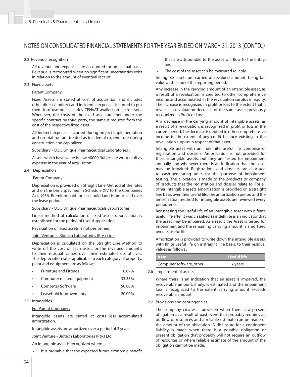#### 2.2. Revenue recognition

 All revenue and expenses are accounted for on accrual basis. Revenue is recognized when no significant uncertainties exist in relation to the amount of eventual receipt.

#### 2.3 Fixed assets

### Parent Company :

 Fixed Assets are stated at cost of acquisition and includes other direct / indirect and incidental expenses incurred to put them into use but excludes CENVAT availed on such assets. Whenever, the costs of the fixed asset are met under the specific contract by third party, the same is reduced from the cost of the respective fixed asset.

 All indirect expenses incurred during project implementation and on trial run are treated as incidental expenditure during construction and capitalized.

#### Subsidiary - OOO Unique Pharmaceutical Laboratories :

 Assets which have value below 40000 Rubles are written off as expense in the year of acquisition.

#### 2.4 Depreciation

#### Parent Company:

Depreciation is provided on Straight Line Method at the rates and on the basis specified in Schedule XIV to the Companies Act, 1956. Premium paid for leasehold land is amortized over the lease period.

#### Subsidiary - OOO Unique Pharmaceuticals Laboratories :

Linear method of calculation of fixed assets depreciation is established for the period of useful application.

Revaluation of fixed assets is not performed.

#### Joint Venture - Biotech Laboratories (Pty.) Ltd.:

 Depreciation is calculated on the Straight Line Method to write off the cost of each asset, or the revalued amounts, to their residual values over their estimated useful lives. The depreciation rates applicable to each category of property, plant and equipment are as follows:

| $\bullet$ | <b>Furniture and Fittings</b> | 16.67% |
|-----------|-------------------------------|--------|
|           | Computer related equipment    | 33.33% |
| $\bullet$ | Computer Software             | 50.00% |
| $\bullet$ | Leasehold Improvements        | 20.00% |

2.5 Intangibles

#### For Parent Company :

 Intangible assets are stated at costs less accumulated amortization.

Intangible assets are amortized over a period of 3 years.

#### Joint Venture - Biotech Laboratories (Pty.) Ltd:

An intangible asset is recognized when:

It is probable that the expected future economic benefit

that are attributable to the asset will flow to the entity: and

The cost of the asset can be measured reliably.

 Intangible assets are carried at revalued amount, being fair value at the end of the reporting period.

 Any increase in the carrying amount of an intangible asset, as a result of a revaluation, is credited to other comprehensive income and accumulated in the revaluation surplus in equity. The increase is recognized in profit or loss to the extent that it reverses a revaluation decrease of the same asset previously recognized in Profit or Loss.

 Any decrease in the carrying amount of intangible assets, as a result of a revaluation, is recognized in profit or loss in the current period. The decrease is debited to other comprehensive income to the extent of any credit balance existing in the revaluation surplus in respect of that asset.

Intangible asset with an indefinite useful life, comprise of registration and dossiers. Amortization is not provided for these intangible assets, but they are tested for impairment annually and whenever there is an indication that the asset may be impaired. Registrations and dossiers are allocated to cash-generating units for the purpose of impairment testing. The allocation is made to the products or company of products that the registration and dossier relate to. For all other intangible assets amortization is provided on a straight line basis over their useful life. The amortization period and the amortization method for intangible assets are reviewed every period-end.

Reassessing the useful life of an intangible asset with a finite useful life after it was classified as indefinite is an indicator that the asset may be impaired. As a result the Asset is tested for impairment and the remaining carrying amount is amortized over its useful life.

 Amortization is provided to write down the intangible assets, with finite useful life on a straight line basis, to their residual values as follows :

| $\Box$ tem               | Useful life |
|--------------------------|-------------|
| Computer software, other | 2 years     |

2.6 Impairment of assets

 Where there is an indication that an asset is impaired, the recoverable amount, if any, is estimated and the impairment loss is recognized to the extent carrying amount exceeds recoverable amount.

2.7 Provisions and contingencies

 The company creates a provision when there is a present obligation as a result of past event that probably requires an outflow of resources and a reliable estimate can be made of the amount of the obligation. A disclosure for a contingent liability is made when there is a possible obligation or present obligation that probably will not require an outflow of resources or where reliable estimate of the amount of the obligation cannot be made.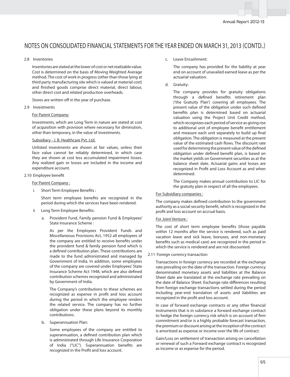### 2.8 Inventories

 Inventories are stated at the lower of cost or net realizable value. Cost is determined on the basis of Moving Weighted Average method. The cost of work in progress (other than those lying at third party manufacturing site which is valued at material cost) and finished goods comprise direct material, direct labour, other direct cost and related production overheads.

Stores are written off in the year of purchase.

#### 2.9 Investments

#### For Parent Company:

 Investments, which are Long Term in nature are stated at cost of acquisition with provision where necessary for diminution, other than temporary, in the value of investments.

#### Subsidiary - J. B. Healthcare Pvt. Ltd.

 Unlisted investments are shown at fair values, unless their face value cannot be reliably determined, in which case they are shown at cost less accumulated impairment losses. Any realized gain or losses are included in the income and expenditure account.

#### 2.10 Employee benefit

#### For Parent Company :

Short Term Employee Benefits :

Short term employee benefits are recognized in the period during which the services have been rendered.

- ii Long Term Employee Benefits:
	- a. Provident Fund, Family pension Fund & Employees' State Insurance Scheme :

 As per the Employees Provident Funds and Miscellaneous Provisions Act, 1952 all employees of the company are entitled to receive benefits under the provident fund & family pension fund which is a defined contribution plan. These contributions are made to the fund administrated and managed by Government of India. In addition, some employees of the company are covered under Employees' State Insurance Scheme Act 1948, which are also defined contribution schemes recognized and administrated by Government of India.

 The Company's contributions to these schemes are recognized as expense in profit and loss account during the period in which the employee renders the related service. The company has no further obligation under these plans beyond its monthly contributions.

b. Superannuation Plan:

 Some employees of the company are entitled to superannuation, a defined contribution plan which is administrated through Life Insurance Corporation of India ("LIC"). Superannuation benefits are recognized in the Profit and loss account.

#### c. Leave Encashment:

 The company has provided for the liability at year end on account of unavailed earned leave as per the actuarial valuation.

d. Gratuity:

 The company provides for gratuity obligations through a defined benefits retirement plan ('the Gratuity Plan') covering all employees. The present value of the obligation under such defined benefits plan is determined based on actuarial valuation using the Project Unit Credit method, which recognizes each period of service as giving rise to additional unit of employee benefit entitlement and measure each unit separately to build up final obligation. The obligation is measured at the present value of the estimated cash flows. The discount rate used for determining the present value of the defined obligation under defined benefit plan, is based on the market yields on Government securities as at the balance sheet date. Actuarial gains and losses are recognized in Profit and Loss Account as and when determined.

 The Company makes annual contribution to LIC for the gratuity plan in respect of all the employees.

#### For Subsidiary companies :

The company makes defined contribution to the government authority as a social security benefit, which is recognized in the profit and loss account on accrual basis.

### For Joint Venture :

The cost of short term employee benefits (those payable within 12 months after the service is rendered, such as paid vacation leave and sick leave, bonuses, and non-monetary benefits such as medical care) are recognized in the period in which the service is rendered and are not discounted.

#### 2.11 Foreign currency transaction

 Transactions in foreign currency are recorded at the exchange rate prevailing on the date of the transaction. Foreign currency denominated monetary assets and liabilities at the Balance Sheet date are translated at the exchange rate prevailing on the date of Balance Sheet. Exchange rate differences resulting from foreign exchange transactions settled during the period including year-end translation of assets and liabilities are recognized in the profit and loss account.

In case of forward exchange contracts or any other financial instruments that is in substance a forward exchange contract to hedge the foreign currency risk which is on account of firm commitment and/or is a highly probable forecast transaction, the premium or discount arising at the inception of the contract is amortized as expense or income over the life of contract.

 Gain/Loss on settlement of transaction arising on cancellation or renewal of such a Forward exchange contract is recognized as income or as expense for the period.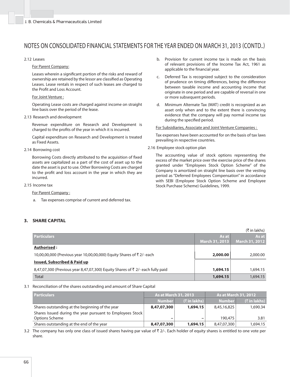#### 2.12 Leases

For Parent Company:

Leases wherein a significant portion of the risks and reward of ownership are retained by the lessor are classified as Operating Leases. Lease rentals in respect of such leases are charged to the Profit and Loss Account.

#### For Joint Venture :

 Operating Lease costs are charged against income on straight line basis over the period of the lease.

2.13 Research and development

 Revenue expenditure on Research and Development is charged to the profits of the year in which it is incurred.

 Capital expenditure on Research and Development is treated as Fixed Assets.

2.14 Borrowing cost

Borrowing Costs directly attributed to the acquisition of fixed assets are capitalized as a part of the cost of asset up to the date the asset is put to use. Other Borrowing Costs are charged to the profit and loss account in the year in which they are incurred.

2.15 Income tax

For Parent Company :

a. Tax expenses comprise of current and deferred tax.

### **3. SHARE CAPITAL**

- b. Provision for current income tax is made on the basis of relevant provisions of the Income Tax Act, 1961 as applicable to the financial year.
- c. Deferred Tax is recognized subject to the consideration of prudence on timing differences, being the difference between taxable income and accounting income that originate in one period and are capable of reversal in one or more subsequent periods.
- d. Minimum Alternate Tax (MAT) credit is recognized as an asset only when and to the extent there is convincing evidence that the company will pay normal income tax during the specified period.

For Subsidiaries, Associate and Joint Venture Companies :

 Tax expenses have been accounted for on the basis of tax laws prevailing in respective countries.

2.16 Employee stock option plan

 The accounting value of stock options representing the excess of the market price over the exercise price of the shares granted under "Employees Stock Option Scheme" of the Company is amortized on straight line basis over the vesting period as "Deferred Employees Compensation" in accordance with SEBI (Employee Stock Option Scheme and Employee Stock Purchase Scheme) Guidelines, 1999.

(` in lakhs)

|                                                                                           |                | (T III IdKIIS)        |
|-------------------------------------------------------------------------------------------|----------------|-----------------------|
| <b>Particulars</b>                                                                        | As at          | As at                 |
|                                                                                           | March 31, 2013 | <b>March 31, 2012</b> |
| Authorised:                                                                               |                |                       |
| 10,00,00,000 (Previous year 10,00,00,000) Equity Shares of ₹2/- each                      | 2,000.00       | 2,000.00              |
| <b>Issued, Subscribed &amp; Paid up</b>                                                   |                |                       |
| 8,47,07,300 (Previous year 8,47,07,300) Equity Shares of $\bar{\tau}$ 2/- each fully paid | 1,694.15       | 1,694.15              |
| Total                                                                                     | 1,694.15       | 1,694.15              |

3.1 Reconciliation of the shares outstanding and amount of Share Capital

| <b>Particulars</b>                                        | <b>As at March 31, 2013</b> |                          |               | <b>As at March 31, 2012</b> |
|-----------------------------------------------------------|-----------------------------|--------------------------|---------------|-----------------------------|
|                                                           | <b>Number</b>               | (₹ in lakhs)             | <b>Number</b> | $($ ₹ in lakhs)             |
| Shares outstanding at the beginning of the year           | 8,47,07,300                 | 1,694.15                 | 8,45,16,825   | 1.690.34                    |
| Shares Issued during the year pursuant to Employees Stock |                             |                          |               |                             |
| Options Scheme                                            | $\overline{\phantom{a}}$    | $\overline{\phantom{m}}$ | 190,475       | 3.81                        |
| Shares outstanding at the end of the year                 | 8,47,07,300                 | 1,694.15                 | 8,47,07,300   | 1,694.15                    |

3.2 The company has only one class of issued shares having par value of  $\bar{\tau}$  2/-. Each holder of equity shares is entitled to one vote per share.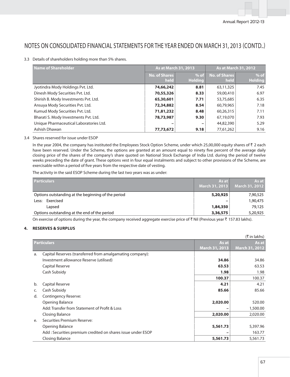### 3.3 Details of shareholders holding more than 5% shares.

| <b>Name of Shareholder</b>              | As at March 31, 2013         |                              |                              | As at March 31, 2012     |
|-----------------------------------------|------------------------------|------------------------------|------------------------------|--------------------------|
|                                         | <b>No. of Shares</b><br>held | $%$ of $ $<br><b>Holding</b> | <b>No. of Shares</b><br>held | $%$ of<br><b>Holding</b> |
| Jyotindra Mody Holdings Pvt. Ltd.       | 74,66,242                    | 8.81                         | 63,11,325                    | 7.45                     |
| Dinesh Mody Securities Pvt. Ltd.        | 70,55,326                    | 8.33                         | 59,00,410                    | 6.97                     |
| Shirish B. Mody Investments Pvt. Ltd.   | 65,30,601                    | 7.71                         | 53,75,685                    | 6.35                     |
| Ansuya Mody Securities Pvt. Ltd.        | 72,34,882                    | 8.54                         | 60,79,965                    | 7.18                     |
| Kumud Mody Securities Pvt. Ltd.         | 71,81,232                    | 8.48                         | 60,26,315                    | 7.11                     |
| Bharati S. Mody Investments Pvt. Ltd.   | 78,73,987                    | 9.30                         | 67,19,070                    | 7.93                     |
| Unique Pharmaceutical Laboratories Ltd. |                              | -                            | 44,82,390                    | 5.29                     |
| Ashish Dhawan                           | 77,73,672                    | 9.18                         | 77,61,262                    | 9.16                     |

### 3.4 Shares reserved for issue under ESOP

In the year 2004, the company has instituted the Employees Stock Option Scheme, under which 25,00,000 equity shares of  $\bar{\tau}$  2 each have been reserved. Under the Scheme, the options are granted at an amount equal to ninety five percent of the average daily closing price of the shares of the company's share quoted on National Stock Exchange of India Ltd. during the period of twelve weeks preceding the date of grant. These options vest in four equal instalments and subject to other provisions of the Scheme, are exercisable within a period of five years from the respective date of vesting.

The activity in the said ESOP Scheme during the last two years was as under:

| <b>Particulars</b>                                 | As at I<br>March 31, 2013 | As at<br><b>March 31, 2012</b> |
|----------------------------------------------------|---------------------------|--------------------------------|
| Options outstanding at the beginning of the period | 5,20,925                  | 7,90,525                       |
| Exercised<br>Less:                                 | $\overline{\phantom{0}}$  | 1,90,475                       |
| Lapsed                                             | 1,84,350                  | 79,125                         |
| Options outstanding at the end of the period       | 3,36,575                  | 5,20,925                       |

On exercise of options during the year, the company received aggregate exercise price of  $\bar{\tau}$  Nil (Previous year  $\bar{\tau}$  157.83 lakhs).

### **4. RESERVES & SURPLUS**

|    |                                                             |                       | (₹ in lakhs)          |
|----|-------------------------------------------------------------|-----------------------|-----------------------|
|    | <b>Particulars</b>                                          | As at                 | As at                 |
|    |                                                             | <b>March 31, 2013</b> | <b>March 31, 2012</b> |
| a. | Capital Reserves (transferred from amalgamating company):   |                       |                       |
|    | Investment allowance Reserve (utilised)                     | 34.86                 | 34.86                 |
|    | Capital Reserve                                             | 63.53                 | 63.53                 |
|    | Cash Subsidy                                                | 1.98                  | 1.98                  |
|    |                                                             | 100.37                | 100.37                |
| b. | Capital Reserve                                             | 4.21                  | 4.21                  |
| C. | Cash Subsidy                                                | 85.66                 | 85.66                 |
| d. | Contingency Reserve:                                        |                       |                       |
|    | Opening Balance                                             | 2,020.00              | 520.00                |
|    | Add: Transfer from Statement of Profit & Loss               |                       | 1,500.00              |
|    | Closing Balance                                             | 2,020.00              | 2,020.00              |
| e. | Securities Premium Reserve:                                 |                       |                       |
|    | Opening Balance                                             | 5,561.73              | 5,397.96              |
|    | Add: Securities premium credited on shares issue under ESOP |                       | 163.77                |
|    | Closing Balance                                             | 5,561.73              | 5,561.73              |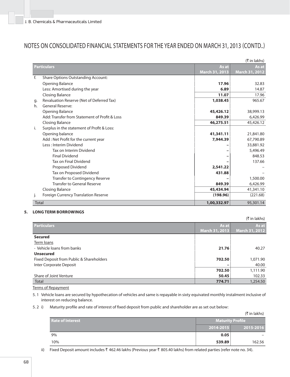|              |                                               |                       | (₹ in lakhs)   |
|--------------|-----------------------------------------------|-----------------------|----------------|
|              | <b>Particulars</b>                            | As at                 | As at          |
|              |                                               | <b>March 31, 2013</b> | March 31, 2012 |
| f.           | <b>Share Options Outstanding Account:</b>     |                       |                |
|              | <b>Opening Balance</b>                        | 17.96                 | 32.83          |
|              | Less: Amortised during the year               | 6.89                  | 14.87          |
|              | <b>Closing Balance</b>                        | 11.07                 | 17.96          |
| q.           | Revaluation Reserve (Net of Deferred Tax)     | 1,038.45              | 965.67         |
| h.           | General Reserve:                              |                       |                |
|              | <b>Opening Balance</b>                        | 45,426.12             | 38,999.13      |
|              | Add: Transfer from Statement of Profit & Loss | 849.39                | 6,426.99       |
|              | <b>Closing Balance</b>                        | 46,275.51             | 45,426.12      |
| i.           | Surplus in the statement of Profit & Loss:    |                       |                |
|              | Opening balance                               | 41,341.11             | 21,841.80      |
|              | Add : Net Profit for the current year         | 7.944.39              | 67,790.89      |
|              | Less: Interim Dividend                        |                       | 33,881.92      |
|              | Tax on Interim Dividend                       |                       | 5,496.49       |
|              | <b>Final Dividend</b>                         | -                     | 848.53         |
|              | Tax on Final Dividend                         |                       | 137.66         |
|              | Proposed Dividend                             | 2,541.22              |                |
|              | Tax on Proposed Dividend                      | 431.88                |                |
|              | Transfer to Contingency Reserve               |                       | 1,500.00       |
|              | <b>Transfer to General Reserve</b>            | 849.39                | 6,426.99       |
|              | <b>Closing Balance</b>                        | 45,434.94             | 41,341.10      |
| j.           | <b>Foreign Currency Translation Reserve</b>   | (198.96)              | (221.68)       |
| <b>Total</b> |                                               | 1,00,332.97           | 95,301.14      |

### **5. LONG TERM BORROWINGS**

|                                          |                | (₹ in lakhs)          |
|------------------------------------------|----------------|-----------------------|
| <b>Particulars</b>                       | As at          | As at                 |
|                                          | March 31, 2013 | <b>March 31, 2012</b> |
| <b>Secured</b>                           |                |                       |
| Term loans                               |                |                       |
| - Vehicle loans from banks               | 21.76          | 40.27                 |
| <b>Unsecured</b>                         |                |                       |
| Fixed Deposit from Public & Shareholders | 702.50         | 1,071.90              |
| Inter Corporate Deposit                  | -              | 40.00                 |
|                                          | 702.50         | 1,111.90              |
| Share of Joint Venture                   | 50.45          | 102.33                |
| Total                                    | 774.71         | 1,254.50              |

Terms of Repayment

5. 1 Vehicle loans are secured by hypothecation of vehicles and same is repayable in sixty equivated monthly instalment inclusive of interest on reducing balance.

5. 2 i) Maturity profile and rate of interest of fixed deposit from public and shareholder are as set out below:

|                         |                         | (₹ in lakhs) |
|-------------------------|-------------------------|--------------|
| <b>Rate of Interest</b> | <b>Maturity Profile</b> |              |
|                         | 2014-2015               | 2015-2016    |
| 9%                      | 0.05                    |              |
| 10%                     | 539.89                  | 162.56       |

ii) Fixed Deposit amount includes ₹ 462.46 lakhs (Previous year ₹ 805.40 lakhs) from related parties (refer note no. 34).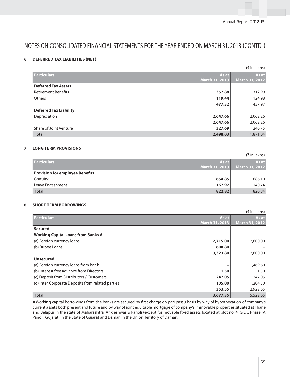## **6. DEFERRED TAX LIABILITIES (NET)**

|                               |                | $(\bar{\tau}$ in lakhs) |
|-------------------------------|----------------|-------------------------|
| <b>Particulars</b>            | As at          | As at                   |
|                               | March 31, 2013 | March 31, 2012          |
| <b>Deferred Tax Assets</b>    |                |                         |
| <b>Retirement Benefits</b>    | 357.88         | 312.99                  |
| <b>Others</b>                 | 119.44         | 124.98                  |
|                               | 477.32         | 437.97                  |
| <b>Deferred Tax Liability</b> |                |                         |
| Depreciation                  | 2,647.66       | 2,062.26                |
|                               | 2,647.66       | 2,062.26                |
| Share of Joint Venture        | 327.69         | 246.75                  |
| <b>Total</b>                  | 2,498.03       | 1,871.04                |

### **7. LONG TERM PROVISIONS**

|                                        |                | (₹ in lakhs)          |
|----------------------------------------|----------------|-----------------------|
| <b>Particulars</b>                     | As at          | As at                 |
|                                        | March 31, 2013 | <b>March 31, 2012</b> |
| <b>Provision for employee Benefits</b> |                |                       |
| Gratuity                               | 654.85         | 686.10                |
| Leave Encashment                       | 167.97         | 140.74                |
| <b>Total</b>                           | 822.82         | 826.84                |

### **8. SHORT TERM BORROWINGS**

|                                                   |                       | (₹ in lakhs)   |
|---------------------------------------------------|-----------------------|----------------|
| <b>Particulars</b>                                | As at                 | As at          |
|                                                   | <b>March 31, 2013</b> | March 31, 2012 |
| <b>Secured</b>                                    |                       |                |
| <b>Working Capital Loans from Banks #</b>         |                       |                |
| (a) Foreign currency loans                        | 2,715.00              | 2,600.00       |
| (b) Rupee Loans                                   | 608.80                |                |
|                                                   | 3,323.80              | 2,600.00       |
| <b>Unsecured</b>                                  |                       |                |
| (a) Foreign currency loans from bank              |                       | 1,469.60       |
| (b) Interest free advance from Directors          | 1.50                  | 1.50           |
| (c) Deposit from Distributors / Customers         | 247.05                | 247.05         |
| (d) Inter Corporate Deposits from related parties | 105.00                | 1,204.50       |
|                                                   | 353.55                | 2,922.65       |
| Total                                             | 3,677.35              | 5,522.65       |

# Working capital borrowings from the banks are secured by first charge on pari passu basis by way of hypothecation of company's current assets both present and future and by way of joint equitable mortgage of company's immovable properties situated at Thane and Belapur in the state of Maharashtra, Ankleshwar & Panoli (except for movable fixed assets located at plot no. 4, GIDC Phase IV, Panoli, Gujarat) in the State of Gujarat and Daman in the Union Territory of Daman.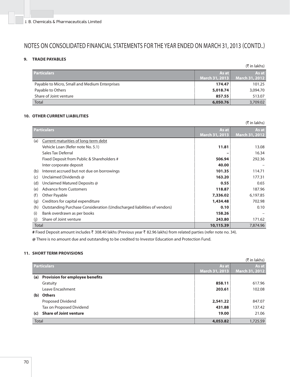# **9. TRADE PAYABLES**

|                                                |                | (₹ in lakhs)          |
|------------------------------------------------|----------------|-----------------------|
| <b>Particulars</b>                             | As at          | As at                 |
|                                                | March 31, 2013 | <b>March 31, 2012</b> |
| Payable to Micro, Small and Medium Enterprises | 174.47         | 101.25                |
| Payable to Others                              | 5,018.74       | 3,094.70              |
| Share of Joint venture                         | 857.55         | 513.07                |
| Total                                          | 6,050.76       | 3,709.02              |

### **10. OTHER CURRENT LIABILITIES**

| (₹ in lakhs) |                                                                          |                       |                       |
|--------------|--------------------------------------------------------------------------|-----------------------|-----------------------|
|              | <b>Particulars</b>                                                       |                       | As at                 |
|              |                                                                          | <b>March 31, 2013</b> | <b>March 31, 2012</b> |
| (a)          | Current maturities of long-term debt                                     |                       |                       |
|              | Vehicle Loan (Refer note No. 5.1)                                        | 11.81                 | 13.08                 |
|              | Sales Tax Deferral                                                       |                       | 16.34                 |
|              | Fixed Deposit from Public & Shareholders #                               | 506.94                | 292.36                |
|              | Inter corporate deposit                                                  | 40.00                 |                       |
| (b)          | Interest accrued but not due on borrowings                               | 101.35                | 114.71                |
| (c)          | Unclaimed Dividends @                                                    | 163.20                | 177.31                |
| (d)          | Unclaimed Matured Deposits @                                             | 0.55                  | 0.65                  |
| (e)          | <b>Advance from Customers</b>                                            | 118.87                | 187.96                |
| (f)          | Other Payable                                                            | 7,336.02              | 6,197.85              |
| (q)          | Creditors for capital expenditure                                        | 1,434.48              | 702.98                |
| (h)          | Outstanding Purchase Consideration (Undischarged liabilities of vendors) | 0.10                  | 0.10                  |
| (i)          | Bank overdrawn as per books                                              | 158.26                |                       |
| (i)          | Share of Joint venture                                                   | 243.80                | 171.62                |
| Total        |                                                                          | 10,115.39             | 7,874.96              |

# Fixed Deposit amount includes ₹ 308.40 lakhs (Previous year ₹ 82.96 lakhs) from related parties (refer note no. 34).

**@** There is no amount due and outstanding to be credited to Investor Education and Protection Fund.

### **11. SHORT TERM PROVISIONS**

|       |                                        |                | (₹ in lakhs)   |
|-------|----------------------------------------|----------------|----------------|
|       | <b>Particulars</b>                     | As at          | As at          |
|       |                                        | March 31, 2013 | March 31, 2012 |
| (a)   | <b>Provision for employee benefits</b> |                |                |
|       | Gratuity                               | 858.11         | 617.96         |
|       | Leave Encashment                       | 203.61         | 102.08         |
| (b)   | <b>Others</b>                          |                |                |
|       | Proposed Dividend                      | 2,541.22       | 847.07         |
|       | Tax on Proposed Dividend               | 431.88         | 137.42         |
| (c)   | <b>Share of Joint venture</b>          | 19.00          | 21.06          |
| Total |                                        | 4,053.82       | 1,725.59       |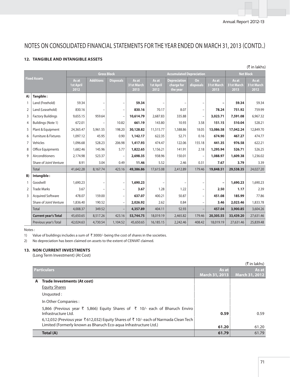### **12. TANGIBLE AND INTANGIBLE ASSETS**

| (₹ in lakhs)        |                                 |                                   |                  |                                 |                             |                                   |                                               |                          |                             |                             |                             |
|---------------------|---------------------------------|-----------------------------------|------------------|---------------------------------|-----------------------------|-----------------------------------|-----------------------------------------------|--------------------------|-----------------------------|-----------------------------|-----------------------------|
|                     |                                 | <b>Gross Block</b>                |                  | <b>Accumulated Depreciation</b> |                             |                                   |                                               | <b>Net Block</b>         |                             |                             |                             |
| <b>Fixed Assets</b> |                                 | As at<br><b>1st April</b><br>2012 | <b>Additions</b> | <b>Disposals</b>                | As at<br>31st March<br>2013 | As at<br><b>1st April</b><br>2012 | <b>Depreciation</b><br>charge for<br>the year | On<br>disposals          | As at<br>31st March<br>2013 | As at<br>31st March<br>2013 | As at<br>31st March<br>2012 |
| A)                  | Tangible:                       |                                   |                  |                                 |                             |                                   |                                               |                          |                             |                             |                             |
|                     | Land (Freehold)                 | 59.34                             |                  |                                 | 59.34                       |                                   |                                               |                          |                             | 59.34                       | 59.34                       |
| 2                   | Land (Leasehold)                | 830.16                            |                  | $\overline{\phantom{0}}$        | 830.16                      | 70.17                             | 8.07                                          |                          | 78.24                       | 751.92                      | 759.99                      |
| 3                   | <b>Factory Buildings</b>        | 9,655.15                          | 959.64           |                                 | 10,614.79                   | 2,687.83                          | 335.88                                        | $\overline{\phantom{a}}$ | 3,023.71                    | 7,591.08                    | 6,967.32                    |
| 4                   | Buildings (Note 1)              | 672.01                            |                  | 10.82                           | 661.19                      | 143.80                            | 10.93                                         | 3.58                     | 151.15                      | 510.04                      | 528.21                      |
| 5                   | Plant & Equipment               | 24,365.47                         | 5,961.55         | 198.20                          | 30,128.82                   | 11,515.77                         | 1,588.86                                      | 18.05                    | 13,086.58                   | 17,042.24                   | 12,849.70                   |
| 6                   | <b>Furniture &amp; Fixtures</b> | 1,097.12                          | 45.95            | 0.90                            | 1,142.17                    | 622.35                            | 52.71                                         | 0.16                     | 674.90                      | 467.27                      | 474.77                      |
| 7                   | Vehicles                        | 1,096.68                          | 528.23           | 206.98                          | 1,417.93                    | 474.47                            | 122.06                                        | 155.18                   | 441.35                      | 976.58                      | 622.21                      |
| 8                   | <b>Office Equipments</b>        | 1,682.46                          | 145.96           | 5.77                            | 1,822.65                    | 1,156.21                          | 141.91                                        | 2.18                     | 1,295.94                    | 526.71                      | 526.25                      |
| 9                   | Airconditioners                 | 2,174.98                          | 523.37           |                                 | 2,698.35                    | 938.96                            | 150.01                                        | $\overline{\phantom{m}}$ | 1,088.97                    | 1,609.38                    | 1,236.02                    |
|                     | Share of Joint Venture          | 8.91                              | 3.04             | 0.49                            | 11.46                       | 5.52                              | 2.46                                          | 0.31                     | 7.67                        | 3.79                        | 3.39                        |
|                     | <b>Total</b>                    | 41,642.28                         | 8,167.74         | 423.16                          | 49,386.86                   | 17,615.08                         | 2,412.89                                      | 179.46                   | 19,848.51                   | 29,538.35                   | 24,027.20                   |
| B)                  | Intangible:                     |                                   |                  |                                 |                             |                                   |                                               |                          |                             |                             |                             |
|                     | Goodwill                        | 1,690.23                          |                  | $\qquad \qquad -$               | 1,690.23                    |                                   |                                               |                          |                             | 1,690.23                    | 1,690.23                    |
| 2                   | <b>Trade Marks</b>              | 3.67                              |                  |                                 | 3.67                        | 1.28                              | 1.22                                          |                          | 2.50                        | 1.17                        | 2.39                        |
| 3                   | <b>Acquired Software</b>        | 478.07                            | 159.00           | $\overline{\phantom{a}}$        | 637.07                      | 400.21                            | 50.87                                         | $\qquad \qquad -$        | 451.08                      | 185.99                      | 77.86                       |
|                     | Share of Joint Venture          | 1,836.40                          | 190.52           | $\overline{\phantom{a}}$        | 2,026.92                    | 2.62                              | 0.84                                          |                          | 3.46                        | 2,023.46                    | 1,833.78                    |
|                     | <b>Total</b>                    | 4,008.37                          | 349.52           |                                 | 4,357.89                    | 404.11                            | 52.93                                         |                          | 457.04                      | 3,900.85                    | 3,604.26                    |
|                     | <b>Current year's Total</b>     | 45,650.65                         | 8,517.26         | 423.16                          | 53,744.75                   | 18,019.19                         | 2,465.82                                      | 179.46                   | 20,305.55                   | 33,439.20                   | 27,631.46                   |
|                     | Previous year's Total           | 42,024.63                         | 4,730.54         | 1,104.52                        | 45,650.65                   | 16,185.15                         | 2,242.46                                      | 408.42                   | 18,019.19                   | 27,631.46                   | 25,839.48                   |

#### Notes:

1) Value of buildings includes a sum of  $\bar{\tau}$  3000/- being the cost of shares in the societies.

2) No depreciation has been claimed on assets to the extent of CENVAT claimed.

### **13. NON CURRENT INVESTMENTS**

(Long Term Investment) (At Cost)

| (₹ in lakhs)                                                                                                                                            |                       |                       |  |
|---------------------------------------------------------------------------------------------------------------------------------------------------------|-----------------------|-----------------------|--|
| <b>Particulars</b>                                                                                                                                      | As at                 | As at                 |  |
|                                                                                                                                                         | <b>March 31, 2013</b> | <b>March 31, 2012</b> |  |
| A Trade Investments (At cost)                                                                                                                           |                       |                       |  |
| <b>Equity Shares</b>                                                                                                                                    |                       |                       |  |
| Unquoted:                                                                                                                                               |                       |                       |  |
| In Other Companies:                                                                                                                                     |                       |                       |  |
| 5,866 (Previous year $\overline{\xi}$ 5,866) Equity Shares of $\overline{\xi}$ 10/- each of Bharuch Enviro<br>Infrastructure Ltd.                       | 0.59                  | 0.59                  |  |
| 6,12,032 (Previous year ₹612,032) Equity Shares of ₹10/- each of Narmada Clean Tech<br>Limited (Formerly known as Bharuch Eco-aqua Infrastructure Ltd.) | 61.20                 | 61.20                 |  |
| Total (A)                                                                                                                                               | 61.79                 | 61.79                 |  |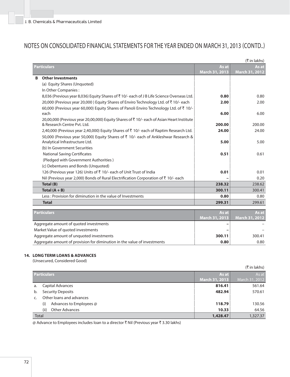|   | (₹ in lakhs)                                                                                   |                                |                         |  |
|---|------------------------------------------------------------------------------------------------|--------------------------------|-------------------------|--|
|   | Particulars                                                                                    | As at                          | As at                   |  |
|   |                                                                                                | <b>March 31, 2013</b>          | March 31, 2012          |  |
| B | <b>Other Investments</b>                                                                       |                                |                         |  |
|   | (a) Equity Shares (Unquoted)                                                                   |                                |                         |  |
|   | In Other Companies:                                                                            |                                |                         |  |
|   | 8,036 (Previous year 8,036) Equity Shares of ₹10/- each of J B Life Science Overseas Ltd.      | 0.80                           | 0.80                    |  |
|   | 20,000 (Previous year 20,000) Equity Shares of Enviro Technology Ltd. of ₹10/- each            | 2.00                           | 2.00                    |  |
|   | 60,000 (Previous year 60,000) Equity Shares of Panoli Enviro Technology Ltd. of ₹ 10/-         |                                |                         |  |
|   | each                                                                                           | 6.00                           | 6.00                    |  |
|   | 20,00,000 (Previous year 20,00,000) Equity Shares of ₹10/- each of Asian Heart Institute       |                                |                         |  |
|   | & Research Centre Pyt. Ltd.                                                                    | 200.00                         | 200.00                  |  |
|   | 2,40,000 (Previous year 2,40,000) Equity Shares of ₹ 10/- each of Raptim Research Ltd.         | 24.00                          | 24.00                   |  |
|   | 50,000 (Previous year 50,000) Equity Shares of ₹ 10/- each of Ankleshwar Research &            |                                |                         |  |
|   | Analytical Infrastructure Ltd.                                                                 | 5.00                           | 5.00                    |  |
|   | (b) In Government Securities                                                                   |                                |                         |  |
|   | <b>National Saving Certificates</b>                                                            | 0.51                           | 0.61                    |  |
|   | (Pledged with Government Authorities)                                                          |                                |                         |  |
|   | (c) Debentures and Bonds (Unquoted)                                                            |                                |                         |  |
|   | 126 (Previous year 126) Units of ₹ 10/- each of Unit Trust of India                            | 0.01                           | 0.01                    |  |
|   | Nil (Previous year 2,000) Bonds of Rural Electrification Corporation of $\bar{\tau}$ 10/- each |                                | 0.20                    |  |
|   | Total (B)                                                                                      | 238.32                         | 238.62                  |  |
|   | Total $(A + B)$                                                                                | 300.11                         | 300.41                  |  |
|   | Less: Provision for diminution in the value of Investments                                     | 0.80                           | 0.80                    |  |
|   | <b>Total</b>                                                                                   | 299.31                         | 299.61                  |  |
|   |                                                                                                |                                |                         |  |
|   | <b>Particulars</b>                                                                             | As at<br><b>March 31, 2013</b> | As at<br>March 31, 2012 |  |
|   | Aggregate amount of quoted investments                                                         |                                |                         |  |
|   | Market Value of quoted investments                                                             |                                |                         |  |
|   | Aggregate amount of unguoted investments                                                       | 300.11                         | 300.41                  |  |
|   |                                                                                                |                                |                         |  |

### **14. LONG TERM LOANS & ADVANCES**

(Unsecured, Considered Good)

|                    |                                |                       | (₹ in lakhs)   |
|--------------------|--------------------------------|-----------------------|----------------|
| <b>Particulars</b> |                                | As at                 | As at          |
|                    |                                | <b>March 31, 2013</b> | March 31, 2012 |
| a.                 | Capital Advances               | 816.41                | 561.64         |
| b.                 | <b>Security Deposits</b>       | 482.94                | 570.61         |
| C.                 | Other loans and advances       |                       |                |
|                    | Advances to Employees @<br>(i) | 118.79                | 130.56         |
|                    | Other Advances<br>(ii)         | 10.33                 | 64.56          |
| Total              |                                | 1,428.47              | 1,327.37       |

Aggregate amount of provision for diminution in the value of investments **0.80 0.80 0.80 0.80** 

@ Advance to Employees includes loan to a director  $\bar{\tau}$  Nil (Previous year  $\bar{\tau}$  3.30 lakhs)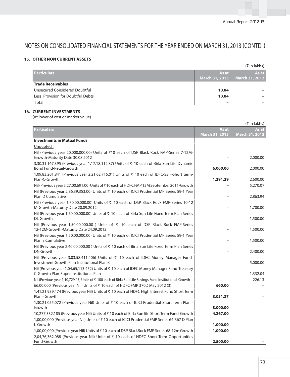### **15. OTHER NON CURRENT ASSETS**

|                                    |                | (₹ in lakhs)   |
|------------------------------------|----------------|----------------|
| <b>Particulars</b>                 | As at          | As at          |
|                                    | March 31, 2013 | March 31, 2012 |
| <b>Trade Receivables</b>           |                |                |
| Unsecured Considered Doubtful      | 10.04          |                |
| Less: Provision for Doubtful Debts | 10.04          |                |
| Total                              | -              |                |

### **16. CURRENT INVESTMENTS**

(At lower of cost or market value)

|                                                                                                                               |                          | $(\bar{\bar{\mathbf{x}}}$ in lakhs) |
|-------------------------------------------------------------------------------------------------------------------------------|--------------------------|-------------------------------------|
| <b>Particulars</b>                                                                                                            | As at                    | As at                               |
|                                                                                                                               | March 31, 2013           | March 31, 2012                      |
| <b>Investments in Mutual Funds</b>                                                                                            |                          |                                     |
| Unquoted:                                                                                                                     |                          |                                     |
| Nil (Previous year 20,000,000.00) Units of ₹10 each of DSP Black Rock FMP-Series 7-12M-<br>Growth-Maturity Date 30.08.2012    |                          | 2,000.00                            |
| 3,30,31,167.395 (Previous year 1,17,18,112.87) Units of ₹ 10 each of Birla Sun Life Dynamic<br><b>Bond Fund-Retail-Growth</b> | 6,000.00                 | 2,000.00                            |
| 1,09,83,201.841 (Previous year 2,21,62,715.01) Units of ₹ 10 each of IDFC-SSIF-Short term-<br>Plan-C-Growth                   | 1,291.29                 | 2,600.00                            |
| Nil (Previous year 5,27,00,691.00) Units of₹10 each of HDFC FMP 13M September 2011-Growth                                     |                          | 5,270.07                            |
| Nil (Previous year 2,86,39,353.00) Units of ₹ 10 each of ICICI Prudential MP Series 59-1 Year                                 |                          |                                     |
| Plan D Cumulative                                                                                                             | $\overline{\phantom{a}}$ | 2,863.94                            |
| Nil (Previous year 1,70,00,000.00) Units of ₹ 10 each of DSP Black Rock FMP-Series 10-12                                      |                          |                                     |
| M-Growth-Maturity Date 20.09.2012                                                                                             | $\overline{\phantom{0}}$ | 1,700.00                            |
| Nil (Previous year 1,50,00,000.00) Units of ₹ 10 each of Birla Sun Life Fixed Term Plan Series                                |                          |                                     |
| <b>DL</b> Growth                                                                                                              |                          | 1,500.00                            |
| Nil (Previous year 1,50,00,000.00) Units of ₹ 10 each of DSP Black Rock FMP-Series                                            |                          |                                     |
| 12-12M-Growth-Maturity Date 24.09.2012                                                                                        |                          | 1,500.00                            |
| Nil (Previous year 1,50,00,000.00) Units of ₹ 10 each of ICICI Prudential MP Series 59-1 Year                                 |                          |                                     |
| <b>Plan E Cumulative</b>                                                                                                      | $\qquad \qquad$          | 1,500.00                            |
| Nil (Previous year 2,40,00,000.00) Units of ₹ 10 each of Birla Sun Life Fixed Term Plan Series<br>DN Growth                   |                          | 2,400.00                            |
| Nil (Previous year 3,03,58,411.406) Units of ₹ 10 each of IDFC Money Manager Fund-                                            |                          |                                     |
| Investment Growth Plan-Institutional Plan B                                                                                   | $\qquad \qquad$          | 5,000.00                            |
| Nil (Previous year 1,04,65,113.452) Units of ₹ 10 each of IDFC Money Manager Fund-Treasury                                    |                          |                                     |
| C-Growth Plan-Super Institutional Plan                                                                                        |                          | 1,332.04                            |
| Nil (Previous year 1,10,729.05) Units of ₹ 100 each of Birla Sun Life Savings Fund Institutional-Growth                       |                          | 226.13                              |
| 66,00,000 (Previous year Nil) Units of ₹10 each of HDFC FMP 370D May 2012 (3)                                                 | 660.00                   |                                     |
| 1,41,21,939.474 (Previous year Nil) Units of ₹ 10 each of HDFC High Interest Fund Short Term                                  |                          |                                     |
| Plan - Growth                                                                                                                 | 3,051.37                 |                                     |
| 1,30,21,055.072 (Previous year Nil) Units of ₹ 10 each of ICICI Prudential Short Term Plan -                                  |                          |                                     |
| Growth                                                                                                                        | 3,000.00                 |                                     |
| 10,277,332.185 (Previous year Nil) Units of ₹10 each of Birla Sun life Short Term Fund-Growth                                 | 4,267.00                 |                                     |
| 1,00,00,000 (Previous year Nil) Units of ₹10 each of ICICI Prudential FMP Series 64-367 D Plan                                |                          |                                     |
| L-Growth                                                                                                                      | 1,000.00                 |                                     |
| 1,00,00,000 (Previous year Nil) Units of ₹10 each of DSP BlackRock FMP Series 68-12m Growth                                   | 1,000.00                 |                                     |
| 2,04,76,362.088 (Previous year Nil) Units of ₹ 10 each of HDFC Short Term Opportunities                                       |                          |                                     |
| Fund-Growth                                                                                                                   | 2,500.00                 |                                     |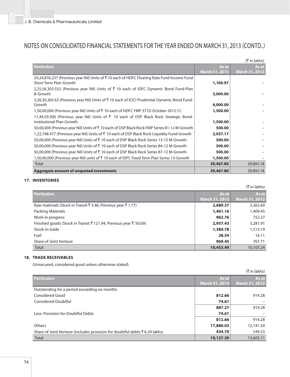| (₹ in lakhs)                                                                                                         |                       |                       |  |
|----------------------------------------------------------------------------------------------------------------------|-----------------------|-----------------------|--|
| <b>Particulars</b>                                                                                                   | As at                 | As at                 |  |
|                                                                                                                      | <b>March 31, 2013</b> | <b>March 31, 2012</b> |  |
| 59,24,876.237 (Previous year Nil) Units of ₹10 each of HDFC Floating Rate Fund Income Fund<br>Short Term Plan-Growth | 1,160.97              |                       |  |
| 2,25,56,303.552 (Previous year Nil) Units of $\bar{\tau}$ 10 each of IDFC Dynamic Bond Fund-Plan<br>B-Growth         | 3,000.00              |                       |  |
| 3,20,30,365.63 (Previous year Nil) Units of ₹10 each of ICICI Prudential Dynamic Bond Fund-<br>Growth                | 4,000.00              |                       |  |
| 1,50,00,000 (Previous year Nil) Units of ₹ 10 each of HDFC FMP 371D October 2012 (1)                                 | 1,500.00              |                       |  |
| 11,44,59.300 (Previous year Nil) Units of ₹ 10 each of DSP Black Rock Strategic Bond-<br>Institutional Plan-Growth   | 1,500.00              |                       |  |
| 50,00,000 (Previous year Nil) Units of ₹ 10 each of DSP Black Rock FMP Series 81-12 M-Growth                         | 500.00                |                       |  |
| 1,22,748.477 (Previous year Nil) Units of ₹ 10 each of DSP Black Rock Liquidity Fund-Growth                          | 2,037.17              |                       |  |
| 50,00,000 (Previous year Nil) Units of ₹ 10 each of DSP Black Rock Series 13-15 M-Growth                             | 500.00                |                       |  |
| 50,00,000 (Previous year Nil) Units of ₹ 10 each of DSP Black Rock Series 84-12 M-Growth                             | 500.00                |                       |  |
| 50,00,000 (Previous year Nil) Units of ₹ 10 each of DSP Black Rock Series 87-12 M-Growth                             | 500.00                |                       |  |
| 1,50,00,000 (Previous year Nil) units of₹ 10 each of IDFC Fixed Term Plan Series 13-Growth                           | 1,500.00              |                       |  |
| Total                                                                                                                | 39,467.80             | 29,892.18             |  |
| <b>Aggregate amount of unquoted investments</b>                                                                      | 39,467.80             | 29,892.18             |  |

### **17. INVENTORIES**

 $(\bar{\tau}$  in lakhs)

| $(1)$ $\overline{1}$ $\overline{1}$ $\overline{1}$ $\overline{2}$ $\overline{1}$ |                       |                       |  |
|----------------------------------------------------------------------------------|-----------------------|-----------------------|--|
| <b>Particulars</b>                                                               | As at                 | As at                 |  |
|                                                                                  | <b>March 31, 2013</b> | <b>March 31, 2012</b> |  |
| Raw materials (Stock in Transit ₹ 3.46, Previous year ₹ 1.77)                    | 2,689.37              | 2,362.60              |  |
| Packing Materials                                                                | 1,461.16              | 1,409.45              |  |
| Work-in-progress                                                                 | 962.76                | 752.27                |  |
| Finished goods (Stock in Transit ₹121.94, Previous year ₹50.69)                  | 2,957.43              | 3,281.91              |  |
| Stock-in-trade                                                                   | 1,384.78              | 1,513.19              |  |
| Fuel                                                                             | 28.54                 | 16.11                 |  |
| Share of Joint Venture                                                           | 969.45                | 767.71                |  |
| Total                                                                            | 10,453.49             | 10,103.24             |  |

### **18. TRADE RECEIVABLES**

(Unsecured, considered good unless otherwise stated)

|                                                                            |                       | (₹ in lakhs)          |
|----------------------------------------------------------------------------|-----------------------|-----------------------|
| <b>Particulars</b>                                                         | As at                 | As at                 |
|                                                                            | <b>March 31, 2013</b> | <b>March 31, 2012</b> |
| Outstanding for a period exceeding six months                              |                       |                       |
| Considered Good                                                            | 812.66                | 914.28                |
| <b>Considered Doubtful</b>                                                 | 74.61                 |                       |
|                                                                            | 887.27                | 914.28                |
| Less: Provision for Doubtful Debts                                         | 74.61                 |                       |
|                                                                            | 812.66                | 914.28                |
| Others                                                                     | 17,880.03             | 12,141.50             |
| Share of Joint Venture (includes provision for doubtful debts ₹6.29 lakhs) | 434.70                | 549.33                |
| <b>Total</b>                                                               | 19,127.39             | 13,605.11             |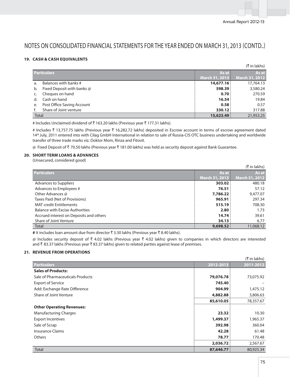### **19. CASH & CASH EQUIVALENTS**

|                    |                            |                | (₹ in lakhs)   |
|--------------------|----------------------------|----------------|----------------|
| <b>Particulars</b> |                            | As at          | As at          |
|                    |                            | March 31, 2013 | March 31, 2012 |
| a.                 | Balances with banks #      | 14,677.16      | 17,764.13      |
| b.                 | Fixed Deposit with banks @ | 598.39         | 3,580.24       |
|                    | Cheques on hand            | 0.70           | 270.59         |
| d.                 | Cash on hand               | 16.54          | 19.84          |
| e.                 | Post Office Saving Account | 0.58           | 0.57           |
|                    | Share of Joint venture     | 330.12         | 317.88         |
| Total              |                            | 15,623.49      | 21,953.25      |

# Includes Unclaimed dividend of ₹163.20 lakhs (Previous year ₹177.31 lakhs).

# Includes ₹ 13,757.75 lakhs (Previous year ₹ 16,282.72 lakhs) deposited in Escrow account in terms of escrow agreement dated 14th July, 2011 entered into with Cilag GmbH International in relation to sale of Russia-CIS OTC business undertaking and worldwide transfer of three trade marks viz. Doktor Mom, Rinza and Fitovit.

@ Fixed Deposit of ` 70.50 lakhs (Previous year ` 181.00 lakhs) was held as security deposit against Bank Guarantee.

### **20. SHORT TERM LOANS & ADVANCES**

(Unsecured, considered good)

|                                         |                | (₹ in lakhs)          |
|-----------------------------------------|----------------|-----------------------|
| <b>Particulars</b>                      | As at          | As at                 |
|                                         | March 31, 2013 | <b>March 31, 2012</b> |
| <b>Advances to Suppliers</b>            | 303.02         | 480.18                |
| Advances to Employees #                 | 76.51          | 57.12                 |
| Other Advances @                        | 7,786.22       | 9,477.07              |
| Taxes Paid (Net of Provisions)          | 965.91         | 297.34                |
| <b>MAT</b> credit Entitlements          | 515.19         | 708.30                |
| <b>Balance with Excise Authorities</b>  | 2.80           | 1.73                  |
| Accrued interest on Deposits and others | 14.74          | 39.61                 |
| Share of Joint Venture                  | 34.13          | 6.77                  |
| <b>Total</b>                            | 9,698.52       | 11,068.12             |

# It includes loan amount due from director ₹ 3.30 lakhs (Previous year ₹ 8.40 lakhs).

@ Includes security deposit of ₹ 4.02 lakhs (Previous year ₹ 4.02 lakhs) given to companies in which directors are interested and ₹ 83.37 lakhs (Previous year ₹ 83.37 lakhs) given to related parties against lease of premises.

### **21. REVENUE FROM OPERATIONS**

|                                  |           | $(\bar{\tau}$ in lakhs) |
|----------------------------------|-----------|-------------------------|
| <b>Particulars</b>               | 2012-2013 | 2011-2012               |
| <b>Sales of Products:</b>        |           |                         |
| Sale of Pharmaceuticals Products | 79,076.78 | 73,075.92               |
| <b>Export of Service</b>         | 745.40    |                         |
| Add: Exchange Rate Difference    | 904.99    | 1,475.12                |
| Share of Joint Venture           | 4,882.88  | 3,806.63                |
|                                  | 85,610.05 | 78,357.67               |
| <b>Other Operating Revenues:</b> |           |                         |
| <b>Manufacturing Charges</b>     | 23.32     | 10.30                   |
| <b>Export Incentives</b>         | 1,499.37  | 1,965.37                |
| Sale of Scrap                    | 392.98    | 360.04                  |
| <b>Insurance Claims</b>          | 42.28     | 61.48                   |
| <b>Others</b>                    | 78.77     | 170.48                  |
|                                  | 2,036.72  | 2,567.67                |
| Total                            | 87,646.77 | 80,925.34               |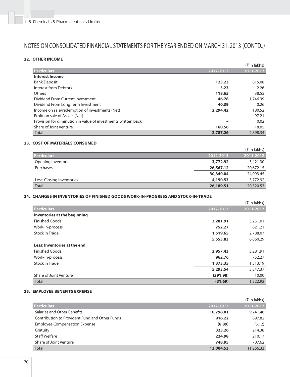### **22. OTHER INCOME**

|                                                               |           | $(\bar{\bar{\mathbf{x}}}$ in lakhs) |
|---------------------------------------------------------------|-----------|-------------------------------------|
| <b>Particulars</b>                                            | 2012-2013 | 2011-2012                           |
| <b>Interest Income</b>                                        |           |                                     |
| <b>Bank Deposit</b>                                           | 123.23    | 815.08                              |
| Interest from Debtors                                         | 3.23      | 2.26                                |
| Others                                                        | 118.65    | 38.55                               |
| Dividend From Current Investment                              | 46.78     | 1,746.39                            |
| Dividend From Long Term Investment                            | 40.39     | 0.26                                |
| Income on sale/redemption of investments (Net)                | 2,294.42  | 180.52                              |
| Profit on sale of Assets (Net)                                |           | 97.21                               |
| Provision for diminution in value of investments written back |           | 0.02                                |
| Share of Joint Venture                                        | 160.56    | 18.05                               |
| Total                                                         | 2,787.26  | 2,898.34                            |

### **23. COST OF MATERIALS CONSUMED**

|                           |           | (₹ in lakhs) |
|---------------------------|-----------|--------------|
| <b>Particulars</b>        | 2012-2013 | 2011-2012    |
| Opening Inventories       | 3,772.92  | 3,421.30     |
| Purchases                 | 26,567.12 | 20,672.15    |
|                           | 30,340.04 | 24,093.45    |
| Less: Closing Inventories | 4,150.53  | 3,772.92     |
| <b>Total</b>              | 26,189.51 | 20,320.53    |

### **24. CHANGES IN INVENTORIES OF FINISHED GOODS WORK-IN-PROGRESS AND STOCK-IN-TRADE**

|                              |           | (₹ in lakhs) |
|------------------------------|-----------|--------------|
| <b>Particulars</b>           | 2012-2013 | 2011-2012    |
| Inventories at the beginning |           |              |
| <b>Finished Goods</b>        | 3,281.91  | 3,251.01     |
| Work-in-process              | 752.27    | 821.21       |
| Stock in Trade               | 1,519.65  | 2,788.07     |
|                              | 5,553.83  | 6,860.29     |
| Less: Inventories at the end |           |              |
| <b>Finished Goods</b>        | 2,957.43  | 3,281.91     |
| Work-in-process              | 962.76    | 752.27       |
| Stock in Trade               | 1,373.35  | 1,513.19     |
|                              | 5,293.54  | 5,547.37     |
| Share of Joint Venture       | (291.98)  | 10.00        |
| Total                        | (31.69)   | 1,322.92     |

### **25. EMPLOYEE BENEFITS EXPENSE**

|                                                |           | (₹ in lakhs) |
|------------------------------------------------|-----------|--------------|
| <b>Particulars</b>                             | 2012-2013 | 2011-2012    |
| Salaries and Other Benefits                    | 10,798.01 | 9,241.46     |
| Contribution to Provident Fund and Other Funds | 916.22    | 897.82       |
| <b>Employee Compensation Expense</b>           | (6.89)    | (5.12)       |
| Gratuity                                       | 323.26    | 214.38       |
| <b>Staff Welfare</b>                           | 224.98    | 210.17       |
| Share of Joint Venture                         | 748.95    | 707.62       |
| Total                                          | 13,004.53 | 11,266.33    |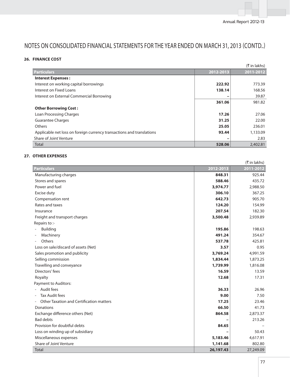### **26. FINANCE COST**

|                                                                       |           | (₹ in lakhs) |
|-----------------------------------------------------------------------|-----------|--------------|
| <b>Particulars</b>                                                    | 2012-2013 | 2011-2012    |
| <b>Interest Expenses:</b>                                             |           |              |
| Interest on working capital borrowings                                | 222.92    | 773.39       |
| Interest on Fixed Loans                                               | 138.14    | 168.56       |
| Interest on External Commercial Borrowing                             |           | 39.87        |
|                                                                       | 361.06    | 981.82       |
| <b>Other Borrowing Cost:</b>                                          |           |              |
| Loan Processing Charges                                               | 17.26     | 27.06        |
| <b>Guarantee Charges</b>                                              | 31.25     | 22.00        |
| Others                                                                | 25.05     | 236.01       |
| Applicable net loss on foreign currency transactions and translations | 93.44     | 1,133.09     |
| Share of Joint Venture                                                | -         | 2.83         |
| <b>Total</b>                                                          | 528.06    | 2,402.81     |

### **27. OTHER EXPENSES**

|                                          |           | $(\bar{\bar{\mathbf{x}}}$ in lakhs) |
|------------------------------------------|-----------|-------------------------------------|
| <b>Particulars</b>                       | 2012-2013 | 2011-2012                           |
| Manufacturing charges                    | 848.31    | 925.44                              |
| Stores and spares                        | 588.46    | 435.72                              |
| Power and fuel                           | 3,974.77  | 2,988.50                            |
| Excise duty                              | 306.10    | 367.25                              |
| Compensation rent                        | 642.73    | 905.70                              |
| Rates and taxes                          | 124.20    | 154.99                              |
| Insurance                                | 207.54    | 182.30                              |
| Freight and transport charges            | 3,500.48  | 2,939.89                            |
| Repairs to :-                            |           |                                     |
| <b>Building</b>                          | 195.86    | 198.63                              |
| Machinery                                | 491.24    | 354.67                              |
| Others                                   | 537.78    | 425.81                              |
| Loss on sale/discard of assets (Net)     | 3.57      | 0.95                                |
| Sales promotion and publicity            | 3,769.24  | 4,991.59                            |
| Selling commission                       | 1,834.44  | 1,873.25                            |
| Travelling and conveyance                | 1,739.99  | 1,816.08                            |
| Directors' fees                          | 16.59     | 13.59                               |
| Royalty                                  | 12.68     | 17.31                               |
| <b>Payment to Auditors:</b>              |           |                                     |
| Audit fees<br>$\overline{\phantom{a}}$   | 36.33     | 26.96                               |
| <b>Tax Audit fees</b>                    | 9.00      | 7.50                                |
| Other Taxation and Certification matters | 17.25     | 23.46                               |
| <b>Donations</b>                         | 66.50     | 41.73                               |
| Exchange difference others (Net)         | 864.58    | 2,873.37                            |
| <b>Bad debts</b>                         |           | 213.26                              |
| Provision for doubtful debts             | 84.65     |                                     |
| Loss on winding up of subsidiary         |           | 50.43                               |
| Miscellaneous expenses                   | 5,183.46  | 4,617.91                            |
| Share of Joint Venture                   | 1,141.68  | 802.80                              |
| <b>Total</b>                             | 26,197.43 | 27,249.09                           |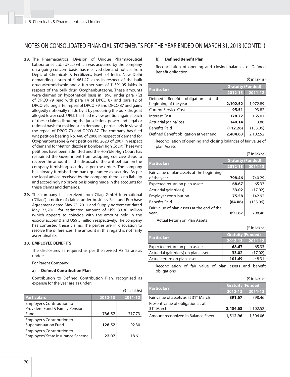- **28.** The Pharmaceutical Division of Unique Pharmaceutical Laboratories Ltd. (UPLL) which was acquired by the company on a going concern basis, has received demand notices from Dept. of Chemicals & Fertilizers, Govt. of India, New Delhi demanding a sum of  $\bar{\tau}$  461.47 lakhs in respect of the bulk drug Metronidazole and a further sum of  $\bar{\tau}$  591.05 lakhs in respect of the bulk drug Oxyphenbutazone. These amounts were claimed on hypothetical basis in 1996, under para 7(2) of DPCO 79 read with para 14 of DPCO 87 and para 12 of DPCO 95, long after repeal of DPCO 79 and DPCO 87 and gains allegedly notionally made by it by procuring the bulk drugs at alleged lower cost. UPLL has filed review petition against each of these claims disputing the jurisdiction, power and legal or rational basis for making such demands, particularly in view of the repeal of DPCO 79 and DPCO 87. The company has filed writ petition bearing No. 446 of 2008 in respect of demand for Oxyphenbutazone & writ petition No. 2623 of 2007 in respect of demand for Metronidazole in Bombay High Court. These writ petitions have been admitted and the Hon'ble High Court has restrained the Government from adopting coercive steps to recover the amount till the disposal of the writ petition on the company furnishing security as per the orders. The company has already furnished the bank guarantee as security. As per the legal advice received by the company, there is no liability and accordingly no provision is being made in the accounts for these claims and demands.
- **29.** The company has received from Cilag GmbH International ("Cilag") a notice of claims under business Sale and Purchase Agreement dated May 23, 2011 and Supply Agreement dated May 23,2011 for estimated amount of US\$ 33.30 million (which appears to coincide with the amount held in the escrow account) and US\$ 5 million respectively. The company has contested these claims. The parties are in discussion to resolve the differences. The amount in this regard is not fairly ascertainable.

#### **30. EMPLOYEE BENEFITS:**

 The disclosures as required as per the revised AS 15 are as under:

For Parent Company:

#### **a) Defi ned Contribution Plan**

Contribution to Defined Contribution Plan, recognized as expense for the year are as under:

|                                   |         | (₹ in lakhs) |
|-----------------------------------|---------|--------------|
| <b>Particulars</b>                | 2012-13 | 2011-12      |
| Employer's Contribution to        |         |              |
| Provident Fund & Family Pension   |         |              |
| Fund                              | 736.57  | 717.73       |
| Employer's Contribution to        |         |              |
| <b>Superannuation Fund</b>        | 128.52  | 92.30        |
| Employer's Contribution to        |         |              |
| Employees' State Insurance Scheme | 22.07   | 18.61        |

#### **b)** Defined Benefit Plan

Reconciliation of opening and closing balances of Defined Benefit obligation.

|                                            |                          | $($ ₹ in lakhs) |
|--------------------------------------------|--------------------------|-----------------|
| <b>Particulars</b>                         | <b>Gratuity (Funded)</b> |                 |
|                                            | 2012-13                  | 2011-12         |
| Defined<br>Benefit obligation<br>the<br>at |                          |                 |
| beginning of the year                      | 2,102.52                 | 1,972.89        |
| <b>Current Service Cost</b>                | 95.51                    | 93.82           |
| <b>Interest Cost</b>                       | 178.72                   | 165.01          |
| Actuarial (gain)/loss                      | 140.14                   | 3.86            |
| <b>Benefits Paid</b>                       | (112.26)                 | (133.06)        |
| Defined Benefit obligation at year end     | 2,404.63                 | 2.102.52        |

Reconciliation of opening and closing balances of fair value of plan Assets

|                                             |                          | (₹ in lakhs) |
|---------------------------------------------|--------------------------|--------------|
|                                             | <b>Gratuity (Funded)</b> |              |
| <b>Particulars</b>                          | 2012-13                  | 2011-12      |
| Fair value of plan assets at the beginning  |                          |              |
| of the year                                 | 798.46                   | 740.29       |
| Expected return on plan assets              | 68.67                    | 65.33        |
| Actuarial gain/(loss)                       | 33.02                    | (17.02)      |
| <b>Employer contribution</b>                | 75.58                    | 142.92       |
| <b>Benefits Paid</b>                        | (84.06)                  | (133.06)     |
| Fair value of plan assets at the end of the |                          |              |
| year                                        | 891.67                   | 798.46       |
|                                             |                          |              |

Actual Return on Plan Assets

 $($ ₹ in lakhs)

| <b>Particulars</b>                   | <b>Gratuity (Funded)</b> |             |
|--------------------------------------|--------------------------|-------------|
|                                      | $2012 - 13$              | $ 2011-12 $ |
| Expected return on plan assets       | 68.67                    | 65.33       |
| Actuarial gain/(loss) on plan assets | 33.02                    | (17.02)     |
| Actual return on plan assets         | 101.69                   | 48.31       |

Reconciliation of fair value of plan assets and benefit obligations

|                                                   |                          | (₹ in lakhs) |
|---------------------------------------------------|--------------------------|--------------|
| <b>Particulars</b>                                | <b>Gratuity (Funded)</b> |              |
|                                                   | 2012-13                  | $ 2011-12 $  |
| Fair value of assets as at 31 <sup>st</sup> March | 891.67                   | 798.46       |
| Present value of obligation as at                 |                          |              |
| 31 <sup>st</sup> March                            | 2,404.63                 | 2.102.52     |
| Amount recognized in Balance Sheet                | 1,512.96                 | 1,304.06     |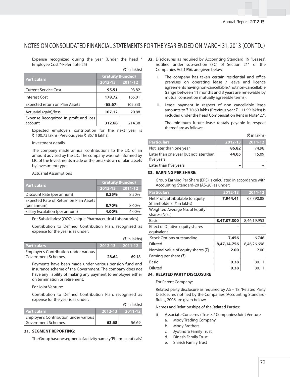$(F \in \mathbb{R}^n)$ 

 Expense recognized during the year (Under the head " Employee Cost "-Refer note 25)

| $(1)$ III IANIIS)                     |                          |         |
|---------------------------------------|--------------------------|---------|
| <b>Particulars</b>                    | <b>Gratuity (Funded)</b> |         |
|                                       | $2012 - 13$              | 2011-12 |
| <b>Current Service Cost</b>           | 95.51                    | 93.82   |
| <b>Interest Cost</b>                  | 178.72                   | 165.01  |
| Expected return on Plan Assets        | (68.67)                  | (65.33) |
| Actuarial (gain)/loss                 | 107.12                   | 20.88   |
| Expense Recognized in profit and loss |                          |         |
| account                               | 312.68                   | 214.38  |
|                                       |                          |         |

 Expected employers contribution for the next year is ₹ 100.73 lakhs (Previous year ₹ 85.18 lakhs).

#### Investment details

The company made annual contributions to the LIC of an amount advised by the LIC. The company was not informed by LIC of the Investments made or the break-down of plan assets by investment type.

#### Actuarial Assumptions

| <b>Particulars</b>                     | <b>Gratuity (Funded)</b> |         |  |  |
|----------------------------------------|--------------------------|---------|--|--|
|                                        | 2012-13                  | 2011-12 |  |  |
| Discount Rate (per annum)              | 8.25%                    | 8.50%   |  |  |
| Expected Rate of Return on Plan Assets |                          |         |  |  |
| (per annum)                            | 8.70%                    | 8.60%   |  |  |
| Salary Escalation (per annum)          | 4.00%                    | 4.00%   |  |  |

For Subsidiaries: (OOO Unique Pharmaceutical Laboratories)

Contribution to Defined Contribution Plan, recognized as expense for the year is as under:

|                                       |         | (₹ in lakhs)       |
|---------------------------------------|---------|--------------------|
| <b>Particulars</b>                    | 2012-13 | $\sqrt{2011} - 12$ |
| Employer's Contribution under various |         |                    |
| Government Schemes.                   | 28.64   | 6918               |

 Payments have been made under various pension fund and insurance scheme of the Government. The company does not have any liability of making any payment to employee either on termination or retirement.

For Joint Venture:

Contribution to Defined Contribution Plan, recognized as expense for the year is as under:

|                                       |             | IK INTRKNS) |
|---------------------------------------|-------------|-------------|
| <b>Particulars</b>                    | $2012 - 13$ | $2011 - 12$ |
| Employer's Contribution under various |             |             |
| Government Schemes.                   | 63.68       | 56.69       |

#### **31. SEGMENT REPORTING:**

The Group has one segment of activity namely'Pharmaceuticals'.

- **32.** Disclosures as required by Accounting Standard 19 "Leases", notified under sub-section (3C) of Section 211 of the Companies Act,1956, are given below:
	- i. The company has taken certain residential and office premises on operating lease / leave and licence agreements having non-cancellable / not non-cancellable (range between 11 months and 3 years are renewable by mutual consent on mutually agreeable terms).
	- ii. Lease payment in respect of non cancellable lease amounts to  $\bar{\tau}$  70.69 lakhs (Previous year  $\bar{\tau}$  111.99 lakhs) is included under the head Compensation Rent in Note "27".

 The minimum future lease rentals payable in respect thereof are as follows:-

|                                                      |         | (₹ in lakhs)  |
|------------------------------------------------------|---------|---------------|
| <b>Particulars</b>                                   | 2012-13 | $ 2011 - 12 $ |
| Not later than one year                              | 86.82   | 74.98         |
| Later than one year but not later than<br>five years | 44.05   | 15.09         |

### **33. EARNING PER SHARE:**

Later than five years

 Group Earning Per Share (EPS) is calculated in accordance with Accounting Standard-20 (AS-20) as under:

| <b>Particulars</b>                                             | 2012-13     | 2011-12     |
|----------------------------------------------------------------|-------------|-------------|
| Net Profit attributable to Equity<br>Shareholders (₹ in lakhs) | 7,944.41    | 67,790.88   |
| Weighted Average No. of Equity<br>shares (Nos.)                |             |             |
| <b>Basic</b>                                                   | 8,47,07,300 | 8,46,19,953 |
| <b>Effect of Dilutive equity shares</b><br>equivalent          |             |             |
| <b>Stock Options outstanding</b>                               | 7,456       | 6.746       |
| <b>Diluted</b>                                                 | 8,47,14,756 | 8,46,26,698 |
| Nominal value of equity shares $(₹)$                           | 2.00        | 2.00        |
| Earning per share $(₹)$                                        |             |             |
| Basic                                                          | 9.38        | 80.11       |
| Diluted                                                        | 9.38        | 80.11       |

### **34. RELATED PARTY DISCLOSURE**

#### For Parent Company:

(` in lakhs)

 Related party disclosure as required by AS – 18, 'Related Party Disclosures' notified by the Companies (Accounting Standard) Rules, 2006 are given below:

Names and Relationships of the Related Parties:

- i) Associate Concerns / Trusts / Companies/Joint Venture
	- a. Mody Trading Company
	- b. Mody Brothers
	- c. Jyotindra Family Trust
	- d. Dinesh Family Trust
	- e. Shirish Family Trust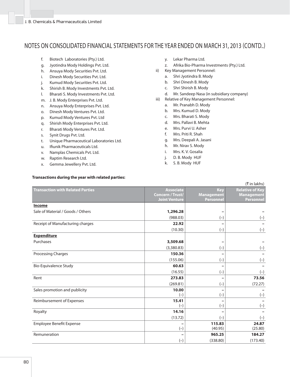- f. Biotech Laboratories (Pty.) Ltd.
- g. Jyotindra Mody Holdings Pvt. Ltd.
- h. Ansuya Mody Securities Pvt. Ltd.
- i. Dinesh Mody Securities Pvt. Ltd.
- j. Kumud Mody Securities Pvt. Ltd.
- k. Shirish B. Mody Investments Pvt. Ltd.
- l. Bharati S. Mody Investments Pvt. Ltd.
- m. J. B. Mody Enterprises Pvt. Ltd.
- n. Ansuya Mody Enterprises Pvt. Ltd.
- o. Dinesh Mody Ventures Pvt. Ltd.
- p. Kumud Mody Ventures Pvt. Ltd
- q. Shirish Mody Enterprises Pvt. Ltd.
- r. Bharati Mody Ventures Pvt. Ltd.
- s. Synit Drugs Pvt. Ltd.
- t. Unique Pharmaceutical Laboratories Ltd.
- u. Ifiunik Pharmaceuticals Ltd.
- v. Namplas Chemicals Pvt. Ltd.
- w. Raptim Research Ltd.
- x. Gemma Jewellery Pvt. Ltd.
- y. Lekar Pharma Ltd.
- z. Afrika Bio-Pharma Investments (Pty.) Ltd. ii) Key Management Personnel:
- a. Shri Jyotindra B. Mody
	- b. Shri Dinesh B. Mody
	- c. Shri Shirish B. Mody
	- d. Mr. Sandeep Nasa (in subsidiary company)
- iii) Relative of Key Management Personnel:
	- a. Mr. Pranabh D. Mody
	- b. Mrs. Kumud D. Mody
	- c. Mrs. Bharati S. Mody
	- d. Mrs. Pallavi B. Mehta
	- e. Mrs. Purvi U. Asher
	- f. Mrs. Priti R. Shah
	- g. Mrs. Deepali A. Jasani
	- h. Mr. Nirav S. Mody
	- i. Mrs. K. V. Gosalia
	- j. D. B. Mody HUF
	- k. S. B. Mody HUF

| (₹ in lakhs)                            |                                                                     |                                              |                                                                 |  |  |  |  |
|-----------------------------------------|---------------------------------------------------------------------|----------------------------------------------|-----------------------------------------------------------------|--|--|--|--|
| <b>Transaction with Related Parties</b> | <b>Associate</b><br><b>Concern / Trust/</b><br><b>Joint Venture</b> | <b>Key</b><br><b>Management</b><br>Personnel | <b>Relative of Key</b><br><b>Management</b><br><b>Personnel</b> |  |  |  |  |
| Income                                  |                                                                     |                                              |                                                                 |  |  |  |  |
| Sale of Material / Goods / Others       | 1,296.28                                                            |                                              |                                                                 |  |  |  |  |
|                                         | (988.03)                                                            | $(-)$                                        | $(-)$                                                           |  |  |  |  |
| Receipt of Manufacturing charges        | 22.92                                                               |                                              |                                                                 |  |  |  |  |
|                                         | (10.30)                                                             | $(-)$                                        | $(-)$                                                           |  |  |  |  |
| <b>Expenditure</b>                      |                                                                     |                                              |                                                                 |  |  |  |  |
| Purchases                               | 3,509.68                                                            |                                              |                                                                 |  |  |  |  |
|                                         | (3,380.83)                                                          | $(-)$                                        | $(-)$                                                           |  |  |  |  |
| <b>Processing Charges</b>               | 150.36                                                              |                                              |                                                                 |  |  |  |  |
|                                         | (155.06)                                                            | $(-)$                                        | $(-)$                                                           |  |  |  |  |
| <b>Bio-Equivalence Study</b>            | 60.63                                                               |                                              |                                                                 |  |  |  |  |
|                                         | (16.55)                                                             | $(-)$                                        | $(-)$                                                           |  |  |  |  |
| Rent                                    | 273.83                                                              |                                              | 73.56                                                           |  |  |  |  |
|                                         | (269.81)                                                            | $(-)$                                        | (72.27)                                                         |  |  |  |  |
| Sales promotion and publicity           | 10.00                                                               |                                              |                                                                 |  |  |  |  |
|                                         | $(-)$                                                               | $(-)$                                        | $(-)$                                                           |  |  |  |  |
| Reimbursement of Expenses               | 15.41<br>$(-)$                                                      | $(-)$                                        | $(-)$                                                           |  |  |  |  |
| Royalty                                 | 14.16                                                               |                                              |                                                                 |  |  |  |  |
|                                         | (13.72)                                                             | $(-)$                                        | $(-)$                                                           |  |  |  |  |
| Employee Benefit Expense                |                                                                     | 115.83                                       | 24.87                                                           |  |  |  |  |
|                                         | $(-)$                                                               | (40.95)                                      | (25.80)                                                         |  |  |  |  |
| Remuneration                            |                                                                     | 965.25                                       | 184.27                                                          |  |  |  |  |
|                                         | $(-)$                                                               | (338.80)                                     | (173.40)                                                        |  |  |  |  |

### **Transactions during the year with related parties:**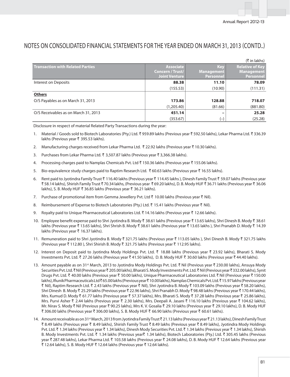| (₹ in lakhs)                            |                                                              |                                              |                                                          |  |  |  |  |
|-----------------------------------------|--------------------------------------------------------------|----------------------------------------------|----------------------------------------------------------|--|--|--|--|
| <b>Transaction with Related Parties</b> | <b>Associate</b><br>Concern / Trust/<br><b>Joint Venture</b> | <b>Key</b><br><b>Management</b><br>Personnel | <b>Relative of Key</b><br><b>Management</b><br>Personnel |  |  |  |  |
| Interest on Deposits                    | 88.38                                                        | 11.10                                        | 78.09                                                    |  |  |  |  |
|                                         | (155.53)                                                     | (10.90)                                      | (111.31)                                                 |  |  |  |  |
| <b>Others</b>                           |                                                              |                                              |                                                          |  |  |  |  |
| O/S Payables as on March 31, 2013       | 173.86                                                       | 128.88                                       | 718.07                                                   |  |  |  |  |
|                                         | (1,205.40)                                                   | (81.66)                                      | (881.80)                                                 |  |  |  |  |
| O/S Receivables as on March 31, 2013    | 451.14                                                       |                                              | 25.28                                                    |  |  |  |  |
|                                         | (353.67)                                                     | $(-)$                                        | (25.28)                                                  |  |  |  |  |

Disclosure in respect of material Related Party Transactions during the year:

- 1. Material / Goods sold to Biotech Laboratories (Pty.) Ltd. ₹ 959.89 lakhs (Previous year ₹ 592.50 lakhs), Lekar Pharma Ltd. ₹ 336.39 lakhs (Previous year ₹ 395.53 lakhs).
- 2. Manufacturing charges received from Lekar Pharma Ltd. ₹ 22.92 lakhs (Previous year ₹ 10.30 lakhs).
- 3. Purchases from Lekar Pharma Ltd. ₹ 3,507.87 lakhs (Previous year ₹ 3,366.38 lakhs).
- 4. Processing charges paid to Namplas Chemicals Pvt. Ltd ₹ 150.36 lakhs (Previous year ₹ 155.06 lakhs).
- 5. Bio-equivalence study charges paid to Raptim Research Ltd.  $\bar{z}$  60.63 lakhs (Previous year  $\bar{z}$  16.55 lakhs).
- 6. Rent paid to Jyotindra Family Trust ₹ 116.40 lakhs (Previous year ₹ 114.45 lakhs), Dinesh Family Trust ₹ 59.07 lakhs (Previous year ₹ 58.14 lakhs), Shirish Family Trust ₹ 70.34 lakhs, (Previous year ₹ 69.20 lakhs), D. B. Mody HUF ₹ 36.71 lakhs (Previous year ₹ 36.06 lakhs), S. B. Mody HUF ₹ 36.85 lakhs (Previous year ₹ 36.21 lakhs).
- 7. Purchase of promotional item from Gemma Jewellery Pvt. Ltd  $\bar{\tau}$  10.00 lakhs (Previous year  $\bar{\tau}$  Nil).
- 8. Reimbursement of Expense to Biotech Laboratories (Pty.) Ltd. ₹ 15.41 lakhs (Previous year ₹ Nil).
- 9. Royalty paid to Unique Pharmaceutical Laboratories Ltd.  $\bar{\tau}$  14.16 lakhs (Previous year  $\bar{\tau}$  12.66 lakhs).
- 10. Employee benefit expense paid to Shri Jyotindra B. Mody ₹ 38.61 lakhs (Previous year ₹ 13.65 lakhs), Shri Dinesh B. Mody ₹ 38.61 lakhs (Previous year ₹13.65 lakhs), Shri Shrish B. Mody ₹38.61 lakhs (Previous year ₹13.65 lakhs), Shri Pranabh D. Mody ₹14.39 lakhs (Previous year ₹ 16.37 lakhs).
- 11. Remuneration paid to Shri Jyotindra B. Mody ₹ 321.75 lakhs (Previous year ₹ 113.05 lakhs), Shri Dinesh B. Mody ₹ 321.75 lakhs (Previous year  $\bar{\tau}$  112.80), Shri Shirish B. Mody  $\bar{\tau}$  321.75 lakhs (Previous year  $\bar{\tau}$  112.95 lakhs).
- 12. Interest on Deposit paid to Jyotindra Mody Holdings Pvt. Ltd. ₹ 18.88 lakhs (Previous year ₹ 23.92 lakhs), Bharati S. Mody Investments Pvt. Ltd. ₹ 27.26 lakhs (Previous year ₹ 41.50 lakhs), D. B. Mody HUF ₹ 30.60 lakhs (Previous year ₹ 44.40 lakhs).
- 13. Amount payable as on 31<sup>st</sup> March, 2013 to Jyotindra Mody Holdings Pvt. Ltd. ₹ Nil (Previous year ₹ 230.00 lakhs), Ansuya Mody Securities Pvt. Ltd. ₹Nil (Previous year ₹ 205.00 lakhs), Bharati S. Mody Investments Pvt. Ltd. ₹Nil (Previous year ₹ 332.00 lakhs), Synit Drugs Pvt. Ltd. ₹ 40.00 lakhs (Previous year ₹ 50.00 lakhs), Unique Pharmaceutical Laboratories Ltd. ₹ Nil (Previous year ₹ 150.00 lakhs), Ifiunik Pharmaceuticals Ltd ₹65.00 lakhs (Previous year ₹10.00 lakhs), Namplas Chemicals Pvt. Ltd. ₹15.97 lakhs (Previous year ₹ Nil), Raptim Research Ltd. ₹ 2.43 lakhs (Previous year ₹ Nil), Shri Jyotindra B. Mody ₹ 103.09 lakhs (Previous year ₹ 58.20 lakhs), Shri Dinesh B. Mody ₹ 25.29 lakhs (Previous year ₹ 22.96 lakhs), Shri Pranabh D. Mody ₹ 98.48 lakhs (Previous year ₹ 170.44 lakhs), Mrs. Kumud D. Mody ₹ 61.77 lakhs (Previous year ₹ 57.37 lakhs), Mrs. Bharati S. Mody ₹ 37.28 lakhs (Previous year ₹ 25.86 lakhs), Mrs. Purvi Asher ₹ 2.44 lakhs (Previous year ₹ 2.30 lakhs), Mrs. Deepali A. Jasani ₹ 116.10 lakhs (Previous year ₹ 104.62 lakhs), Mr. Nirav S. Mody ₹ Nil (Previous year ₹ 90.25 lakhs), Mrs K. V. Gosalia ₹ 29.10 lakhs (Previous year ₹ 29.10 lakhs), D. B. Mody HUF ₹ 306.00 lakhs (Previous year ₹ 306.00 lakhs), S. B. Mody HUF ₹ 66.90 lakhs (Previous year ₹ 60.61 lakhs).
- 14. Amount receivable as on 31<sup>st</sup> March, 2013 from Jyotindra Family Trust ₹ 21.13 lakhs (Previous year ₹ 21.13 lakhs), Dinesh Family Trust ` 8.49 lakhs (Previous year ` 8.49 lakhs), Shirish Family Trust ` 8.49 lakhs (Previous year ` 8.49 lakhs), Jyotindra Mody Holdings Pvt. Ltd. ₹ 1.34 lakhs (Previous year ₹ 1.34 lakhs), Dinesh Mody Securities Pvt. Ltd. ₹ 1.34 lakhs (Previous year ₹ 1.34 lakhs), Shirish B. Mody Investments Pvt. Ltd. ₹ 1.34 lakhs (Previous year₹ 1.34 lakhs), Biotech Laboratories (Pty.) Ltd. ₹ 305.45 lakhs (Previous year ₹ 287.48 lakhs), Lekar Pharma Ltd. ₹ 103.58 lakhs (Previous year ₹ 24.08 lakhs), D. B. Mody HUF ₹ 12.64 lakhs (Previous year ₹ 12.64 lakhs), S. B. Mody HUF ₹ 12.64 lakhs (Previous year ₹ 12.64 lakhs).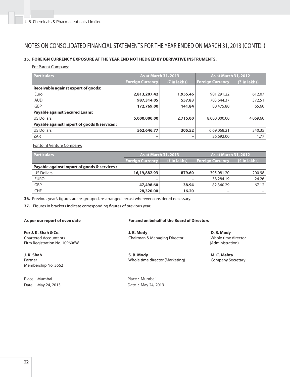### **35. FOREIGN CURRENCY EXPOSURE AT THE YEAR END NOT HEDGED BY DERIVATIVE INSTRUMENTS.**

For Parent Company:

| <b>Particulars</b>                           | As at March 31, 2013    |                 | <b>As at March 31, 2012</b> |                 |  |
|----------------------------------------------|-------------------------|-----------------|-----------------------------|-----------------|--|
|                                              | <b>Foreign Currency</b> | $($ ₹ in lakhs) | <b>Foreign Currency</b>     | $($ ₹ in lakhs) |  |
| <b>Receivable against export of goods:</b>   |                         |                 |                             |                 |  |
| Euro                                         | 2,813,207.42            | 1,955.46        | 901,291.22                  | 612.07          |  |
| <b>AUD</b>                                   | 987,314.05              | 557.83          | 703,644.37                  | 372.51          |  |
| GBP                                          | 172,769.00              | 141.84          | 80,475.80                   | 65.60           |  |
| <b>Payable against Secured Loans:</b>        |                         |                 |                             |                 |  |
| <b>US Dollars</b>                            | 5,000,000.00            | 2,715.00        | 8,000,000,00                | 4,069.60        |  |
| Payable against Import of goods & services : |                         |                 |                             |                 |  |
| <b>US Dollars</b>                            | 562,646.77              | 305.52          | 6,69,068.21                 | 340.35          |  |
| ZAR                                          | -                       |                 | 26,692.00                   | 1.77            |  |

For Joint Venture Company:

| <b>Particulars</b>                           | <b>As at March 31, 2013</b>                     |        | <b>As at March 31, 2012</b> |                 |  |  |
|----------------------------------------------|-------------------------------------------------|--------|-----------------------------|-----------------|--|--|
|                                              | $(\bar{z}$ in lakhs)<br><b>Foreign Currency</b> |        | <b>Foreign Currency</b>     | $($ ₹ in lakhs) |  |  |
| Payable against Import of goods & services : |                                                 |        |                             |                 |  |  |
| <b>US Dollars</b>                            | 16,19,882.93                                    | 879.60 | 395,081.20                  | 200.98          |  |  |
| <b>EURO</b>                                  | $\overline{\phantom{0}}$                        |        | 38,284.19                   | 24.26           |  |  |
| GBP                                          | 47,498.60                                       | 38.94  | 82,340.29                   | 67.12           |  |  |
| <b>CHF</b>                                   | 28,320.00                                       | 16.20  | -                           |                 |  |  |

36. Previous year's figures are re-grouped, re-arranged, recast wherever considered necessary.

**37.** Figures in brackets indicate corresponding figures of previous year.

**For J. K. Shah & Co.**  Chartered Accountants Firm Registration No. 109606W

**J. K. Shah**  Partner Membership No. 3662

Place : Mumbai **Place** : Mumbai Date : May 24, 2013 Date : May 24, 2013

### As per our report of even date **For and on behalf of the Board of Directors**

 **J. B. Mody**  Chairman & Managing Director

 **S. B. Mody**  Whole time director (Marketing)

 **D. B. Mody**  Whole time director (Administration)

 **M. C. Mehta**  Company Secretary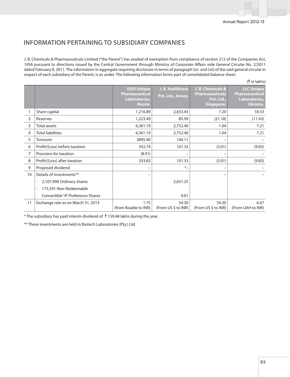### INFORMATION PERTAINING TO SUBSIDIARY COMPANIES

J. B. Chemicals & Pharmaceuticals Limited ("the Parent") has availed of exemption from compliance of section 212 of the Companies Act, 1956 pursuant to directions issued by the Central Government through Ministry of Corporate Affairs vide General Circular No. 2/2011 dated February 8, 2011. The information in aggregate requiring disclosure in terms of paragraph (iv) and (vii) of the said general circular in respect of each subsidiary of the Parent, is as under. The following information forms part of consolidated balance sheet:

|                |                                                    |                                                                        |                                        |                                                                         | (₹ in lakhs)                                                     |
|----------------|----------------------------------------------------|------------------------------------------------------------------------|----------------------------------------|-------------------------------------------------------------------------|------------------------------------------------------------------|
|                |                                                    | <b>OOO Unique</b><br><b>Pharmaceutical</b><br>Laboratories,<br>Russia. | J. B. Healthcare<br>Pvt. Ltd., Jersey. | J. B. Chemicals &<br><b>Pharmaceuticals</b><br>Pvt. Ltd.,<br>Singapore. | <b>LLC Unique</b><br>Pharmaceutical<br>Laboratories,<br>Ukraine. |
|                | Share capital                                      | 1,216.89                                                               | 2,653.43                               | 7.20                                                                    | 18.53                                                            |
| $\overline{2}$ | Reserves                                           | 1,223.49                                                               | 85.99                                  | (21.18)                                                                 | (11.43)                                                          |
| 3              | <b>Total assets</b>                                | 6,361.19                                                               | 2,752.40                               | 1.04                                                                    | 7.21                                                             |
| 4              | <b>Total liabilities</b>                           | 6,361.19                                                               | 2,752.40                               | 1.04                                                                    | 7.21                                                             |
| 5              | Turnover                                           | 3895.90                                                                | 140.11                                 |                                                                         |                                                                  |
| 6              | Profit/(Loss) before taxation                      | 342.74                                                                 | 101.33                                 | (3.01)                                                                  | (9.83)                                                           |
| 7              | Provision for taxation                             | (8.91)                                                                 | -                                      |                                                                         |                                                                  |
| 8              | Profit/(Loss) after taxation                       | 333.83                                                                 | 101.33                                 | (3.01)                                                                  | (9.83)                                                           |
| 9              | Proposed dividend                                  |                                                                        | $*_{-}$                                | -                                                                       |                                                                  |
| 10             | Details of Investments**                           |                                                                        |                                        |                                                                         |                                                                  |
|                | 2,107,990 Ordinary shares                          |                                                                        | 2,651.25                               |                                                                         |                                                                  |
|                | 175,591 Non-Redeemable<br>$\overline{\phantom{a}}$ |                                                                        |                                        |                                                                         |                                                                  |
|                | Convertible "A" Preference Shares                  |                                                                        | 0.01                                   |                                                                         |                                                                  |
| 11             | Exchange rate as on March 31, 2013                 | 1.75<br>(from Rouble to INR)                                           | 54.30<br>(From US \$ to INR)           | 54.30<br>(From US \$ to INR)                                            | 6.67<br>(From UAH to INR)                                        |

\* The subsidiary has paid interim dividend of  $\bar{\tau}$  159.48 lakhs during the year.

\*\* These investments are held in Biotech Laboratories (Pty.) Ltd.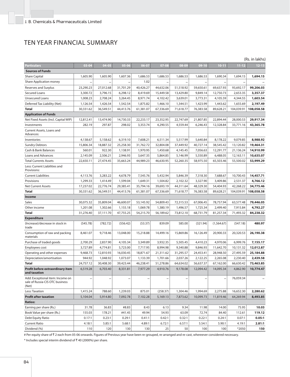## TEN YEAR FINANCIAL SUMMARY

|                                                                              |           |           |           |           |           |           |           |            |            | (Rs. in lakhs) |
|------------------------------------------------------------------------------|-----------|-----------|-----------|-----------|-----------|-----------|-----------|------------|------------|----------------|
| Particulars                                                                  | $03 - 04$ | $04 - 05$ | 05-06     | 06-07     | 07-08     | 08-09     | $09-10$   | $10 - 11$  | $11 - 12$  | $12 - 13$      |
| <b>Sources of Funds</b>                                                      |           |           |           |           |           |           |           |            |            |                |
| <b>Share Capital</b>                                                         | 1,605.90  | 1,605.90  | 1,607.36  | 1,686.53  | 1,686.53  | 1,686.53  | 1,686.53  | 1,690.34   | 1,694.15   | 1,694.15       |
| Share Application money                                                      |           |           |           | 1.02      |           |           |           |            |            |                |
| Reserves and Surplus                                                         | 23,290.23 | 27,012.68 | 31,701.29 | 40,426.27 | 44,632.06 | 51,518.92 | 59,650.61 | 69,637.93  | 93,692.17  | 99,206.03      |
| Secured Loans                                                                | 3,300.72  | 3,796.15  | 6,298.12  | 8,419.69  | 15,449.58 | 13,429.80 | 9,849.14  | 12,750.73  | 2,653.35   | 3,357.37       |
| <b>Unsecured Loans</b>                                                       | 1,008.23  | 2,708.24  | 3,264.45  | 8,971.74  | 4,102.42  | 3,639.01  | 3,773.31  | 4,105.59   | 4,344.55   | 1,603.54       |
| Deferred Tax Liability (Net)                                                 | 1,126.54  | 1,426.54  | 1,542.54  | 1,875.82  | 1,466.10  | 1,344.51  | 1,423.99  | 1,443.62   | 1,655.69   | 2,197.49       |
| <b>Total</b>                                                                 | 30,331.62 | 36,549.51 | 44,413.76 | 61,381.07 | 67,336.69 | 71,618.77 | 76,383.58 | 89,628.21  | 104,039.91 | 108,058.58     |
| <b>Application of Funds</b>                                                  |           |           |           |           |           |           |           |            |            |                |
| Net Fixed Assets (Incl. Capital WIP)                                         | 12,812.41 | 13,474.90 | 14,730.33 | 22,233.17 | 23,352.95 | 22,747.69 | 21,807.85 | 22,894.44  | 28,000.53  | 29,917.34      |
| Investments                                                                  | 282.19    | 297.87    | 298.02    | 3,353.74  | 4,290.55  | 4,559.44  | 6,246.43  | 12,328.84  | 33,771.16  | 43,365.78      |
| Current Assets, Loans and<br>Advances:                                       |           |           |           |           |           |           |           |            |            |                |
| Inventories                                                                  | 4,138.67  | 5,158.62  | 6,319.10  | 7,608.21  | 6,511.34  | 5,517.99  | 5,640.84  | 8,178.22   | 9,079.85   | 8,988.92       |
| <b>Sundry Debtors</b>                                                        | 15,806.34 | 18,887.32 | 25,258.30 | 31,762.72 | 32,804.08 | 37,449.92 | 40,727.14 | 38,545.42  | 13,120.82  | 19,464.31      |
| Cash & Bank Balances                                                         | 560.01    | 922.30    | 1,138.91  | 1,970.95  | 1,450.68  | 4,145.45  | 7,056.63  | 12,291.77  | 21,136.24  | 14,910.99      |
| <b>Loans and Advances</b>                                                    | 2,145.09  | 2,506.21  | 2,946.93  | 3,647.35  | 5,864.85  | 5,146.99  | 5,550.89  | 6,488.05   | 12,163.11  | 10,635.07      |
| <b>Total Currents Assets</b>                                                 | 22,650.11 | 27,474.45 | 35,663.24 | 44,989.23 | 46,630.95 | 52,260.35 | 58,975.50 | 65,503.46  | 55,500.02  | 53,999.29      |
| Less: Current Liabilities and<br>Provisions:                                 |           |           |           |           |           |           |           |            |            |                |
| <b>Current Liabilities</b>                                                   | 4,113.76  | 3,283.22  | 4,678.79  | 7,545.76  | 5,432.94  | 5,846.39  | 7,318.30  | 7,688.67   | 10,700.43  | 14,457.71      |
| Provisions                                                                   | 1,299.33  | 1,414.49  | 1,599.04  | 1,649.31  | 1,504.82  | 2,102.32  | 3,327.90  | 3,409.86   | 2,531.37   | 4,766.12       |
| <b>Net Current Assets</b>                                                    | 17,237.02 | 22,776.74 | 29,385.41 | 35,794.16 | 39,693.19 | 44,311.64 | 48,329.30 | 54,404.93  | 42,268.22  | 34,775.46      |
| <b>Total</b>                                                                 | 30,331.62 | 36,549.51 | 44,413.76 | 61,381.07 | 67,336.69 | 71,618.77 | 76,383.58 | 89,628.21  | 104,039.91 | 108,058.58     |
| Income                                                                       |           |           |           |           |           |           |           |            |            |                |
| Sales                                                                        | 30,075.32 | 35,809.04 | 46,600.07 | 53,145.92 | 54,809.43 | 72,315.53 | 67,006.45 | 78,757.94  | 63,577.48  | 79,446.05      |
| Other income                                                                 | 1,201.08  | 1,302.66  | 1,155.18  | 1,069.78  | 1,380.19  | 1,496.57  | 1,725.34  | 2,499.40   | 7,915.84   | 4,792.27       |
| <b>Total</b>                                                                 | 31,276.40 | 37,111.70 | 47,755.25 | 54,215.70 | 56,189.62 | 73,812.10 | 68,731.79 | 81,257.34  | 71,493.32  | 84,238.32      |
| <b>Expenditure</b>                                                           |           |           |           |           |           |           |           |            |            |                |
| (Increase)/decrease in stock in<br>trade                                     | (545.78)  | (782.72)  | (556.42)  | (53.37)   | 839.09    | 585.00    | (321.94)  | (1,564.67) | (547.18)   | 480.97         |
| Consumption of raw and packing<br>materials                                  | 8,461.07  | 9,718.46  | 13,048.00 | 15,218.88 | 14,499.16 | 15,869.86 | 16,126.49 | 20,900.33  | 20,320.53  | 26,190.38      |
| Purchase of traded goods                                                     | 2,700.29  | 2,837.90  | 4,105.34  | 3,349.89  | 3,932.35  | 5,505.45  | 4,410.23  | 4,970.06   | 6,999.76   | 7,155.17       |
| Employees cost                                                               | 3,727.89  | 4,774.81  | 5,723.00  | 7,717.95  | 8,994.98  | 9,340.88  | 9,846.93  | 11,642.70  | 10,131.32  | 12,012.87      |
| Operating and other expenses                                                 | 9,468.73  | 12,810.93 | 16,030.45 | 18,871.67 | 21,311.62 | 31,295.57 | 24,453.41 | 28,948.50  | 27,495.59  | 25,184.88      |
| Depreciation/amortisation                                                    | 944.92    | 1,048.92  | 1,073.07  | 1,133.39  | 1,701.66  | 2,037.26  | 2,122.25  | 2,265.08   | 2,230.40   | 2,439.58       |
| <b>Total</b>                                                                 | 24,757.12 | 30,408.30 | 39,423.44 | 46,238.41 | 51,278.86 | 64,634.02 | 56,637.37 | 67,162.00  | 66,630.42  | 73,463.85      |
| Profit before extraordinary item<br>and taxation                             | 6,519.28  | 6,703.40  | 8,331.81  | 7,977.29  | 4,910.76  | 9,178.08  | 12,094.42 | 14,095.34  | 4,862.90   | 10,774.47      |
| Add: Exceptional item: Income on<br>sale of Russia-CIS OTC business<br>(Net) |           |           |           |           |           |           |           |            | 76,059.34  |                |
| Less: Taxation                                                               | 1,415.24  | 788.60    | 1,239.03  | 875.01    | (258.37)  | 1,304.46  | 1,994.69  | 2,275.88   | 16,652.30  | 2,280.62       |
| <b>Profit after taxation</b>                                                 | 5,104.04  | 5,914.80  | 7,092.78  | 7,102.28  | 5,169.13  | 7,873.62  | 10,099.73 | 11,819.46  | 64,269.94  | 8,493.85       |
| <b>Ratios:</b>                                                               |           |           |           |           |           |           |           |            |            |                |
| Earning per share (Rs.)                                                      | 31.78     | 36.83     | #8.83     | 8.43      | 6.13      | 9.34      | 11.98     | 14.00      | 75.95      | 10.03          |
| Book Value per share (Rs.)                                                   | 155.03    | 178.21    | #41.45    | 49.94     | 54.93     | 63.09     | 72.74     | 84.40      | 112.61     | 119.12         |
| Debt Equity Ratio                                                            | 0.17:1    | 0.23:1    | 0.29:1    | 0.41:1    | 0.42:1    | 0.32:1    | 0.22:1    | 0.24:1     | 0.07:1     | 0.05:1         |
| <b>Current Ratio</b>                                                         | 4.18:1    | 5.85:1    | 5.68:1    | 4.89:1    | 6.72:1    | 6.57:1    | 5.54:1    | 5.90:1     | 4.19:1     | 2.81:1         |
| Dividend (%)                                                                 | 110       | 120       | 130       | 130       | 25        | 50        | 100       | 100        | *2050      | 150            |

# Per equity share of ₹ 2 each from 05-06 onwards. Figures of Previous year have been re-grouped, re-arranged and re-cast, whereever considered necessary.

\* Includes special interim dividend of  $\bar{c}$  40 (2000%) per share.